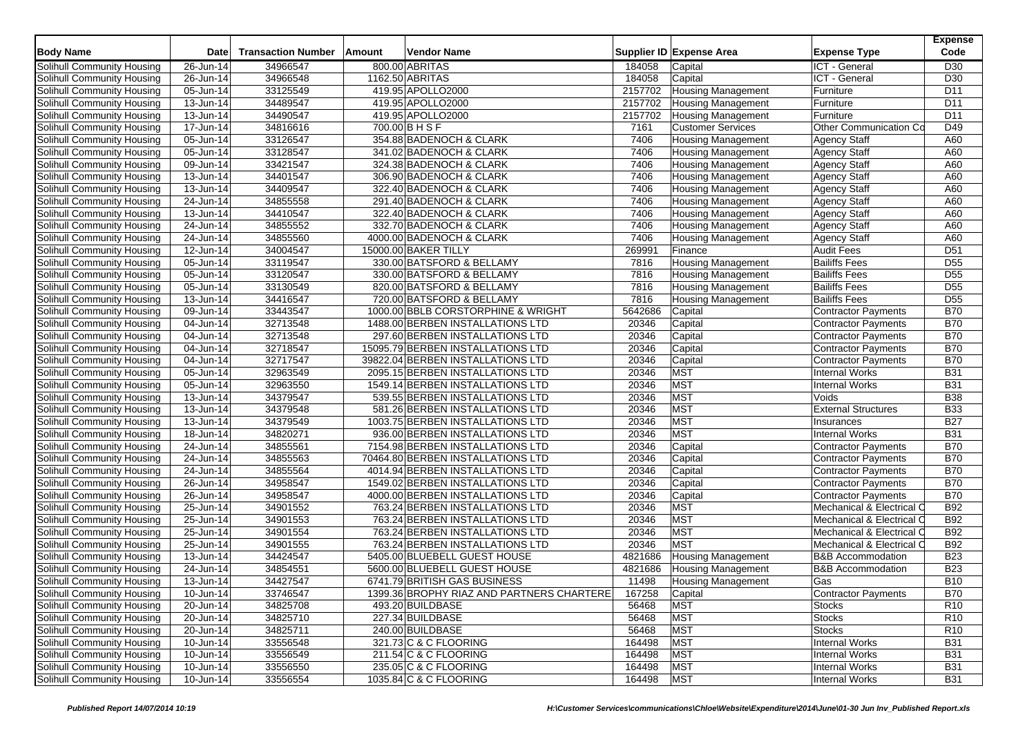|                                   | <b>Date</b>             | <b>Transaction Number</b> | Amount | Vendor Name                               |         | Supplier ID Expense Area  | <b>Expense Type</b>          | <b>Expense</b><br>Code |
|-----------------------------------|-------------------------|---------------------------|--------|-------------------------------------------|---------|---------------------------|------------------------------|------------------------|
| <b>Body Name</b>                  |                         |                           |        |                                           |         |                           |                              |                        |
| Solihull Community Housing        | $26$ -Jun-14            | 34966547                  |        | 800.00 ABRITAS                            | 184058  | Capital                   | ICT - General                | D <sub>30</sub>        |
| Solihull Community Housing        | 26-Jun-14               | 34966548                  |        | 1162.50 ABRITAS                           | 184058  | Capital                   | ICT - General                | D30                    |
| Solihull Community Housing        | $\overline{05}$ -Jun-14 | 33125549                  |        | 419.95 APOLLO2000                         | 2157702 | <b>Housing Management</b> | Furniture                    | D <sub>11</sub>        |
| Solihull Community Housing        | $\overline{13}$ -Jun-14 | 34489547                  |        | 419.95 APOLLO2000                         | 2157702 | <b>Housing Management</b> | Furniture                    | D11                    |
| Solihull Community Housing        | 13-Jun-14               | 34490547                  |        | 419.95 APOLLO2000                         | 2157702 | <b>Housing Management</b> | Furniture                    | D <sub>11</sub>        |
| Solihull Community Housing        | 17-Jun-14               | 34816616                  |        | 700.00 B H S F                            | 7161    | <b>Customer Services</b>  | Other Communication Co       | D49                    |
| Solihull Community Housing        | $\overline{0}$ 5-Jun-14 | 33126547                  |        | 354.88 BADENOCH & CLARK                   | 7406    | <b>Housing Management</b> | <b>Agency Staff</b>          | A60                    |
| Solihull Community Housing        | 05-Jun-14               | 33128547                  |        | 341.02 BADENOCH & CLARK                   | 7406    | <b>Housing Management</b> | <b>Agency Staff</b>          | A60                    |
| Solihull Community Housing        | 09-Jun-14               | 33421547                  |        | 324.38 BADENOCH & CLARK                   | 7406    | <b>Housing Management</b> | Agency Staff                 | A60                    |
| Solihull Community Housing        | $\overline{1}$ 3-Jun-14 | 34401547                  |        | 306.90 BADENOCH & CLARK                   | 7406    | Housing Management        | <b>Agency Staff</b>          | A60                    |
| Solihull Community Housing        | 13-Jun-14               | 34409547                  |        | 322.40 BADENOCH & CLARK                   | 7406    | <b>Housing Management</b> | <b>Agency Staff</b>          | A60                    |
| Solihull Community Housing        | 24-Jun-14               | 34855558                  |        | 291.40 BADENOCH & CLARK                   | 7406    | <b>Housing Management</b> | <b>Agency Staff</b>          | A60                    |
| Solihull Community Housing        | 13-Jun-14               | 34410547                  |        | 322.40 BADENOCH & CLARK                   | 7406    | <b>Housing Management</b> | Agency Staff                 | A60                    |
| Solihull Community Housing        | 24-Jun-14               | 34855552                  |        | 332.70 BADENOCH & CLARK                   | 7406    | <b>Housing Management</b> | <b>Agency Staff</b>          | A60                    |
| Solihull Community Housing        | 24-Jun-14               | 34855560                  |        | 4000.00 BADENOCH & CLARK                  | 7406    | <b>Housing Management</b> | <b>Agency Staff</b>          | A60                    |
| Solihull Community Housing        | 12-Jun-14               | 34004547                  |        | 15000.00 BAKER TILLY                      | 269991  | Finance                   | <b>Audit Fees</b>            | D <sub>51</sub>        |
| Solihull Community Housing        | 05-Jun-14               | 33119547                  |        | 330.00 BATSFORD & BELLAMY                 | 7816    | <b>Housing Management</b> | <b>Bailiffs Fees</b>         | D <sub>55</sub>        |
| Solihull Community Housing        | 05-Jun-14               | 33120547                  |        | 330.00 BATSFORD & BELLAMY                 | 7816    | <b>Housing Management</b> | <b>Bailiffs Fees</b>         | D <sub>55</sub>        |
| Solihull Community Housing        | $\overline{05}$ -Jun-14 | 33130549                  |        | 820.00 BATSFORD & BELLAMY                 | 7816    | <b>Housing Management</b> | <b>Bailiffs Fees</b>         | D <sub>55</sub>        |
| Solihull Community Housing        | 13-Jun-14               | 34416547                  |        | 720.00 BATSFORD & BELLAMY                 | 7816    | <b>Housing Management</b> | <b>Bailiffs Fees</b>         | D <sub>55</sub>        |
| Solihull Community Housing        | 09-Jun-14               | 33443547                  |        | 1000.00 BBLB CORSTORPHINE & WRIGHT        | 5642686 | Capital                   | <b>Contractor Payments</b>   | <b>B70</b>             |
| Solihull Community Housing        | 04-Jun-14               | 32713548                  |        | 1488.00 BERBEN INSTALLATIONS LTD          | 20346   | Capital                   | <b>Contractor Payments</b>   | <b>B70</b>             |
| Solihull Community Housing        | 04-Jun-14               | 32713548                  |        | 297.60 BERBEN INSTALLATIONS LTD           | 20346   | Capital                   | Contractor Payments          | <b>B70</b>             |
| Solihull Community Housing        | 04-Jun-14               | 32718547                  |        | 15095.79 BERBEN INSTALLATIONS LTD         | 20346   | Capital                   | Contractor Payments          | <b>B70</b>             |
| Solihull Community Housing        | 04-Jun-14               | 32717547                  |        | 39822.04 BERBEN INSTALLATIONS LTD         | 20346   | Capital                   | <b>Contractor Payments</b>   | <b>B70</b>             |
| Solihull Community Housing        | 05-Jun-14               | 32963549                  |        | 2095.15 BERBEN INSTALLATIONS LTD          | 20346   | <b>MST</b>                | <b>Internal Works</b>        | <b>B31</b>             |
| Solihull Community Housing        | 05-Jun-14               | 32963550                  |        | 1549.14 BERBEN INSTALLATIONS LTD          | 20346   | <b>MST</b>                | <b>Internal Works</b>        | <b>B31</b>             |
| Solihull Community Housing        | 13-Jun-14               | 34379547                  |        | 539.55 BERBEN INSTALLATIONS LTD           | 20346   | <b>MST</b>                | Voids                        | <b>B38</b>             |
| Solihull Community Housing        | 13-Jun-14               | 34379548                  |        | 581.26 BERBEN INSTALLATIONS LTD           | 20346   | <b>MST</b>                | <b>External Structures</b>   | <b>B33</b>             |
| Solihull Community Housing        | 13-Jun-14               | 34379549                  |        | 1003.75 BERBEN INSTALLATIONS LTD          | 20346   | <b>MST</b>                | Insurances                   | <b>B27</b>             |
| Solihull Community Housing        | 18-Jun-14               | 34820271                  |        | 936.00 BERBEN INSTALLATIONS LTD           | 20346   | <b>MST</b>                | <b>Internal Works</b>        | <b>B31</b>             |
| Solihull Community Housing        | 24-Jun-14               | 34855561                  |        | 7154.98 BERBEN INSTALLATIONS LTD          | 20346   | Capital                   | Contractor Payments          | <b>B70</b>             |
| Solihull Community Housing        | 24-Jun-14               | 34855563                  |        | 70464.80 BERBEN INSTALLATIONS LTD         | 20346   | Capital                   | Contractor Payments          | <b>B70</b>             |
| Solihull Community Housing        | 24-Jun-14               | 34855564                  |        | 4014.94 BERBEN INSTALLATIONS LTD          | 20346   | Capital                   | <b>Contractor Payments</b>   | <b>B70</b>             |
| Solihull Community Housing        | 26-Jun-14               | 34958547                  |        | 1549.02 BERBEN INSTALLATIONS LTD          | 20346   | Capital                   | Contractor Payments          | <b>B70</b>             |
| Solihull Community Housing        | 26-Jun-14               | 34958547                  |        | 4000.00 BERBEN INSTALLATIONS LTD          | 20346   | Capital                   | Contractor Payments          | <b>B70</b>             |
| Solihull Community Housing        | 25-Jun-14               | 34901552                  |        | 763.24 BERBEN INSTALLATIONS LTD           | 20346   | <b>MST</b>                | Mechanical & Electrical O    | <b>B92</b>             |
| Solihull Community Housing        | 25-Jun-14               | 34901553                  |        | 763.24 BERBEN INSTALLATIONS LTD           | 20346   | <b>MST</b>                | Mechanical & Electrical C    | <b>B92</b>             |
| Solihull Community Housing        | 25-Jun-14               | 34901554                  |        | 763.24 BERBEN INSTALLATIONS LTD           | 20346   | <b>MST</b>                | Mechanical & Electrical C    | <b>B92</b>             |
| Solihull Community Housing        | 25-Jun-14               | 34901555                  |        | 763.24 BERBEN INSTALLATIONS LTD           | 20346   | <b>MST</b>                | Mechanical & Electrical C    | <b>B92</b>             |
| Solihull Community Housing        | 13-Jun-14               | 34424547                  |        | 5405.00 BLUEBELL GUEST HOUSE              | 4821686 | <b>Housing Management</b> | <b>B&amp;B Accommodation</b> | <b>B23</b>             |
| Solihull Community Housing        | 24-Jun-14               | 34854551                  |        | 5600.00 BLUEBELL GUEST HOUSE              | 4821686 | <b>Housing Management</b> | <b>B&amp;B Accommodation</b> | <b>B23</b>             |
| Solihull Community Housing        | 13-Jun-14               | 34427547                  |        | 6741.79 BRITISH GAS BUSINESS              | 11498   | <b>Housing Management</b> | Gas                          | <b>B10</b>             |
| Solihull Community Housing        | 10-Jun-14               | 33746547                  |        | 1399.36 BROPHY RIAZ AND PARTNERS CHARTERE | 167258  | Capital                   | Contractor Payments          | <b>B70</b>             |
| Solihull Community Housing        | 20-Jun-14               | 34825708                  |        | 493.20 BUILDBASE                          | 56468   | <b>MST</b>                | <b>Stocks</b>                | R <sub>10</sub>        |
| Solihull Community Housing        | 20-Jun-14               | 34825710                  |        | 227.34 BUILDBASE                          | 56468   | MST                       | <b>Stocks</b>                | R <sub>10</sub>        |
| Solihull Community Housing        | 20-Jun-14               | 34825711                  |        | 240.00 BUILDBASE                          | 56468   | <b>MST</b>                | <b>Stocks</b>                | R <sub>10</sub>        |
| Solihull Community Housing        | 10-Jun-14               | 33556548                  |        | 321.73 C & C FLOORING                     | 164498  | <b>MST</b>                | Internal Works               | <b>B31</b>             |
| Solihull Community Housing        | 10-Jun-14               | 33556549                  |        | 211.54 C & C FLOORING                     | 164498  | <b>MST</b>                | Internal Works               | <b>B31</b>             |
| <b>Solihull Community Housing</b> | 10-Jun-14               | 33556550                  |        | 235.05 C & C FLOORING                     | 164498  | <b>MST</b>                | <b>Internal Works</b>        | <b>B31</b>             |
| Solihull Community Housing        |                         | 33556554                  |        | 1035.84 C & C FLOORING                    | 164498  |                           | <b>Internal Works</b>        | <b>B31</b>             |
|                                   | 10-Jun-14               |                           |        |                                           |         | <b>MST</b>                |                              |                        |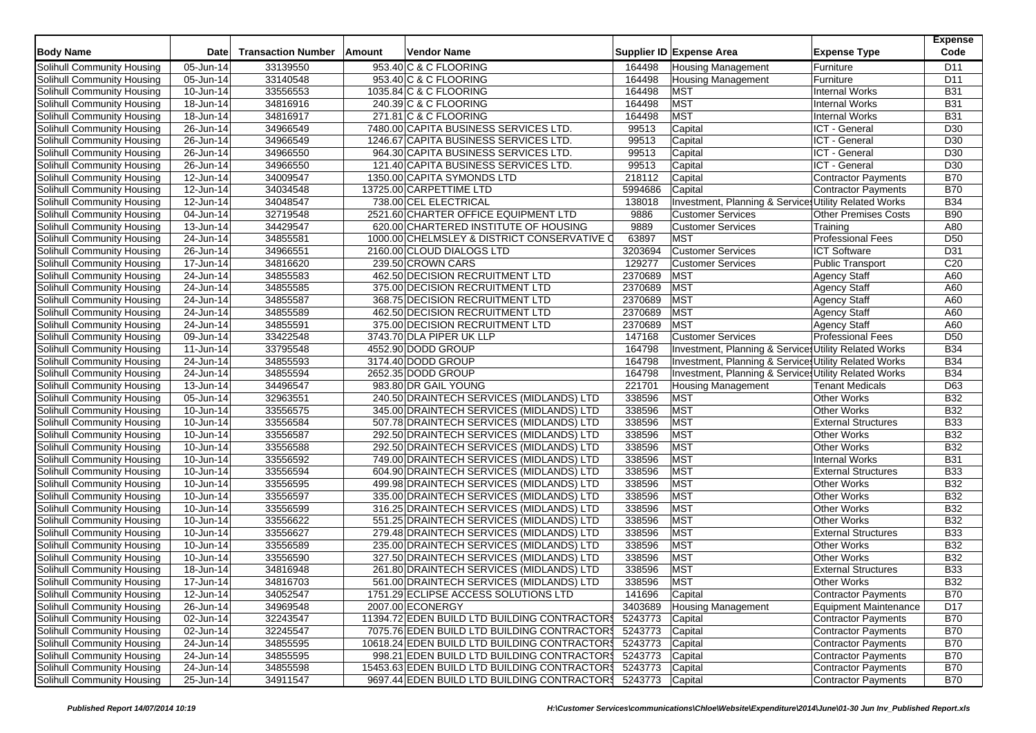| <b>Body Name</b>                                         | <b>Date</b>                          | <b>Transaction Number</b> | Amount | Vendor Name                                                |                 | Supplier ID Expense Area                                        | <b>Expense Type</b>         | <b>Expense</b><br>Code   |
|----------------------------------------------------------|--------------------------------------|---------------------------|--------|------------------------------------------------------------|-----------------|-----------------------------------------------------------------|-----------------------------|--------------------------|
| Solihull Community Housing                               | 05-Jun-14                            | 33139550                  |        | 953.40 C & C FLOORING                                      | 164498          | Housing Management                                              | Furniture                   | D <sub>11</sub>          |
| Solihull Community Housing                               | 05-Jun-14                            | 33140548                  |        | 953.40 C & C FLOORING                                      | 164498          | <b>Housing Management</b>                                       | Furniture                   | D <sub>11</sub>          |
| Solihull Community Housing                               | 10-Jun-14                            | 33556553                  |        | 1035.84 C & C FLOORING                                     | 164498          | <b>MST</b>                                                      | <b>Internal Works</b>       | <b>B31</b>               |
| Solihull Community Housing                               | 18-Jun-14                            | 34816916                  |        | 240.39 C & C FLOORING                                      | 164498          | <b>MST</b>                                                      | <b>Internal Works</b>       | <b>B31</b>               |
| Solihull Community Housing                               | 18-Jun-14                            | 34816917                  |        | 271.81 C & C FLOORING                                      | 164498          | <b>MST</b>                                                      | <b>Internal Works</b>       | <b>B31</b>               |
| Solihull Community Housing                               | 26-Jun-14                            | 34966549                  |        | 7480.00 CAPITA BUSINESS SERVICES LTD.                      | 99513           | Capital                                                         | ICT - General               | D <sub>30</sub>          |
| Solihull Community Housing                               | 26-Jun-14                            | 34966549                  |        | 1246.67 CAPITA BUSINESS SERVICES LTD.                      | 99513           | Capital                                                         | ICT - General               | D <sub>30</sub>          |
| Solihull Community Housing                               | 26-Jun-14                            | 34966550                  |        | 964.30 CAPITA BUSINESS SERVICES LTD.                       | 99513           | Capital                                                         | ICT - General               | D <sub>30</sub>          |
| Solihull Community Housing                               | 26-Jun-14                            | 34966550                  |        | 121.40 CAPITA BUSINESS SERVICES LTD.                       | 99513           | Capital                                                         | ICT - General               | D <sub>30</sub>          |
| Solihull Community Housing                               | 12-Jun-14                            | 34009547                  |        | 1350.00 CAPITA SYMONDS LTD                                 | 218112          | Capital                                                         | <b>Contractor Payments</b>  | <b>B70</b>               |
| Solihull Community Housing                               | $\overline{1}$ 2-Jun-14              | 34034548                  |        | 13725.00 CARPETTIME LTD                                    | 5994686         | Capital                                                         | Contractor Payments         | <b>B70</b>               |
| Solihull Community Housing                               | $\overline{12}$ -Jun-14              | 34048547                  |        | 738.00 CEL ELECTRICAL                                      | 138018          | Investment, Planning & Services Utility Related Works           |                             | <b>B34</b>               |
| Solihull Community Housing                               | 04-Jun-14                            | 32719548                  |        | 2521.60 CHARTER OFFICE EQUIPMENT LTD                       | 9886            | <b>Customer Services</b>                                        | <b>Other Premises Costs</b> | <b>B90</b>               |
| Solihull Community Housing                               | 13-Jun-14                            | 34429547                  |        | 620.00 CHARTERED INSTITUTE OF HOUSING                      | 9889            | <b>Customer Services</b>                                        | Training                    | A80                      |
| Solihull Community Housing                               | 24-Jun-14                            | 34855581                  |        | 1000.00 CHELMSLEY & DISTRICT CONSERVATIVE O                | 63897           | <b>MST</b>                                                      | <b>Professional Fees</b>    | D <sub>50</sub>          |
| Solihull Community Housing                               | $\overline{2}6$ -Jun-14              | 34966551                  |        | 2160.00 CLOUD DIALOGS LTD                                  | 3203694         | <b>Customer Services</b>                                        | <b>ICT Software</b>         | D31                      |
| Solihull Community Housing                               | 17-Jun-14                            | 34816620                  |        | 239.50 CROWN CARS                                          | 129277          | <b>Customer Services</b>                                        | Public Transport            | C <sub>20</sub>          |
| Solihull Community Housing                               | 24-Jun-14                            | 34855583                  |        | 462.50 DECISION RECRUITMENT LTD                            | 2370689         | <b>MST</b>                                                      | <b>Agency Staff</b>         | A60                      |
| Solihull Community Housing                               | 24-Jun-14                            | 34855585                  |        | 375.00 DECISION RECRUITMENT LTD                            | 2370689         | <b>MST</b>                                                      | <b>Agency Staff</b>         | A60                      |
| Solihull Community Housing                               | 24-Jun-14                            | 34855587                  |        | 368.75 DECISION RECRUITMENT LTD                            | 2370689         | <b>MST</b>                                                      | <b>Agency Staff</b>         | A60                      |
| Solihull Community Housing                               | 24-Jun-14                            | 34855589                  |        | 462.50 DECISION RECRUITMENT LTD                            | 2370689         | <b>MST</b>                                                      | <b>Agency Staff</b>         | A60                      |
| Solihull Community Housing                               | $24$ -Jun-14                         | 34855591                  |        | 375.00 DECISION RECRUITMENT LTD                            | 2370689         | <b>MST</b>                                                      | <b>Agency Staff</b>         | A60                      |
|                                                          | 09-Jun-14                            | 33422548                  |        | 3743.70 DLA PIPER UK LLP                                   | 147168          | <b>Customer Services</b>                                        | <b>Professional Fees</b>    | D <sub>50</sub>          |
| Solihull Community Housing                               |                                      |                           |        | 4552.90 DODD GROUP                                         | 164798          | Investment, Planning & Service Utility Related Works            |                             |                          |
| Solihull Community Housing                               | 11-Jun-14<br>$\overline{2}$ 4-Jun-14 | 33795548<br>34855593      |        | 3174.40 DODD GROUP                                         | 164798          | Investment, Planning & Services Utility Related Works           |                             | <b>B34</b><br><b>B34</b> |
| Solihull Community Housing                               |                                      |                           |        | 2652.35 DODD GROUP                                         | 164798          | <b>Investment, Planning &amp; Service Utility Related Works</b> |                             | <b>B34</b>               |
| Solihull Community Housing<br>Solihull Community Housing | 24-Jun-14<br>13-Jun-14               | 34855594<br>34496547      |        | 983.80 DR GAIL YOUNG                                       | 221701          |                                                                 |                             | D63                      |
|                                                          |                                      |                           |        |                                                            |                 | <b>Housing Management</b>                                       | <b>Tenant Medicals</b>      |                          |
| Solihull Community Housing                               | $\overline{0}$ 5-Jun-14              | 32963551<br>33556575      |        | 240.50 DRAINTECH SERVICES (MIDLANDS) LTD                   | 338596          | <b>MST</b><br><b>MST</b>                                        | <b>Other Works</b>          | <b>B32</b><br><b>B32</b> |
| Solihull Community Housing                               | 10-Jun-14                            |                           |        | 345.00 DRAINTECH SERVICES (MIDLANDS) LTD                   | 338596          |                                                                 | <b>Other Works</b>          |                          |
| Solihull Community Housing                               | 10-Jun-14                            | 33556584                  |        | 507.78 DRAINTECH SERVICES (MIDLANDS) LTD                   | 338596          | <b>MST</b>                                                      | <b>External Structures</b>  | <b>B33</b>               |
| Solihull Community Housing                               | $\overline{10}$ -Jun-14              | 33556587                  |        | 292.50 DRAINTECH SERVICES (MIDLANDS) LTD                   | 338596          | <b>MST</b>                                                      | <b>Other Works</b>          | <b>B32</b>               |
| Solihull Community Housing                               | 10-Jun-14                            | 33556588                  |        | 292.50 DRAINTECH SERVICES (MIDLANDS) LTD                   | 338596          | <b>MST</b>                                                      | <b>Other Works</b>          | <b>B32</b>               |
| Solihull Community Housing                               | 10-Jun-14                            | 33556592                  |        | 749.00 DRAINTECH SERVICES (MIDLANDS) LTD                   | 338596          | <b>MST</b>                                                      | <b>Internal Works</b>       | <b>B31</b>               |
| Solihull Community Housing                               | 10-Jun-14                            | 33556594                  |        | 604.90 DRAINTECH SERVICES (MIDLANDS) LTD                   | 338596          | <b>MST</b>                                                      | <b>External Structures</b>  | <b>B33</b>               |
| Solihull Community Housing                               | 10-Jun-14                            | 33556595                  |        | 499.98 DRAINTECH SERVICES (MIDLANDS) LTD                   | 338596          | <b>MST</b>                                                      | <b>Other Works</b>          | <b>B32</b>               |
| Solihull Community Housing                               | 10-Jun-14                            | 33556597                  |        | 335.00 DRAINTECH SERVICES (MIDLANDS) LTD                   | 338596          | <b>MST</b>                                                      | <b>Other Works</b>          | <b>B32</b>               |
| Solihull Community Housing                               | 10-Jun-14                            | 33556599                  |        | 316.25 DRAINTECH SERVICES (MIDLANDS) LTD                   | 338596          | <b>MST</b>                                                      | <b>Other Works</b>          | <b>B32</b>               |
| Solihull Community Housing                               | 10-Jun-14                            | 33556622                  |        | 551.25 DRAINTECH SERVICES (MIDLANDS) LTD                   | 338596          | MST                                                             | <b>Other Works</b>          | <b>B32</b>               |
| Solihull Community Housing                               | 10-Jun-14                            | 33556627                  |        | 279.48 DRAINTECH SERVICES (MIDLANDS) LTD                   | 338596          | <b>MST</b>                                                      | <b>External Structures</b>  | <b>B33</b>               |
| Solihull Community Housing                               | 10-Jun-14                            | 33556589                  |        | 235.00 DRAINTECH SERVICES (MIDLANDS) LTD                   | 338596          | <b>MST</b>                                                      | <b>Other Works</b>          | <b>B32</b>               |
| Solihull Community Housing                               | 10-Jun-14                            | 33556590                  |        | 327.50 DRAINTECH SERVICES (MIDLANDS) LTD                   | 338596          | <b>MST</b>                                                      | <b>Other Works</b>          | <b>B32</b>               |
| Solihull Community Housing                               | 18-Jun-14                            | 34816948                  |        | 261.80 DRAINTECH SERVICES (MIDLANDS) LTD                   | 338596          | <b>MST</b>                                                      | <b>External Structures</b>  | <b>B33</b>               |
| Solihull Community Housing                               | 17-Jun-14                            | 34816703                  |        | 561.00 DRAINTECH SERVICES (MIDLANDS) LTD                   | 338596          | <b>MST</b>                                                      | <b>Other Works</b>          | <b>B32</b>               |
| Solihull Community Housing                               | 12-Jun-14                            | 34052547                  |        | 1751.29 ECLIPSE ACCESS SOLUTIONS LTD                       | 141696          | Capital                                                         | Contractor Payments         | <b>B70</b>               |
| Solihull Community Housing                               | 26-Jun-14                            | 34969548                  |        | 2007.00 ECONERGY                                           | 3403689         | Housing Management                                              | Equipment Maintenance       | D17                      |
| Solihull Community Housing                               | 02-Jun-14                            | 32243547                  |        | 11394.72 EDEN BUILD LTD BUILDING CONTRACTORS               | 5243773         | Capital                                                         | <b>Contractor Payments</b>  | <b>B70</b>               |
| Solihull Community Housing                               | 02-Jun-14                            | 32245547                  |        | 7075.76 EDEN BUILD LTD BUILDING CONTRACTORS                | 5243773         | Capital                                                         | <b>Contractor Payments</b>  | <b>B70</b>               |
| Solihull Community Housing                               | $24$ -Jun-14                         | 34855595                  |        | 10618.24 EDEN BUILD LTD BUILDING CONTRACTORS               | 5243773         | Capital                                                         | <b>Contractor Payments</b>  | <b>B70</b>               |
| Solihull Community Housing                               | 24-Jun-14                            | 34855595                  |        | 998.21 EDEN BUILD LTD BUILDING CONTRACTORS                 | 5243773         | Capital                                                         | <b>Contractor Payments</b>  | <b>B70</b>               |
| <b>Solihull Community Housing</b>                        | 24-Jun-14                            | 34855598                  |        | 15453.63 EDEN BUILD LTD BUILDING CONTRACTOR\$              | 5243773 Capital |                                                                 | Contractor Payments         | <b>B70</b>               |
| Solihull Community Housing                               | 25-Jun-14                            | 34911547                  |        | 9697.44 EDEN BUILD LTD BUILDING CONTRACTOR 5243773 Capital |                 |                                                                 | Contractor Payments         | <b>B70</b>               |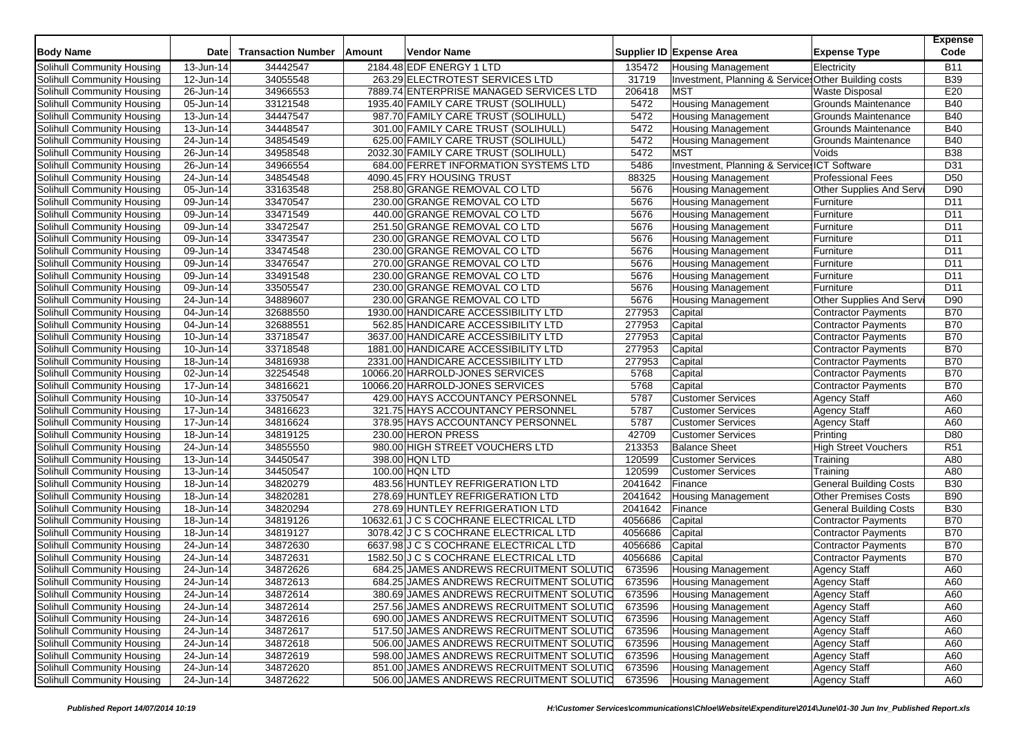| <b>Body Name</b>           | Date                    | <b>Transaction Number</b> | Amount | <b>Vendor Name</b>                       |         | Supplier ID Expense Area                             | <b>Expense Type</b>           | <b>Expense</b><br>Code |
|----------------------------|-------------------------|---------------------------|--------|------------------------------------------|---------|------------------------------------------------------|-------------------------------|------------------------|
| Solihull Community Housing | 13-Jun-14               | 34442547                  |        | 2184.48 EDF ENERGY 1 LTD                 | 135472  | <b>Housing Management</b>                            | Electricity                   | <b>B11</b>             |
| Solihull Community Housing | 12-Jun-14               | 34055548                  |        | 263.29 ELECTROTEST SERVICES LTD          | 31719   | Investment, Planning & Service: Other Building costs |                               | <b>B39</b>             |
| Solihull Community Housing | 26-Jun-14               | 34966553                  |        | 7889.74 ENTERPRISE MANAGED SERVICES LTD  | 206418  | <b>MST</b>                                           | <b>Waste Disposal</b>         | E20                    |
| Solihull Community Housing | 05-Jun-14               | 33121548                  |        | 1935.40 FAMILY CARE TRUST (SOLIHULL)     | 5472    | <b>Housing Management</b>                            | Grounds Maintenance           | <b>B40</b>             |
| Solihull Community Housing | 13-Jun-14               | 34447547                  |        | 987.70 FAMILY CARE TRUST (SOLIHULL)      | 5472    | <b>Housing Management</b>                            | Grounds Maintenance           | <b>B40</b>             |
| Solihull Community Housing | 13-Jun-14               | 34448547                  |        | 301.00 FAMILY CARE TRUST (SOLIHULL)      | 5472    | <b>Housing Management</b>                            | Grounds Maintenance           | <b>B40</b>             |
| Solihull Community Housing | 24-Jun-14               | 34854549                  |        | 625.00 FAMILY CARE TRUST (SOLIHULL)      | 5472    | <b>Housing Management</b>                            | Grounds Maintenance           | <b>B40</b>             |
| Solihull Community Housing | 26-Jun-14               | 34958548                  |        | 2032.30 FAMILY CARE TRUST (SOLIHULL)     | 5472    | <b>MST</b>                                           | Voids                         | <b>B38</b>             |
| Solihull Community Housing | 26-Jun-14               | 34966554                  |        | 684.00 FERRET INFORMATION SYSTEMS LTD    | 5486    | Investment, Planning & Service: ICT Software         |                               | D31                    |
| Solihull Community Housing | 24-Jun-14               | 34854548                  |        | 4090.45 FRY HOUSING TRUST                | 88325   | <b>Housing Management</b>                            | Professional Fees             | D <sub>50</sub>        |
| Solihull Community Housing | $\overline{0}$ 5-Jun-14 | 33163548                  |        | 258.80 GRANGE REMOVAL CO LTD             | 5676    | <b>Housing Management</b>                            | Other Supplies And Serv       | D90                    |
| Solihull Community Housing | 09-Jun-14               | 33470547                  |        | 230.00 GRANGE REMOVAL CO LTD             | 5676    | <b>Housing Management</b>                            | Furniture                     | D <sub>11</sub>        |
| Solihull Community Housing | 09-Jun-14               | 33471549                  |        | 440.00 GRANGE REMOVAL CO LTD             | 5676    | <b>Housing Management</b>                            | Furniture                     | D11                    |
| Solihull Community Housing | 09-Jun-14               | 33472547                  |        | 251.50 GRANGE REMOVAL CO LTD             | 5676    | <b>Housing Management</b>                            | Furniture                     | D11                    |
| Solihull Community Housing | 09-Jun-14               | 33473547                  |        | 230.00 GRANGE REMOVAL CO LTD             | 5676    | <b>Housing Management</b>                            | Furniture                     | D <sub>11</sub>        |
| Solihull Community Housing | 09-Jun-14               | 33474548                  |        | 230.00 GRANGE REMOVAL CO LTD             | 5676    | <b>Housing Management</b>                            | Furniture                     | D11                    |
| Solihull Community Housing | 09-Jun-14               | 33476547                  |        | 270.00 GRANGE REMOVAL CO LTD             | 5676    | <b>Housing Management</b>                            | Furniture                     | D11                    |
| Solihull Community Housing | 09-Jun-14               | 33491548                  |        | 230.00 GRANGE REMOVAL CO LTD             | 5676    | <b>Housing Management</b>                            | Furniture                     | D <sub>11</sub>        |
| Solihull Community Housing | $\overline{0}9$ -Jun-14 | 33505547                  |        | 230.00 GRANGE REMOVAL CO LTD             | 5676    | <b>Housing Management</b>                            | Furniture                     | D11                    |
| Solihull Community Housing | 24-Jun-14               | 34889607                  |        | 230.00 GRANGE REMOVAL CO LTD             | 5676    | <b>Housing Management</b>                            | Other Supplies And Serv       | D90                    |
| Solihull Community Housing | 04-Jun-14               | 32688550                  |        | 1930.00 HANDICARE ACCESSIBILITY LTD      | 277953  | Capital                                              | <b>Contractor Payments</b>    | <b>B70</b>             |
| Solihull Community Housing | 04-Jun-14               | 32688551                  |        | 562.85 HANDICARE ACCESSIBILITY LTD       | 277953  | Capital                                              | <b>Contractor Payments</b>    | <b>B70</b>             |
| Solihull Community Housing | 10-Jun-14               | 33718547                  |        | 3637.00 HANDICARE ACCESSIBILITY LTD      | 277953  | Capital                                              | <b>Contractor Payments</b>    | <b>B70</b>             |
| Solihull Community Housing | 10-Jun-14               | 33718548                  |        | 1881.00 HANDICARE ACCESSIBILITY LTD      | 277953  | Capital                                              | <b>Contractor Payments</b>    | <b>B70</b>             |
| Solihull Community Housing | 18-Jun-14               | 34816938                  |        | 2331.00 HANDICARE ACCESSIBILITY LTD      | 277953  | Capital                                              | <b>Contractor Payments</b>    | <b>B70</b>             |
| Solihull Community Housing | 02-Jun-14               | 32254548                  |        | 10066.20 HARROLD-JONES SERVICES          | 5768    | Capital                                              | <b>Contractor Payments</b>    | <b>B70</b>             |
| Solihull Community Housing | 17-Jun-14               | 34816621                  |        | 10066.20 HARROLD-JONES SERVICES          | 5768    | Capital                                              | <b>Contractor Payments</b>    | <b>B70</b>             |
| Solihull Community Housing | 10-Jun-14               | 33750547                  |        | 429.00 HAYS ACCOUNTANCY PERSONNEL        | 5787    | <b>Customer Services</b>                             | <b>Agency Staff</b>           | A60                    |
| Solihull Community Housing | 17-Jun-14               | 34816623                  |        | 321.75 HAYS ACCOUNTANCY PERSONNEL        | 5787    | <b>Customer Services</b>                             | <b>Agency Staff</b>           | A60                    |
| Solihull Community Housing | 17-Jun-14               | 34816624                  |        | 378.95 HAYS ACCOUNTANCY PERSONNEL        | 5787    | <b>Customer Services</b>                             | <b>Agency Staff</b>           | A60                    |
| Solihull Community Housing | 18-Jun-14               | 34819125                  |        | 230.00 HERON PRESS                       | 42709   | <b>Customer Services</b>                             | Printing                      | D80                    |
| Solihull Community Housing | 24-Jun-14               | 34855550                  |        | 980.00 HIGH STREET VOUCHERS LTD          | 213353  | <b>Balance Sheet</b>                                 | <b>High Street Vouchers</b>   | R <sub>51</sub>        |
| Solihull Community Housing | 13-Jun-14               | 34450547                  |        | 398.00 HQN LTD                           | 120599  | <b>Customer Services</b>                             | Training                      | A80                    |
| Solihull Community Housing | 13-Jun-14               | 34450547                  |        | 100.00 HQN LTD                           | 120599  | <b>Customer Services</b>                             | Training                      | A80                    |
| Solihull Community Housing | 18-Jun-14               | 34820279                  |        | 483.56 HUNTLEY REFRIGERATION LTD         | 2041642 | Finance                                              | <b>General Building Costs</b> | <b>B30</b>             |
| Solihull Community Housing | 18-Jun-14               | 34820281                  |        | 278.69 HUNTLEY REFRIGERATION LTD         | 2041642 | <b>Housing Management</b>                            | <b>Other Premises Costs</b>   | <b>B90</b>             |
| Solihull Community Housing | 18-Jun-14               | 34820294                  |        | 278.69 HUNTLEY REFRIGERATION LTD         | 2041642 | Finance                                              | <b>General Building Costs</b> | <b>B30</b>             |
| Solihull Community Housing | 18-Jun-14               | 34819126                  |        | 10632.61 J C S COCHRANE ELECTRICAL LTD   | 4056686 | Capital                                              | <b>Contractor Payments</b>    | <b>B70</b>             |
| Solihull Community Housing | 18-Jun-14               | 34819127                  |        | 3078.42 J C S COCHRANE ELECTRICAL LTD    | 4056686 | Capital                                              | <b>Contractor Payments</b>    | <b>B70</b>             |
| Solihull Community Housing | 24-Jun-14               | 34872630                  |        | 6637.98 J C S COCHRANE ELECTRICAL LTD    | 4056686 | Capital                                              | <b>Contractor Payments</b>    | <b>B70</b>             |
| Solihull Community Housing | 24-Jun-14               | 34872631                  |        | 1582.50 J C S COCHRANE ELECTRICAL LTD    | 4056686 | Capital                                              | <b>Contractor Payments</b>    | <b>B70</b>             |
| Solihull Community Housing | 24-Jun-14               | 34872626                  |        | 684.25 JAMES ANDREWS RECRUITMENT SOLUTIO | 673596  | <b>Housing Management</b>                            | <b>Agency Staff</b>           | A60                    |
| Solihull Community Housing | 24-Jun-14               | 34872613                  |        | 684.25 JAMES ANDREWS RECRUITMENT SOLUTIO | 673596  | <b>Housing Management</b>                            | <b>Agency Staff</b>           | A60                    |
| Solihull Community Housing | 24-Jun-14               | 34872614                  |        | 380.69 JAMES ANDREWS RECRUITMENT SOLUTIC | 673596  | <b>Housing Management</b>                            | Agency Staff                  | A60                    |
| Solihull Community Housing | 24-Jun-14               | 34872614                  |        | 257.56 JAMES ANDREWS RECRUITMENT SOLUTIO | 673596  | <b>Housing Management</b>                            | <b>Agency Staff</b>           | A60                    |
| Solihull Community Housing | 24-Jun-14               | 34872616                  |        | 690.00 JAMES ANDREWS RECRUITMENT SOLUTIO | 673596  | <b>Housing Management</b>                            | <b>Agency Staff</b>           | A60                    |
| Solihull Community Housing | 24-Jun-14               | 34872617                  |        | 517.50 JAMES ANDREWS RECRUITMENT SOLUTIO | 673596  | Housing Management                                   | <b>Agency Staff</b>           | A60                    |
| Solihull Community Housing | 24-Jun-14               | 34872618                  |        | 506.00 JAMES ANDREWS RECRUITMENT SOLUTIC | 673596  | <b>Housing Management</b>                            | <b>Agency Staff</b>           | A60                    |
| Solihull Community Housing | 24-Jun-14               | 34872619                  |        | 598.00 JAMES ANDREWS RECRUITMENT SOLUTIC | 673596  | <b>Housing Management</b>                            | <b>Agency Staff</b>           | A60                    |
| Solihull Community Housing | 24-Jun-14               | 34872620                  |        | 851.00 JAMES ANDREWS RECRUITMENT SOLUTIO | 673596  | <b>Housing Management</b>                            | <b>Agency Staff</b>           | A60                    |
| Solihull Community Housing | 24-Jun-14               | 34872622                  |        | 506.00 JAMES ANDREWS RECRUITMENT SOLUTIC | 673596  | <b>Housing Management</b>                            | Agency Staff                  | A60                    |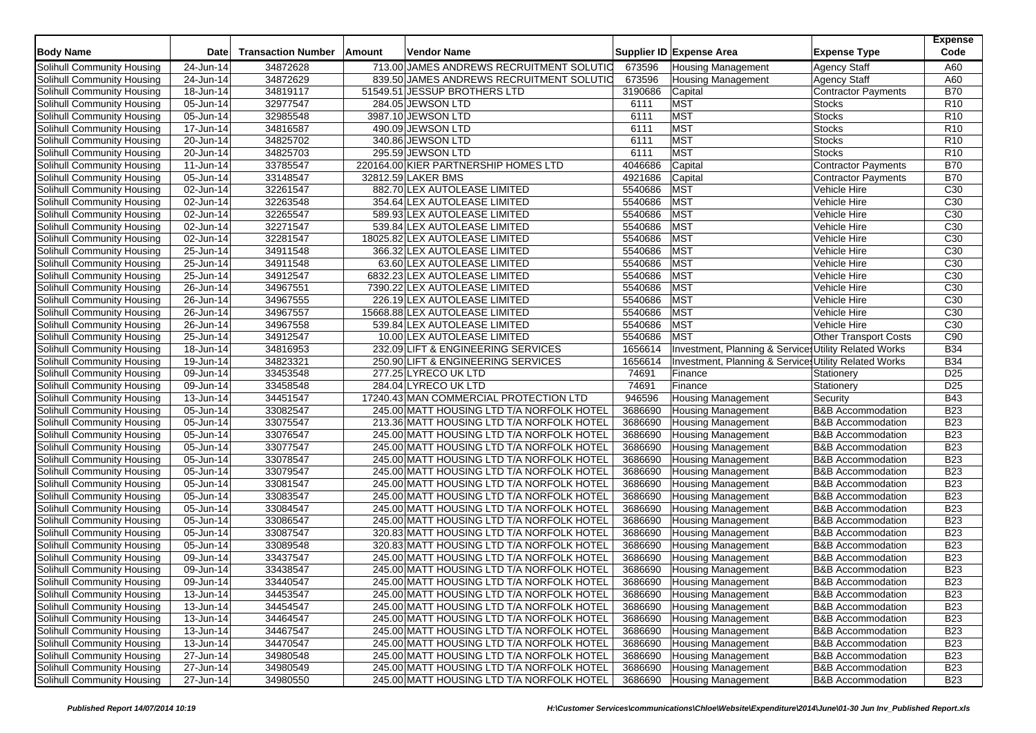| <b>Body Name</b>           | <b>Date</b>             | <b>Transaction Number</b> | Amount | Vendor Name                                                                            |         | Supplier ID Expense Area                              | <b>Expense Type</b>          | <b>Expense</b><br>Code |
|----------------------------|-------------------------|---------------------------|--------|----------------------------------------------------------------------------------------|---------|-------------------------------------------------------|------------------------------|------------------------|
| Solihull Community Housing | 24-Jun-14               | 34872628                  |        | 713.00 JAMES ANDREWS RECRUITMENT SOLUTIC                                               | 673596  | <b>Housing Management</b>                             | <b>Agency Staff</b>          | A60                    |
| Solihull Community Housing | 24-Jun-14               | 34872629                  |        | 839.50 JAMES ANDREWS RECRUITMENT SOLUTIO                                               | 673596  | <b>Housing Management</b>                             | <b>Agency Staff</b>          | A60                    |
| Solihull Community Housing | 18-Jun-14               | 34819117                  |        | 51549.51 JESSUP BROTHERS LTD                                                           | 3190686 | Capital                                               | <b>Contractor Payments</b>   | <b>B70</b>             |
| Solihull Community Housing | 05-Jun-14               | 32977547                  |        | 284.05 JEWSON LTD                                                                      | 6111    | <b>MST</b>                                            | <b>Stocks</b>                | R <sub>10</sub>        |
| Solihull Community Housing | 05-Jun-14               | 32985548                  |        | 3987.10 JEWSON LTD                                                                     | 6111    | <b>MST</b>                                            | <b>Stocks</b>                | R <sub>10</sub>        |
| Solihull Community Housing | 17-Jun-14               | 34816587                  |        | 490.09 JEWSON LTD                                                                      | 6111    | <b>MST</b>                                            | <b>Stocks</b>                | R <sub>10</sub>        |
| Solihull Community Housing | 20-Jun-14               | 34825702                  |        | 340.86 JEWSON LTD                                                                      | 6111    | <b>MST</b>                                            | <b>Stocks</b>                | R <sub>10</sub>        |
| Solihull Community Housing | 20-Jun-14               | 34825703                  |        | 295.59 JEWSON LTD                                                                      | 6111    | <b>MST</b>                                            | <b>Stocks</b>                | R <sub>10</sub>        |
| Solihull Community Housing | 11-Jun-14               | 33785547                  |        | 220164.00 KIER PARTNERSHIP HOMES LTD                                                   | 4046686 | Capital                                               | <b>Contractor Payments</b>   | <b>B70</b>             |
| Solihull Community Housing | 05-Jun-14               | 33148547                  |        | 32812.59 LAKER BMS                                                                     | 4921686 | Capital                                               | <b>Contractor Payments</b>   | <b>B70</b>             |
| Solihull Community Housing | 02-Jun-14               | 32261547                  |        | 882.70 LEX AUTOLEASE LIMITED                                                           | 5540686 | <b>MST</b>                                            | Vehicle Hire                 | C <sub>30</sub>        |
| Solihull Community Housing | 02-Jun-14               | 32263548                  |        | 354.64 LEX AUTOLEASE LIMITED                                                           | 5540686 | <b>MST</b>                                            | Vehicle Hire                 | C <sub>30</sub>        |
| Solihull Community Housing | $\overline{0}$ 2-Jun-14 | 32265547                  |        | 589.93 LEX AUTOLEASE LIMITED                                                           | 5540686 | <b>MST</b>                                            | Vehicle Hire                 | C <sub>30</sub>        |
| Solihull Community Housing | 02-Jun-14               | 32271547                  |        | 539.84 LEX AUTOLEASE LIMITED                                                           | 5540686 | <b>MST</b>                                            | Vehicle Hire                 | C <sub>30</sub>        |
| Solihull Community Housing | 02-Jun-14               | 32281547                  |        | 18025.82 LEX AUTOLEASE LIMITED                                                         | 5540686 | <b>MST</b>                                            | Vehicle Hire                 | C30                    |
| Solihull Community Housing | 25-Jun-14               | 34911548                  |        | 366.32 LEX AUTOLEASE LIMITED                                                           | 5540686 | <b>MST</b>                                            | Vehicle Hire                 | C30                    |
| Solihull Community Housing | 25-Jun-14               | 34911548                  |        | 63.60 LEX AUTOLEASE LIMITED                                                            | 5540686 | <b>MST</b>                                            | Vehicle Hire                 | C <sub>30</sub>        |
| Solihull Community Housing | 25-Jun-14               | 34912547                  |        | 6832.23 LEX AUTOLEASE LIMITED                                                          | 5540686 | <b>MST</b>                                            | Vehicle Hire                 | C <sub>30</sub>        |
| Solihull Community Housing | 26-Jun-14               | 34967551                  |        | 7390.22 LEX AUTOLEASE LIMITED                                                          | 5540686 | <b>MST</b>                                            | Vehicle Hire                 | C30                    |
| Solihull Community Housing | 26-Jun-14               | 34967555                  |        | 226.19 LEX AUTOLEASE LIMITED                                                           | 5540686 | <b>MST</b>                                            | Vehicle Hire                 | C <sub>30</sub>        |
| Solihull Community Housing | 26-Jun-14               | 34967557                  |        | 15668.88 LEX AUTOLEASE LIMITED                                                         | 5540686 | <b>MST</b>                                            | Vehicle Hire                 | C <sub>30</sub>        |
| Solihull Community Housing | $26 - Jun-14$           | 34967558                  |        | 539.84 LEX AUTOLEASE LIMITED                                                           | 5540686 | <b>MST</b>                                            | Vehicle Hire                 | C <sub>30</sub>        |
| Solihull Community Housing | 25-Jun-14               | 34912547                  |        | 10.00 LEX AUTOLEASE LIMITED                                                            | 5540686 | <b>MST</b>                                            | <b>Other Transport Costs</b> | C90                    |
| Solihull Community Housing | $\overline{18}$ -Jun-14 | 34816953                  |        | 232.09 LIFT & ENGINEERING SERVICES                                                     | 1656614 | Investment, Planning & Service: Utility Related Works |                              | <b>B34</b>             |
| Solihull Community Housing | 19-Jun-14               | 34823321                  |        | 250.90 LIFT & ENGINEERING SERVICES                                                     | 1656614 | Investment, Planning & Service: Utility Related Works |                              | <b>B34</b>             |
| Solihull Community Housing | 09-Jun-14               | 33453548                  |        | 277.25 LYRECO UK LTD                                                                   | 74691   | Finance                                               | Stationery                   | D <sub>25</sub>        |
| Solihull Community Housing | 09-Jun-14               | 33458548                  |        | 284.04 LYRECO UK LTD                                                                   | 74691   | Finance                                               | Stationery                   | D <sub>25</sub>        |
| Solihull Community Housing | 13-Jun-14               | 34451547                  |        | 17240.43 MAN COMMERCIAL PROTECTION LTD                                                 | 946596  | <b>Housing Management</b>                             | Security                     | <b>B43</b>             |
| Solihull Community Housing | 05-Jun-14               | 33082547                  |        | 245.00 MATT HOUSING LTD T/A NORFOLK HOTEL                                              | 3686690 | <b>Housing Management</b>                             | <b>B&amp;B Accommodation</b> | <b>B23</b>             |
| Solihull Community Housing | 05-Jun-14               | 33075547                  |        | 213.36 MATT HOUSING LTD T/A NORFOLK HOTEL                                              | 3686690 | <b>Housing Management</b>                             | <b>B&amp;B</b> Accommodation | <b>B23</b>             |
| Solihull Community Housing | 05-Jun-14               | 33076547                  |        | 245.00 MATT HOUSING LTD T/A NORFOLK HOTEL                                              | 3686690 | <b>Housing Management</b>                             | <b>B&amp;B Accommodation</b> | <b>B23</b>             |
| Solihull Community Housing | 05-Jun-14               | 33077547                  |        | 245.00 MATT HOUSING LTD T/A NORFOLK HOTEL                                              | 3686690 | <b>Housing Management</b>                             | <b>B&amp;B Accommodation</b> | <b>B23</b>             |
| Solihull Community Housing | 05-Jun-14               | 33078547                  |        | 245.00 MATT HOUSING LTD T/A NORFOLK HOTEL                                              | 3686690 | <b>Housing Management</b>                             | <b>B&amp;B Accommodation</b> | <b>B23</b>             |
| Solihull Community Housing | 05-Jun-14               | 33079547                  |        | 245.00 MATT HOUSING LTD T/A NORFOLK HOTEL                                              | 3686690 | <b>Housing Management</b>                             | <b>B&amp;B Accommodation</b> | <b>B23</b>             |
| Solihull Community Housing | 05-Jun-14               | 33081547                  |        | 245.00 MATT HOUSING LTD T/A NORFOLK HOTEL                                              | 3686690 | <b>Housing Management</b>                             | <b>B&amp;B Accommodation</b> | <b>B23</b>             |
| Solihull Community Housing | 05-Jun-14               | 33083547                  |        | 245.00 MATT HOUSING LTD T/A NORFOLK HOTEL                                              | 3686690 | <b>Housing Management</b>                             | <b>B&amp;B Accommodation</b> | <b>B23</b>             |
| Solihull Community Housing | $\overline{05}$ -Jun-14 | 33084547                  |        | 245.00 MATT HOUSING LTD T/A NORFOLK HOTEL                                              | 3686690 | <b>Housing Management</b>                             | <b>B&amp;B Accommodation</b> | <b>B23</b>             |
| Solihull Community Housing | 05-Jun-14               | 33086547                  |        | 245.00 MATT HOUSING LTD T/A NORFOLK HOTEL                                              | 3686690 | <b>Housing Management</b>                             | <b>B&amp;B Accommodation</b> | <b>B23</b>             |
| Solihull Community Housing | 05-Jun-14               | 33087547                  |        | 320.83 MATT HOUSING LTD T/A NORFOLK HOTEL                                              | 3686690 | <b>Housing Management</b>                             | <b>B&amp;B Accommodation</b> | <b>B23</b>             |
| Solihull Community Housing | 05-Jun-14               | 33089548                  |        | 320.83 MATT HOUSING LTD T/A NORFOLK HOTEL                                              | 3686690 | <b>Housing Management</b>                             | <b>B&amp;B Accommodation</b> | <b>B23</b>             |
| Solihull Community Housing | 09-Jun-14               | 33437547                  |        | 245.00 MATT HOUSING LTD T/A NORFOLK HOTEL                                              | 3686690 | <b>Housing Management</b>                             | <b>B&amp;B Accommodation</b> | <b>B23</b>             |
| Solihull Community Housing | 09-Jun-14               | 33438547                  |        | 245.00 MATT HOUSING LTD T/A NORFOLK HOTEL                                              | 3686690 | <b>Housing Management</b>                             | <b>B&amp;B Accommodation</b> | <b>B23</b>             |
| Solihull Community Housing | 09-Jun-14               | 33440547                  |        | 245.00 MATT HOUSING LTD T/A NORFOLK HOTEL                                              | 3686690 | <b>Housing Management</b>                             | <b>B&amp;B Accommodation</b> | <b>B23</b>             |
| Solihull Community Housing | 13-Jun-14               | 34453547                  |        | 245.00 MATT HOUSING LTD T/A NORFOLK HOTEL                                              | 3686690 | <b>Housing Management</b>                             | <b>B&amp;B Accommodation</b> | <b>B23</b>             |
| Solihull Community Housing | $\overline{1}$ 3-Jun-14 | 34454547                  |        | 245.00 MATT HOUSING LTD T/A NORFOLK HOTEL                                              | 3686690 | <b>Housing Management</b>                             | <b>B&amp;B Accommodation</b> | <b>B23</b>             |
| Solihull Community Housing |                         |                           |        |                                                                                        |         |                                                       |                              |                        |
|                            | 13-Jun-14               | 34464547                  |        | 245.00 MATT HOUSING LTD T/A NORFOLK HOTEL                                              | 3686690 | <b>Housing Management</b>                             | <b>B&amp;B Accommodation</b> | <b>B23</b>             |
| Solihull Community Housing | 13-Jun-14               | 34467547                  |        | 245.00 MATT HOUSING LTD T/A NORFOLK HOTEL                                              | 3686690 | <b>Housing Management</b>                             | <b>B&amp;B Accommodation</b> | <b>B23</b>             |
| Solihull Community Housing | 13-Jun-14               | 34470547<br>34980548      |        | 245.00 MATT HOUSING LTD T/A NORFOLK HOTEL                                              | 3686690 | <b>Housing Management</b>                             | <b>B&amp;B Accommodation</b> | <b>B23</b>             |
| Solihull Community Housing | 27-Jun-14               |                           |        | 245.00 MATT HOUSING LTD T/A NORFOLK HOTEL                                              | 3686690 | <b>Housing Management</b>                             | <b>B&amp;B Accommodation</b> | <b>B23</b>             |
| Solihull Community Housing | 27-Jun-14               | 34980549                  |        | 245.00 MATT HOUSING LTD T/A NORFOLK HOTEL<br>245.00 MATT HOUSING LTD T/A NORFOLK HOTEL | 3686690 | <b>Housing Management</b>                             | <b>B&amp;B Accommodation</b> | <b>B23</b>             |
| Solihull Community Housing | 27-Jun-14               | 34980550                  |        |                                                                                        | 3686690 | <b>Housing Management</b>                             | <b>B&amp;B Accommodation</b> | <b>B23</b>             |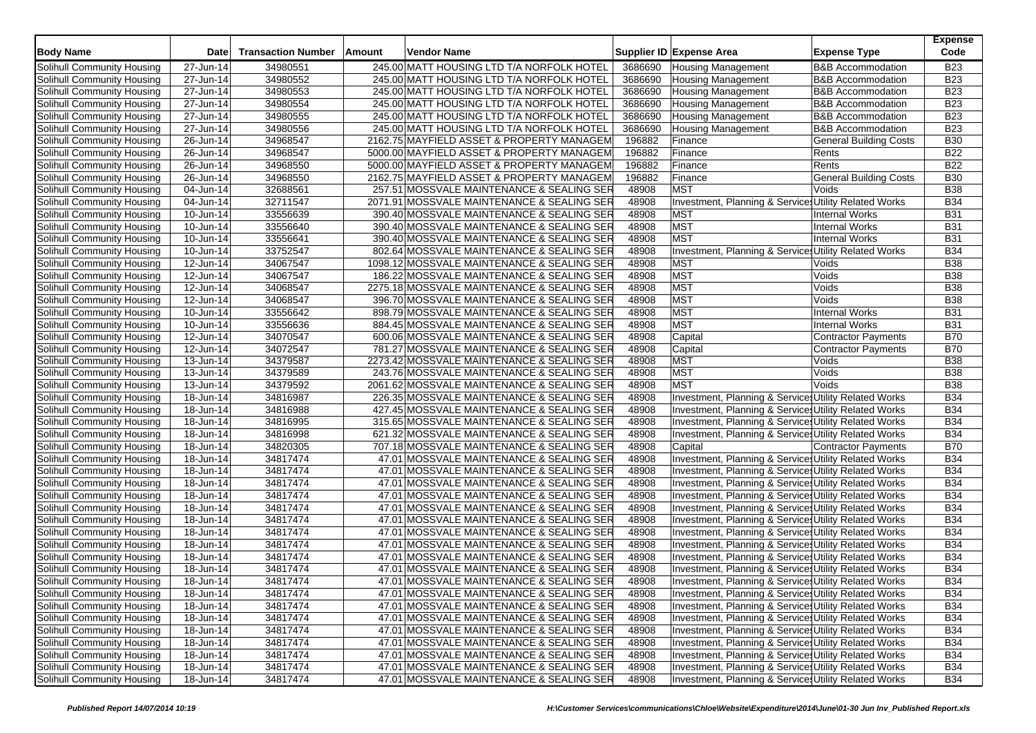| <b>Body Name</b>           | <b>Date</b>             | <b>Transaction Number</b> | Amount | <b>Vendor Name</b>                         |                | Supplier ID Expense Area                              | <b>Expense Type</b>                 | <b>Expense</b><br>Code |
|----------------------------|-------------------------|---------------------------|--------|--------------------------------------------|----------------|-------------------------------------------------------|-------------------------------------|------------------------|
| Solihull Community Housing | 27-Jun-14               | 34980551                  |        | 245.00 MATT HOUSING LTD T/A NORFOLK HOTEL  | 3686690        | <b>Housing Management</b>                             | <b>B&amp;B Accommodation</b>        | <b>B23</b>             |
| Solihull Community Housing | 27-Jun-14               | 34980552                  |        | 245.00 MATT HOUSING LTD T/A NORFOLK HOTEL  | 3686690        | <b>Housing Management</b>                             | <b>B&amp;B Accommodation</b>        | <b>B23</b>             |
| Solihull Community Housing | 27-Jun-14               | 34980553                  |        | 245.00 MATT HOUSING LTD T/A NORFOLK HOTEL  | 3686690        | <b>Housing Management</b>                             | <b>B&amp;B Accommodation</b>        | <b>B23</b>             |
| Solihull Community Housing | 27-Jun-14               | 34980554                  |        | 245.00 MATT HOUSING LTD T/A NORFOLK HOTEL  | 3686690        | <b>Housing Management</b>                             | <b>B&amp;B Accommodation</b>        | <b>B23</b>             |
| Solihull Community Housing | $\overline{27}$ -Jun-14 | 34980555                  |        | 245.00 MATT HOUSING LTD T/A NORFOLK HOTEL  | 3686690        | <b>Housing Management</b>                             | <b>B&amp;B Accommodation</b>        | <b>B23</b>             |
| Solihull Community Housing | 27-Jun-14               | 34980556                  |        | 245.00 MATT HOUSING LTD T/A NORFOLK HOTEL  | 3686690        | <b>Housing Management</b>                             | <b>B&amp;B Accommodation</b>        | <b>B23</b>             |
| Solihull Community Housing | 26-Jun-14               | 34968547                  |        | 2162.75 MAYFIELD ASSET & PROPERTY MANAGEM  | 196882         | Finance                                               | <b>General Building Costs</b>       | <b>B30</b>             |
| Solihull Community Housing | 26-Jun-14               | 34968547                  |        | 5000.00 MAYFIELD ASSET & PROPERTY MANAGEM  | 196882         | Finance                                               | Rents                               | <b>B22</b>             |
| Solihull Community Housing | 26-Jun-14               | 34968550                  |        | 5000.00 MAYFIELD ASSET & PROPERTY MANAGEM  | 196882         | Finance                                               | Rents                               | <b>B22</b>             |
| Solihull Community Housing | 26-Jun-14               | 34968550                  |        | 2162.75 MAYFIELD ASSET & PROPERTY MANAGEM  | 196882         | Finance                                               | <b>General Building Costs</b>       | <b>B30</b>             |
| Solihull Community Housing | 04-Jun-14               | 32688561                  |        | 257.51 MOSSVALE MAINTENANCE & SEALING SER  | 48908          | <b>MST</b>                                            | Voids                               | <b>B38</b>             |
| Solihull Community Housing | 04-Jun-14               | 32711547                  |        | 2071.91 MOSSVALE MAINTENANCE & SEALING SER | 48908          | Investment, Planning & Services Utility Related Works |                                     | <b>B34</b>             |
| Solihull Community Housing | 10-Jun-14               | 33556639                  |        | 390.40 MOSSVALE MAINTENANCE & SEALING SER  | 48908          | <b>MST</b>                                            | <b>Internal Works</b>               | <b>B31</b>             |
| Solihull Community Housing | 10-Jun-14               | 33556640                  |        | 390.40 MOSSVALE MAINTENANCE & SEALING SER  | 48908          | <b>MST</b>                                            | <b>Internal Works</b>               | <b>B31</b>             |
| Solihull Community Housing | 10-Jun-14               | 33556641                  |        | 390.40 MOSSVALE MAINTENANCE & SEALING SER  | 48908          | <b>MST</b>                                            | <b>Internal Works</b>               | <b>B31</b>             |
| Solihull Community Housing | 10-Jun-14               | 33752547                  |        | 802.64 MOSSVALE MAINTENANCE & SEALING SER  | 48908          | Investment, Planning & Service: Utility Related Works |                                     | <b>B34</b>             |
| Solihull Community Housing | 12-Jun-14               | 34067547                  |        | 1098.12 MOSSVALE MAINTENANCE & SEALING SER | 48908          | <b>MST</b>                                            | Voids                               | <b>B38</b>             |
| Solihull Community Housing | 12-Jun-14               | 34067547                  |        | 186.22 MOSSVALE MAINTENANCE & SEALING SER  | 48908          | <b>MST</b>                                            | Voids                               | <b>B38</b>             |
| Solihull Community Housing | 12-Jun-14               | 34068547                  |        | 2275.18 MOSSVALE MAINTENANCE & SEALING SER | 48908          | <b>MST</b>                                            | Voids                               | <b>B38</b>             |
| Solihull Community Housing | 12-Jun-14               | 34068547                  |        | 396.70 MOSSVALE MAINTENANCE & SEALING SER  | 48908          | <b>MST</b>                                            | Voids                               | <b>B38</b>             |
| Solihull Community Housing | 10-Jun-14               | 33556642                  |        | 898.79 MOSSVALE MAINTENANCE & SEALING SER  | 48908          | <b>MST</b>                                            | <b>Internal Works</b>               | <b>B31</b>             |
| Solihull Community Housing | 10-Jun-14               | 33556636                  |        | 884.45 MOSSVALE MAINTENANCE & SEALING SER  | 48908          | <b>MST</b>                                            | <b>Internal Works</b>               | <b>B31</b>             |
| Solihull Community Housing | 12-Jun-14               | 34070547                  |        | 600.06 MOSSVALE MAINTENANCE & SEALING SER  | 48908          | Capital                                               | <b>Contractor Payments</b>          | <b>B70</b>             |
| Solihull Community Housing | 12-Jun-14               | 34072547                  |        | 781.27 MOSSVALE MAINTENANCE & SEALING SER  |                |                                                       |                                     | <b>B70</b>             |
| Solihull Community Housing | 13-Jun-14               | 34379587                  |        | 2273.42 MOSSVALE MAINTENANCE & SEALING SER | 48908<br>48908 | Capital<br><b>MST</b>                                 | <b>Contractor Payments</b><br>Voids | <b>B38</b>             |
| Solihull Community Housing | 13-Jun-14               | 34379589                  |        | 243.76 MOSSVALE MAINTENANCE & SEALING SER  | 48908          | <b>MST</b>                                            | Voids                               | <b>B</b> 38            |
| Solihull Community Housing | 13-Jun-14               | 34379592                  |        | 2061.62 MOSSVALE MAINTENANCE & SEALING SER | 48908          | <b>MST</b>                                            | Voids                               | <b>B38</b>             |
| Solihull Community Housing | 18-Jun-14               | 34816987                  |        | 226.35 MOSSVALE MAINTENANCE & SEALING SER  | 48908          | Investment, Planning & Service: Utility Related Works |                                     | <b>B34</b>             |
| Solihull Community Housing | 18-Jun-14               | 34816988                  |        | 427.45 MOSSVALE MAINTENANCE & SEALING SER  | 48908          | Investment, Planning & Service: Utility Related Works |                                     | <b>B34</b>             |
| Solihull Community Housing | 18-Jun-14               | 34816995                  |        | 315.65 MOSSVALE MAINTENANCE & SEALING SER  | 48908          | Investment, Planning & Services Utility Related Works |                                     | <b>B34</b>             |
| Solihull Community Housing | 18-Jun-14               | 34816998                  |        | 621.32 MOSSVALE MAINTENANCE & SEALING SER  | 48908          | Investment, Planning & Service: Utility Related Works |                                     | <b>B34</b>             |
| Solihull Community Housing | 18-Jun-14               | 34820305                  |        | 707.18 MOSSVALE MAINTENANCE & SEALING SER  | 48908          | Capital                                               | <b>Contractor Payments</b>          | <b>B70</b>             |
| Solihull Community Housing | 18-Jun-14               | 34817474                  |        | 47.01 MOSSVALE MAINTENANCE & SEALING SER   | 48908          | Investment, Planning & Service Utility Related Works  |                                     | <b>B34</b>             |
|                            |                         |                           |        |                                            |                |                                                       |                                     | <b>B34</b>             |
| Solihull Community Housing | 18-Jun-14               | 34817474                  |        | 47.01 MOSSVALE MAINTENANCE & SEALING SER   | 48908          | Investment, Planning & Service: Utility Related Works |                                     | <b>B34</b>             |
| Solihull Community Housing | 18-Jun-14               | 34817474<br>34817474      |        | 47.01 MOSSVALE MAINTENANCE & SEALING SER   | 48908<br>48908 | Investment, Planning & Services Utility Related Works |                                     | <b>B34</b>             |
| Solihull Community Housing | 18-Jun-14               |                           |        | 47.01 MOSSVALE MAINTENANCE & SEALING SER   |                | Investment, Planning & Service: Utility Related Works |                                     | <b>B34</b>             |
| Solihull Community Housing | 18-Jun-14               | 34817474                  |        | 47.01 MOSSVALE MAINTENANCE & SEALING SER   | 48908          | Investment, Planning & Services Utility Related Works |                                     |                        |
| Solihull Community Housing | 18-Jun-14               | 34817474                  |        | 47.01 MOSSVALE MAINTENANCE & SEALING SER   | 48908          | Investment, Planning & Services Utility Related Works |                                     | <b>B34</b>             |
| Solihull Community Housing | 18-Jun-14               | 34817474                  |        | 47.01 MOSSVALE MAINTENANCE & SEALING SER   | 48908          | Investment, Planning & Service Utility Related Works  |                                     | <b>B34</b>             |
| Solihull Community Housing | 18-Jun-14               | 34817474                  |        | 47.01 MOSSVALE MAINTENANCE & SEALING SER   | 48908          | Investment, Planning & Services Utility Related Works |                                     | <b>B34</b>             |
| Solihull Community Housing | 18-Jun-14               | 34817474                  |        | 47.01 MOSSVALE MAINTENANCE & SEALING SER   | 48908          | Investment, Planning & Services Utility Related Works |                                     | <b>B34</b>             |
| Solihull Community Housing | 18-Jun-14               | 34817474                  |        | 47.01 MOSSVALE MAINTENANCE & SEALING SER   | 48908          | Investment, Planning & Service: Utility Related Works |                                     | <b>B34</b>             |
| Solihull Community Housing | 18-Jun-14               | 34817474                  |        | 47.01 MOSSVALE MAINTENANCE & SEALING SER   | 48908          | Investment, Planning & Services Utility Related Works |                                     | <b>B34</b>             |
| Solihull Community Housing | 18-Jun-14               | 34817474                  |        | 47.01 MOSSVALE MAINTENANCE & SEALING SER   | 48908          | Investment, Planning & Services Utility Related Works |                                     | <b>B34</b>             |
| Solihull Community Housing | 18-Jun-14               | 34817474                  |        | 47.01 MOSSVALE MAINTENANCE & SEALING SER   | 48908          | Investment, Planning & Services Utility Related Works |                                     | <b>B34</b>             |
| Solihull Community Housing | 18-Jun-14               | 34817474                  |        | 47.01 MOSSVALE MAINTENANCE & SEALING SER   | 48908          | Investment, Planning & Services Utility Related Works |                                     | <b>B34</b>             |
| Solihull Community Housing | 18-Jun-14               | 34817474                  |        | 47.01 MOSSVALE MAINTENANCE & SEALING SER   | 48908          | Investment, Planning & Services Utility Related Works |                                     | <b>B34</b>             |
| Solihull Community Housing | 18-Jun-14               | 34817474                  |        | 47.01 MOSSVALE MAINTENANCE & SEALING SER   | 48908          | Investment, Planning & Services Utility Related Works |                                     | <b>B34</b>             |
| Solihull Community Housing | 18-Jun-14               | 34817474                  |        | 47.01 MOSSVALE MAINTENANCE & SEALING SER   | 48908          | Investment, Planning & Services Utility Related Works |                                     | <b>B34</b>             |
| Solihull Community Housing | 18-Jun-14               | 34817474                  |        | 47.01 MOSSVALE MAINTENANCE & SEALING SER   | 48908          | Investment, Planning & Services Utility Related Works |                                     | <b>B34</b>             |
| Solihull Community Housing | 18-Jun-14               | 34817474                  |        | 47.01 MOSSVALE MAINTENANCE & SEALING SER   | 48908          | Investment, Planning & Services Utility Related Works |                                     | <b>B34</b>             |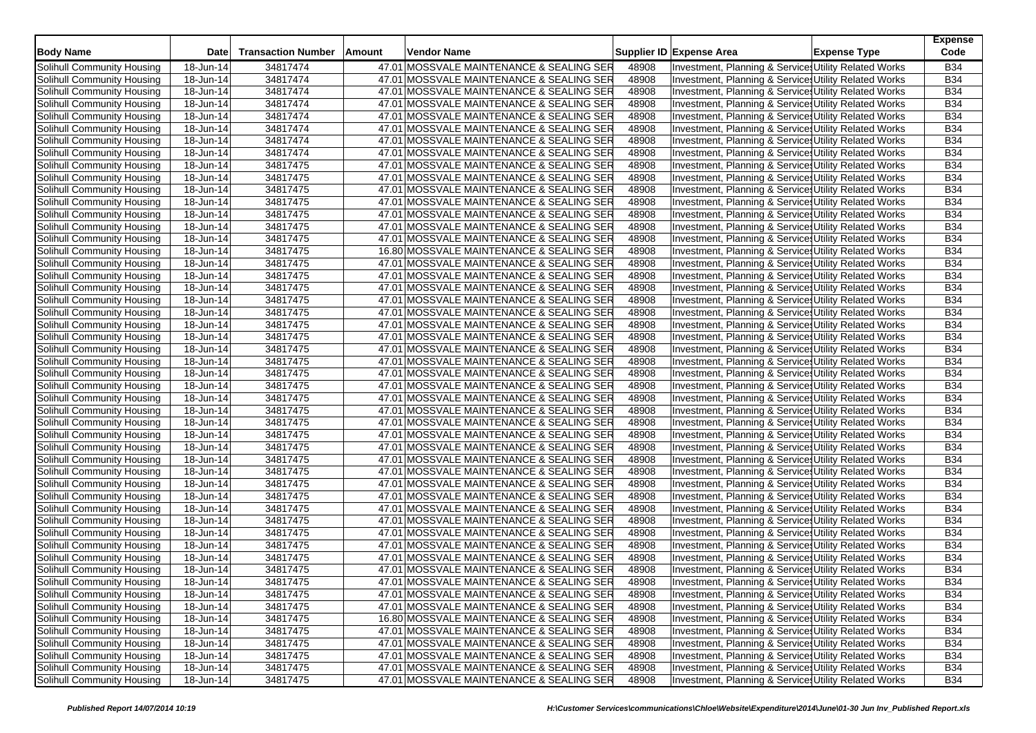| <b>Body Name</b>           | <b>Date</b> | <b>Transaction Number</b> | Amount | Vendor Name                              |       | Supplier ID Expense Area                              | <b>Expense Type</b> | <b>Expense</b><br>Code |
|----------------------------|-------------|---------------------------|--------|------------------------------------------|-------|-------------------------------------------------------|---------------------|------------------------|
| Solihull Community Housing | 18-Jun-14   | 34817474                  |        | 47.01 MOSSVALE MAINTENANCE & SEALING SER | 48908 | Investment, Planning & Service: Utility Related Works |                     | <b>B34</b>             |
| Solihull Community Housing | 18-Jun-14   | 34817474                  |        | 47.01 MOSSVALE MAINTENANCE & SEALING SER | 48908 | Investment, Planning & Service: Utility Related Works |                     | <b>B34</b>             |
| Solihull Community Housing | 18-Jun-14   | 34817474                  |        | 47.01 MOSSVALE MAINTENANCE & SEALING SER | 48908 | Investment, Planning & Service: Utility Related Works |                     | <b>B34</b>             |
| Solihull Community Housing | 18-Jun-14   | 34817474                  |        | 47.01 MOSSVALE MAINTENANCE & SEALING SER | 48908 | Investment, Planning & Service: Utility Related Works |                     | <b>B34</b>             |
| Solihull Community Housing | 18-Jun-14   | 34817474                  |        | 47.01 MOSSVALE MAINTENANCE & SEALING SER | 48908 | Investment, Planning & Service: Utility Related Works |                     | <b>B34</b>             |
| Solihull Community Housing | 18-Jun-14   | 34817474                  |        | 47.01 MOSSVALE MAINTENANCE & SEALING SER | 48908 | Investment, Planning & Services Utility Related Works |                     | <b>B34</b>             |
| Solihull Community Housing | 18-Jun-14   | 34817474                  |        | 47.01 MOSSVALE MAINTENANCE & SEALING SER | 48908 | Investment, Planning & Service: Utility Related Works |                     | <b>B34</b>             |
| Solihull Community Housing | 18-Jun-14   | 34817474                  |        | 47.01 MOSSVALE MAINTENANCE & SEALING SER | 48908 | Investment, Planning & Services Utility Related Works |                     | <b>B34</b>             |
| Solihull Community Housing | 18-Jun-14   | 34817475                  |        | 47.01 MOSSVALE MAINTENANCE & SEALING SER | 48908 | Investment, Planning & Service: Utility Related Works |                     | <b>B34</b>             |
| Solihull Community Housing | 18-Jun-14   | 34817475                  |        | 47.01 MOSSVALE MAINTENANCE & SEALING SER | 48908 | Investment, Planning & Service: Utility Related Works |                     | <b>B34</b>             |
| Solihull Community Housing | 18-Jun-14   | 34817475                  |        | 47.01 MOSSVALE MAINTENANCE & SEALING SER | 48908 | Investment, Planning & Services Utility Related Works |                     | <b>B34</b>             |
| Solihull Community Housing | 18-Jun-14   | 34817475                  |        | 47.01 MOSSVALE MAINTENANCE & SEALING SER | 48908 | Investment, Planning & Service: Utility Related Works |                     | <b>B34</b>             |
| Solihull Community Housing | 18-Jun-14   | 34817475                  |        | 47.01 MOSSVALE MAINTENANCE & SEALING SER | 48908 | Investment, Planning & Services Utility Related Works |                     | <b>B34</b>             |
| Solihull Community Housing | 18-Jun-14   | 34817475                  |        | 47.01 MOSSVALE MAINTENANCE & SEALING SER | 48908 | Investment, Planning & Service: Utility Related Works |                     | <b>B34</b>             |
| Solihull Community Housing | 18-Jun-14   | 34817475                  |        | 47.01 MOSSVALE MAINTENANCE & SEALING SER | 48908 | Investment, Planning & Services Utility Related Works |                     | <b>B34</b>             |
| Solihull Community Housing | 18-Jun-14   | 34817475                  |        | 16.80 MOSSVALE MAINTENANCE & SEALING SER | 48908 | Investment, Planning & Service Utility Related Works  |                     | <b>B34</b>             |
| Solihull Community Housing | 18-Jun-14   | 34817475                  |        | 47.01 MOSSVALE MAINTENANCE & SEALING SER | 48908 | Investment, Planning & Service: Utility Related Works |                     | <b>B34</b>             |
| Solihull Community Housing | 18-Jun-14   | 34817475                  |        | 47.01 MOSSVALE MAINTENANCE & SEALING SER | 48908 | Investment, Planning & Service: Utility Related Works |                     | <b>B34</b>             |
| Solihull Community Housing | 18-Jun-14   | 34817475                  |        | 47.01 MOSSVALE MAINTENANCE & SEALING SER | 48908 | Investment, Planning & Service: Utility Related Works |                     | <b>B34</b>             |
| Solihull Community Housing | 18-Jun-14   | 34817475                  |        | 47.01 MOSSVALE MAINTENANCE & SEALING SER | 48908 | Investment, Planning & Service: Utility Related Works |                     | <b>B34</b>             |
| Solihull Community Housing | 18-Jun-14   | 34817475                  |        | 47.01 MOSSVALE MAINTENANCE & SEALING SER | 48908 | Investment, Planning & Service: Utility Related Works |                     | <b>B34</b>             |
| Solihull Community Housing | 18-Jun-14   | 34817475                  |        | 47.01 MOSSVALE MAINTENANCE & SEALING SER | 48908 | Investment, Planning & Services Utility Related Works |                     | <b>B34</b>             |
| Solihull Community Housing | 18-Jun-14   | 34817475                  |        | 47.01 MOSSVALE MAINTENANCE & SEALING SER | 48908 | Investment, Planning & Service: Utility Related Works |                     | <b>B34</b>             |
| Solihull Community Housing | 18-Jun-14   | 34817475                  |        | 47.01 MOSSVALE MAINTENANCE & SEALING SER | 48908 | Investment, Planning & Service: Utility Related Works |                     | <b>B34</b>             |
| Solihull Community Housing | 18-Jun-14   | 34817475                  |        | 47.01 MOSSVALE MAINTENANCE & SEALING SER | 48908 | Investment, Planning & Services Utility Related Works |                     | <b>B34</b>             |
| Solihull Community Housing | 18-Jun-14   | 34817475                  |        | 47.01 MOSSVALE MAINTENANCE & SEALING SER | 48908 | Investment, Planning & Service: Utility Related Works |                     | <b>B34</b>             |
| Solihull Community Housing | 18-Jun-14   | 34817475                  |        | 47.01 MOSSVALE MAINTENANCE & SEALING SER | 48908 | Investment, Planning & Service Utility Related Works  |                     | <b>B34</b>             |
| Solihull Community Housing | 18-Jun-14   | 34817475                  |        | 47.01 MOSSVALE MAINTENANCE & SEALING SER | 48908 | Investment, Planning & Service: Utility Related Works |                     | <b>B34</b>             |
| Solihull Community Housing | 18-Jun-14   | 34817475                  |        | 47.01 MOSSVALE MAINTENANCE & SEALING SER | 48908 | Investment, Planning & Services Utility Related Works |                     | <b>B34</b>             |
| Solihull Community Housing | 18-Jun-14   | 34817475                  |        | 47.01 MOSSVALE MAINTENANCE & SEALING SER | 48908 | Investment, Planning & Service Utility Related Works  |                     | <b>B34</b>             |
| Solihull Community Housing | 18-Jun-14   | 34817475                  |        | 47.01 MOSSVALE MAINTENANCE & SEALING SER | 48908 | Investment, Planning & Service: Utility Related Works |                     | <b>B34</b>             |
| Solihull Community Housing | 18-Jun-14   | 34817475                  |        | 47.01 MOSSVALE MAINTENANCE & SEALING SER | 48908 | Investment, Planning & Services Utility Related Works |                     | <b>B34</b>             |
| Solihull Community Housing | 18-Jun-14   | 34817475                  |        | 47.01 MOSSVALE MAINTENANCE & SEALING SER | 48908 | Investment, Planning & Service Utility Related Works  |                     | <b>B34</b>             |
| Solihull Community Housing | 18-Jun-14   | 34817475                  |        | 47.01 MOSSVALE MAINTENANCE & SEALING SER | 48908 | Investment, Planning & Service Utility Related Works  |                     | <b>B34</b>             |
| Solihull Community Housing | 18-Jun-14   | 34817475                  |        | 47.01 MOSSVALE MAINTENANCE & SEALING SER | 48908 | Investment, Planning & Services Utility Related Works |                     | <b>B34</b>             |
| Solihull Community Housing | 18-Jun-14   | 34817475                  |        | 47.01 MOSSVALE MAINTENANCE & SEALING SER | 48908 | Investment, Planning & Services Utility Related Works |                     | <b>B34</b>             |
| Solihull Community Housing | 18-Jun-14   | 34817475                  |        | 47.01 MOSSVALE MAINTENANCE & SEALING SER | 48908 | Investment, Planning & Service: Utility Related Works |                     | <b>B34</b>             |
| Solihull Community Housing | 18-Jun-14   | 34817475                  |        | 47.01 MOSSVALE MAINTENANCE & SEALING SER | 48908 | Investment, Planning & Service: Utility Related Works |                     | <b>B34</b>             |
| Solihull Community Housing | 18-Jun-14   | 34817475                  |        | 47.01 MOSSVALE MAINTENANCE & SEALING SER | 48908 | Investment, Planning & Services Utility Related Works |                     | <b>B34</b>             |
| Solihull Community Housing | 18-Jun-14   | 34817475                  |        | 47.01 MOSSVALE MAINTENANCE & SEALING SER | 48908 | Investment, Planning & Service: Utility Related Works |                     | <b>B34</b>             |
| Solihull Community Housing | 18-Jun-14   | 34817475                  |        | 47.01 MOSSVALE MAINTENANCE & SEALING SER | 48908 | Investment, Planning & Services Utility Related Works |                     | <b>B34</b>             |
| Solihull Community Housing | 18-Jun-14   | 34817475                  |        | 47.01 MOSSVALE MAINTENANCE & SEALING SER | 48908 | Investment, Planning & Services Utility Related Works |                     | <b>B34</b>             |
| Solihull Community Housing | 18-Jun-14   | 34817475                  |        | 47.01 MOSSVALE MAINTENANCE & SEALING SER | 48908 | Investment, Planning & Services Utility Related Works |                     | <b>B34</b>             |
| Solihull Community Housing | 18-Jun-14   | 34817475                  |        | 47.01 MOSSVALE MAINTENANCE & SEALING SER | 48908 | Investment, Planning & Services Utility Related Works |                     | <b>B34</b>             |
| Solihull Community Housing | 18-Jun-14   | 34817475                  |        | 47.01 MOSSVALE MAINTENANCE & SEALING SER | 48908 | Investment, Planning & Services Utility Related Works |                     | <b>B34</b>             |
| Solihull Community Housing | 18-Jun-14   | 34817475                  |        | 16.80 MOSSVALE MAINTENANCE & SEALING SER | 48908 | Investment, Planning & Services Utility Related Works |                     | B34                    |
| Solihull Community Housing | 18-Jun-14   | 34817475                  |        | 47.01 MOSSVALE MAINTENANCE & SEALING SER | 48908 | Investment, Planning & Services Utility Related Works |                     | <b>B34</b>             |
| Solihull Community Housing | 18-Jun-14   | 34817475                  |        | 47.01 MOSSVALE MAINTENANCE & SEALING SER | 48908 | Investment, Planning & Service Utility Related Works  |                     | <b>B34</b>             |
| Solihull Community Housing | 18-Jun-14   | 34817475                  |        | 47.01 MOSSVALE MAINTENANCE & SEALING SER | 48908 | Investment, Planning & Services Utility Related Works |                     | <b>B34</b>             |
| Solihull Community Housing | 18-Jun-14   | 34817475                  |        | 47.01 MOSSVALE MAINTENANCE & SEALING SER | 48908 | Investment, Planning & Service Utility Related Works  |                     | <b>B34</b>             |
| Solihull Community Housing | 18-Jun-14   | 34817475                  |        | 47.01 MOSSVALE MAINTENANCE & SEALING SER | 48908 | Investment, Planning & Services Utility Related Works |                     | <b>B34</b>             |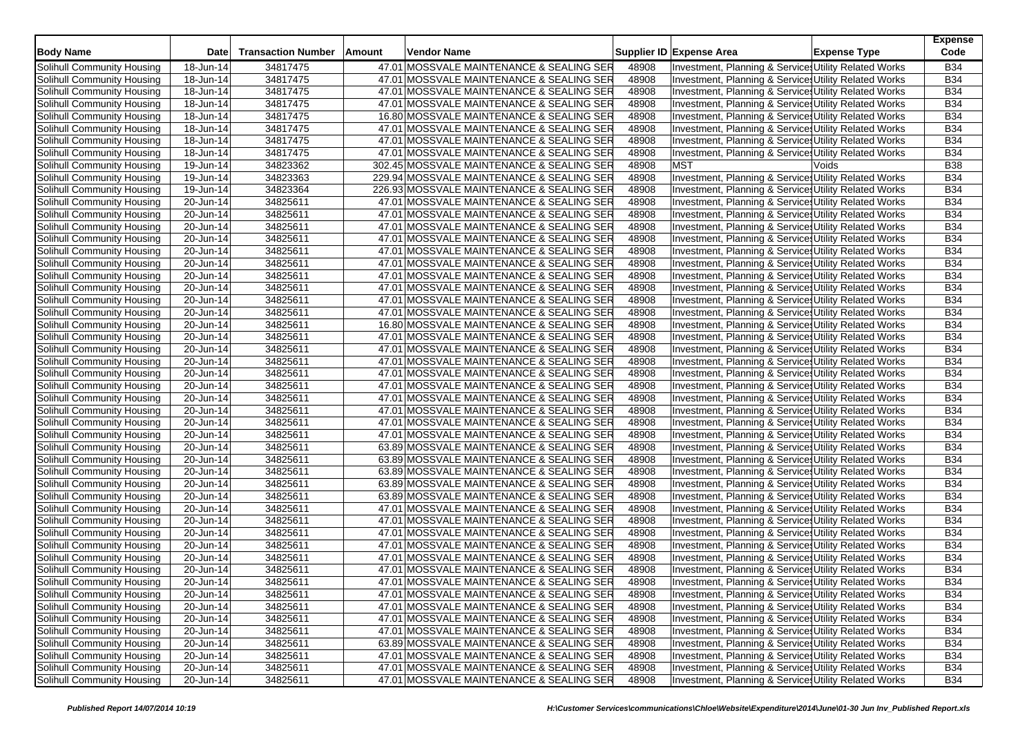| <b>Body Name</b>           | <b>Date</b>             | <b>Transaction Number</b> | Amount | Vendor Name                               |       | Supplier ID Expense Area                              | <b>Expense Type</b> | <b>Expense</b><br>Code |
|----------------------------|-------------------------|---------------------------|--------|-------------------------------------------|-------|-------------------------------------------------------|---------------------|------------------------|
| Solihull Community Housing | 18-Jun-14               | 34817475                  |        | 47.01 MOSSVALE MAINTENANCE & SEALING SER  | 48908 | Investment, Planning & Service: Utility Related Works |                     | <b>B34</b>             |
| Solihull Community Housing | 18-Jun-14               | 34817475                  |        | 47.01 MOSSVALE MAINTENANCE & SEALING SER  | 48908 | Investment, Planning & Service, Utility Related Works |                     | <b>B34</b>             |
| Solihull Community Housing | 18-Jun-14               | 34817475                  |        | 47.01 MOSSVALE MAINTENANCE & SEALING SER  | 48908 | Investment, Planning & Services Utility Related Works |                     | <b>B34</b>             |
| Solihull Community Housing | 18-Jun-14               | 34817475                  |        | 47.01 MOSSVALE MAINTENANCE & SEALING SER  | 48908 | Investment, Planning & Service: Utility Related Works |                     | <b>B34</b>             |
| Solihull Community Housing | 18-Jun-14               | 34817475                  |        | 16.80 MOSSVALE MAINTENANCE & SEALING SER  | 48908 | Investment, Planning & Service: Utility Related Works |                     | <b>B34</b>             |
| Solihull Community Housing | 18-Jun-14               | 34817475                  |        | 47.01 MOSSVALE MAINTENANCE & SEALING SER  | 48908 | Investment, Planning & Services Utility Related Works |                     | <b>B34</b>             |
| Solihull Community Housing | 18-Jun-14               | 34817475                  |        | 47.01 MOSSVALE MAINTENANCE & SEALING SER  | 48908 | Investment, Planning & Service: Utility Related Works |                     | <b>B34</b>             |
| Solihull Community Housing | 18-Jun-14               | 34817475                  |        | 47.01 MOSSVALE MAINTENANCE & SEALING SER  | 48908 | Investment, Planning & Service, Utility Related Works |                     | <b>B34</b>             |
| Solihull Community Housing | 19-Jun-14               | 34823362                  |        | 302.45 MOSSVALE MAINTENANCE & SEALING SER | 48908 | <b>MST</b>                                            | Voids               | <b>B38</b>             |
| Solihull Community Housing | 19-Jun-14               | 34823363                  |        | 229.94 MOSSVALE MAINTENANCE & SEALING SER | 48908 | Investment, Planning & Services Utility Related Works |                     | <b>B34</b>             |
| Solihull Community Housing | 19-Jun-14               | 34823364                  |        | 226.93 MOSSVALE MAINTENANCE & SEALING SER | 48908 | Investment, Planning & Service: Utility Related Works |                     | <b>B34</b>             |
| Solihull Community Housing | 20-Jun-14               | 34825611                  |        | 47.01 MOSSVALE MAINTENANCE & SEALING SER  | 48908 | Investment, Planning & Service: Utility Related Works |                     | <b>B34</b>             |
| Solihull Community Housing | 20-Jun-14               | 34825611                  |        | 47.01 MOSSVALE MAINTENANCE & SEALING SER  | 48908 | Investment, Planning & Services Utility Related Works |                     | <b>B34</b>             |
| Solihull Community Housing | 20-Jun-14               | 34825611                  |        | 47.01 MOSSVALE MAINTENANCE & SEALING SER  | 48908 | Investment, Planning & Service: Utility Related Works |                     | <b>B34</b>             |
| Solihull Community Housing | 20-Jun-14               | 34825611                  |        | 47.01 MOSSVALE MAINTENANCE & SEALING SER  | 48908 | Investment, Planning & Service, Utility Related Works |                     | <b>B34</b>             |
| Solihull Community Housing | 20-Jun-14               | 34825611                  |        | 47.01 MOSSVALE MAINTENANCE & SEALING SER  | 48908 | Investment, Planning & Service: Utility Related Works |                     | <b>B34</b>             |
| Solihull Community Housing | 20-Jun-14               | 34825611                  |        | 47.01 MOSSVALE MAINTENANCE & SEALING SER  | 48908 | Investment, Planning & Services Utility Related Works |                     | <b>B34</b>             |
| Solihull Community Housing | 20-Jun-14               | 34825611                  |        | 47.01 MOSSVALE MAINTENANCE & SEALING SER  | 48908 | Investment, Planning & Service, Utility Related Works |                     | <b>B34</b>             |
| Solihull Community Housing | 20-Jun-14               | 34825611                  |        | 47.01 MOSSVALE MAINTENANCE & SEALING SER  | 48908 | Investment, Planning & Service, Utility Related Works |                     | <b>B34</b>             |
| Solihull Community Housing | 20-Jun-14               | 34825611                  |        | 47.01 MOSSVALE MAINTENANCE & SEALING SER  | 48908 | Investment, Planning & Services Utility Related Works |                     | <b>B34</b>             |
| Solihull Community Housing | 20-Jun-14               | 34825611                  |        | 47.01 MOSSVALE MAINTENANCE & SEALING SER  | 48908 | Investment, Planning & Service, Utility Related Works |                     | <b>B34</b>             |
| Solihull Community Housing | $\overline{2}0$ -Jun-14 | 34825611                  |        | 16.80 MOSSVALE MAINTENANCE & SEALING SER  | 48908 | Investment, Planning & Service: Utility Related Works |                     | <b>B34</b>             |
| Solihull Community Housing | 20-Jun-14               | 34825611                  |        | 47.01 MOSSVALE MAINTENANCE & SEALING SER  | 48908 | Investment, Planning & Services Utility Related Works |                     | <b>B34</b>             |
| Solihull Community Housing | 20-Jun-14               | 34825611                  |        | 47.01 MOSSVALE MAINTENANCE & SEALING SER  | 48908 | Investment, Planning & Service: Utility Related Works |                     | <b>B34</b>             |
| Solihull Community Housing | 20-Jun-14               | 34825611                  |        | 47.01 MOSSVALE MAINTENANCE & SEALING SER  | 48908 | Investment, Planning & Service: Utility Related Works |                     | <b>B34</b>             |
| Solihull Community Housing | 20-Jun-14               | 34825611                  |        | 47.01 MOSSVALE MAINTENANCE & SEALING SER  | 48908 | Investment, Planning & Service Utility Related Works  |                     | <b>B34</b>             |
| Solihull Community Housing | 20-Jun-14               | 34825611                  |        | 47.01 MOSSVALE MAINTENANCE & SEALING SER  | 48908 | Investment, Planning & Service, Utility Related Works |                     | <b>B34</b>             |
| Solihull Community Housing | 20-Jun-14               | 34825611                  |        | 47.01 MOSSVALE MAINTENANCE & SEALING SER  | 48908 | Investment, Planning & Service: Utility Related Works |                     | <b>B34</b>             |
| Solihull Community Housing | 20-Jun-14               | 34825611                  |        | 47.01 MOSSVALE MAINTENANCE & SEALING SER  | 48908 | Investment, Planning & Service: Utility Related Works |                     | <b>B34</b>             |
| Solihull Community Housing | 20-Jun-14               | 34825611                  |        | 47.01 MOSSVALE MAINTENANCE & SEALING SER  | 48908 | Investment, Planning & Service, Utility Related Works |                     | <b>B34</b>             |
| Solihull Community Housing | 20-Jun-14               | 34825611                  |        | 47.01 MOSSVALE MAINTENANCE & SEALING SER  | 48908 | Investment, Planning & Services Utility Related Works |                     | <b>B34</b>             |
| Solihull Community Housing | 20-Jun-14               | 34825611                  |        | 63.89 MOSSVALE MAINTENANCE & SEALING SER  | 48908 | Investment, Planning & Service: Utility Related Works |                     | B34                    |
| Solihull Community Housing | 20-Jun-14               | 34825611                  |        | 63.89 MOSSVALE MAINTENANCE & SEALING SER  | 48908 | Investment, Planning & Service, Utility Related Works |                     | <b>B34</b>             |
| Solihull Community Housing | 20-Jun-14               | 34825611                  |        | 63.89 MOSSVALE MAINTENANCE & SEALING SER  | 48908 | Investment, Planning & Service: Utility Related Works |                     | <b>B34</b>             |
| Solihull Community Housing | 20-Jun-14               | 34825611                  |        | 63.89 MOSSVALE MAINTENANCE & SEALING SER  | 48908 | Investment, Planning & Services Utility Related Works |                     | B34                    |
| Solihull Community Housing | 20-Jun-14               | 34825611                  |        | 63.89 MOSSVALE MAINTENANCE & SEALING SER  | 48908 | Investment, Planning & Service, Utility Related Works |                     | <b>B34</b>             |
| Solihull Community Housing | 20-Jun-14               | 34825611                  |        | 47.01 MOSSVALE MAINTENANCE & SEALING SER  | 48908 | Investment, Planning & Services Utility Related Works |                     | B34                    |
| Solihull Community Housing | 20-Jun-14               | 34825611                  |        | 47.01 MOSSVALE MAINTENANCE & SEALING SER  | 48908 | Investment, Planning & Service: Utility Related Works |                     | B34                    |
| Solihull Community Housing | 20-Jun-14               | 34825611                  |        | 47.01 MOSSVALE MAINTENANCE & SEALING SER  | 48908 | Investment, Planning & Service: Utility Related Works |                     | <b>B34</b>             |
| Solihull Community Housing | 20-Jun-14               | 34825611                  |        | 47.01 MOSSVALE MAINTENANCE & SEALING SER  | 48908 | Investment, Planning & Service, Utility Related Works |                     | <b>B34</b>             |
| Solihull Community Housing | 20-Jun-14               | 34825611                  |        | 47.01 MOSSVALE MAINTENANCE & SEALING SER  | 48908 | Investment, Planning & Service: Utility Related Works |                     | <b>B34</b>             |
| Solihull Community Housing | 20-Jun-14               | 34825611                  |        | 47.01 MOSSVALE MAINTENANCE & SEALING SER  | 48908 | Investment, Planning & Service, Utility Related Works |                     | <b>B34</b>             |
| Solihull Community Housing | 20-Jun-14               | 34825611                  |        | 47.01 MOSSVALE MAINTENANCE & SEALING SER  | 48908 | Investment, Planning & Services Utility Related Works |                     | B34                    |
| Solihull Community Housing | 20-Jun-14               | 34825611                  |        | 47.01 MOSSVALE MAINTENANCE & SEALING SER  | 48908 | Investment, Planning & Services Utility Related Works |                     | <b>B34</b>             |
| Solihull Community Housing | $\overline{20}$ -Jun-14 | 34825611                  |        | 47.01 MOSSVALE MAINTENANCE & SEALING SER  | 48908 | Investment, Planning & Services Utility Related Works |                     | <b>B34</b>             |
| Solihull Community Housing | 20-Jun-14               | 34825611                  |        | 47.01 MOSSVALE MAINTENANCE & SEALING SER  | 48908 | Investment, Planning & Service: Utility Related Works |                     | B34                    |
| Solihull Community Housing | 20-Jun-14               | 34825611                  |        | 47.01 MOSSVALE MAINTENANCE & SEALING SER  | 48908 | Investment, Planning & Services Utility Related Works |                     | <b>B34</b>             |
| Solihull Community Housing | 20-Jun-14               | 34825611                  |        | 63.89 MOSSVALE MAINTENANCE & SEALING SER  | 48908 | Investment, Planning & Service Utility Related Works  |                     | <b>B34</b>             |
| Solihull Community Housing | 20-Jun-14               | 34825611                  |        | 47.01 MOSSVALE MAINTENANCE & SEALING SER  | 48908 | Investment, Planning & Services Utility Related Works |                     | <b>B34</b>             |
| Solihull Community Housing | 20-Jun-14               | 34825611                  |        | 47.01 MOSSVALE MAINTENANCE & SEALING SER  | 48908 | Investment, Planning & Service Utility Related Works  |                     | <b>B34</b>             |
| Solihull Community Housing | 20-Jun-14               | 34825611                  |        | 47.01 MOSSVALE MAINTENANCE & SEALING SER  | 48908 | Investment, Planning & Services Utility Related Works |                     | <b>B34</b>             |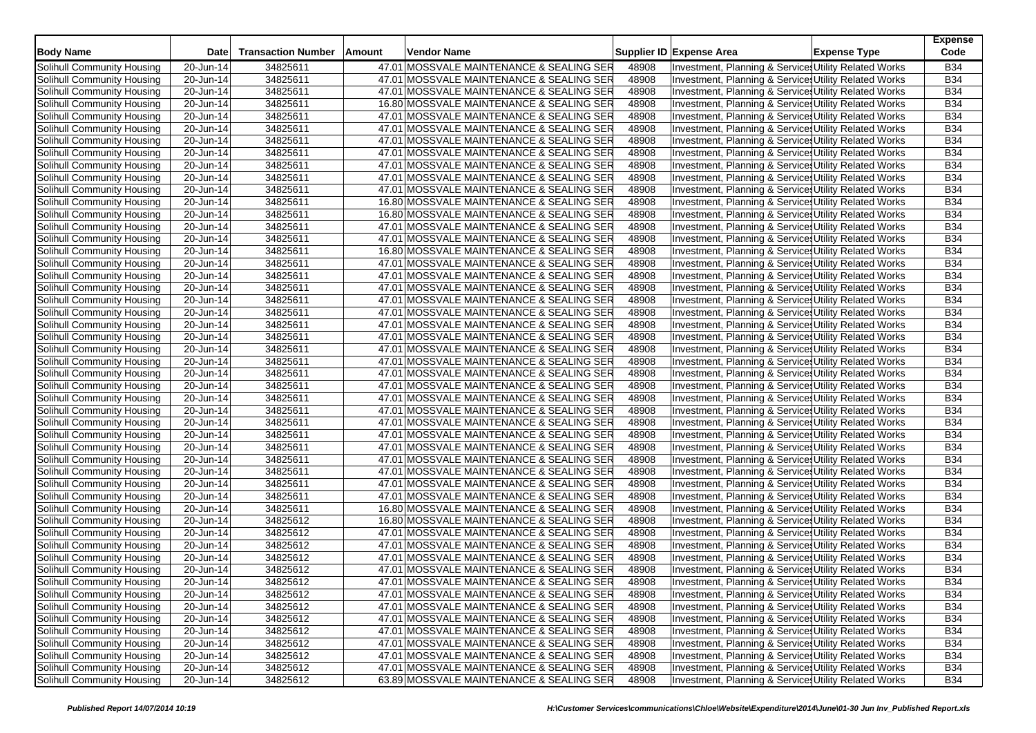| <b>Body Name</b>           | <b>Date</b>             | <b>Transaction Number</b> | Amount | Vendor Name                              |       | Supplier ID Expense Area                              | <b>Expense Type</b> | <b>Expense</b><br>Code |
|----------------------------|-------------------------|---------------------------|--------|------------------------------------------|-------|-------------------------------------------------------|---------------------|------------------------|
| Solihull Community Housing | 20-Jun-14               | 34825611                  |        | 47.01 MOSSVALE MAINTENANCE & SEALING SER | 48908 | Investment, Planning & Services Utility Related Works |                     | <b>B34</b>             |
| Solihull Community Housing | 20-Jun-14               | 34825611                  |        | 47.01 MOSSVALE MAINTENANCE & SEALING SER | 48908 | Investment, Planning & Service, Utility Related Works |                     | <b>B34</b>             |
| Solihull Community Housing | 20-Jun-14               | 34825611                  |        | 47.01 MOSSVALE MAINTENANCE & SEALING SER | 48908 | Investment, Planning & Service: Utility Related Works |                     | <b>B34</b>             |
| Solihull Community Housing | 20-Jun-14               | 34825611                  |        | 16.80 MOSSVALE MAINTENANCE & SEALING SER | 48908 | Investment, Planning & Service: Utility Related Works |                     | <b>B34</b>             |
| Solihull Community Housing | 20-Jun-14               | 34825611                  |        | 47.01 MOSSVALE MAINTENANCE & SEALING SER | 48908 | Investment, Planning & Service: Utility Related Works |                     | <b>B34</b>             |
| Solihull Community Housing | 20-Jun-14               | 34825611                  |        | 47.01 MOSSVALE MAINTENANCE & SEALING SER | 48908 | Investment, Planning & Service: Utility Related Works |                     | <b>B34</b>             |
| Solihull Community Housing | 20-Jun-14               | 34825611                  |        | 47.01 MOSSVALE MAINTENANCE & SEALING SER | 48908 | Investment, Planning & Service: Utility Related Works |                     | <b>B34</b>             |
| Solihull Community Housing | 20-Jun-14               | 34825611                  |        | 47.01 MOSSVALE MAINTENANCE & SEALING SER | 48908 | Investment, Planning & Service: Utility Related Works |                     | <b>B34</b>             |
| Solihull Community Housing | 20-Jun-14               | 34825611                  |        | 47.01 MOSSVALE MAINTENANCE & SEALING SER | 48908 | Investment, Planning & Service: Utility Related Works |                     | <b>B34</b>             |
| Solihull Community Housing | 20-Jun-14               | 34825611                  |        | 47.01 MOSSVALE MAINTENANCE & SEALING SER | 48908 | Investment, Planning & Service: Utility Related Works |                     | <b>B34</b>             |
| Solihull Community Housing | 20-Jun-14               | 34825611                  |        | 47.01 MOSSVALE MAINTENANCE & SEALING SER | 48908 | Investment, Planning & Service: Utility Related Works |                     | <b>B34</b>             |
| Solihull Community Housing | 20-Jun-14               | 34825611                  |        | 16.80 MOSSVALE MAINTENANCE & SEALING SER | 48908 | Investment, Planning & Services Utility Related Works |                     | <b>B34</b>             |
| Solihull Community Housing | 20-Jun-14               | 34825611                  |        | 16.80 MOSSVALE MAINTENANCE & SEALING SER | 48908 | Investment, Planning & Service: Utility Related Works |                     | <b>B34</b>             |
| Solihull Community Housing | 20-Jun-14               | 34825611                  |        | 47.01 MOSSVALE MAINTENANCE & SEALING SER | 48908 | Investment, Planning & Service, Utility Related Works |                     | <b>B34</b>             |
| Solihull Community Housing | 20-Jun-14               | 34825611                  |        | 47.01 MOSSVALE MAINTENANCE & SEALING SER | 48908 | Investment, Planning & Service, Utility Related Works |                     | <b>B34</b>             |
| Solihull Community Housing | 20-Jun-14               | 34825611                  |        | 16.80 MOSSVALE MAINTENANCE & SEALING SER | 48908 | Investment, Planning & Service: Utility Related Works |                     | <b>B34</b>             |
| Solihull Community Housing | 20-Jun-14               | 34825611                  |        | 47.01 MOSSVALE MAINTENANCE & SEALING SER | 48908 | Investment, Planning & Service: Utility Related Works |                     | <b>B34</b>             |
| Solihull Community Housing | 20-Jun-14               | 34825611                  |        | 47.01 MOSSVALE MAINTENANCE & SEALING SER | 48908 | Investment, Planning & Service, Utility Related Works |                     | <b>B34</b>             |
| Solihull Community Housing | 20-Jun-14               | 34825611                  |        | 47.01 MOSSVALE MAINTENANCE & SEALING SER | 48908 | Investment, Planning & Service: Utility Related Works |                     | <b>B34</b>             |
| Solihull Community Housing | 20-Jun-14               | 34825611                  |        | 47.01 MOSSVALE MAINTENANCE & SEALING SER | 48908 | Investment, Planning & Service: Utility Related Works |                     | <b>B34</b>             |
| Solihull Community Housing | 20-Jun-14               | 34825611                  |        | 47.01 MOSSVALE MAINTENANCE & SEALING SER | 48908 | Investment, Planning & Service, Utility Related Works |                     | <b>B34</b>             |
| Solihull Community Housing | $\overline{20}$ -Jun-14 | 34825611                  |        | 47.01 MOSSVALE MAINTENANCE & SEALING SER | 48908 | Investment, Planning & Service: Utility Related Works |                     | <b>B34</b>             |
| Solihull Community Housing | 20-Jun-14               | 34825611                  |        | 47.01 MOSSVALE MAINTENANCE & SEALING SER | 48908 | Investment, Planning & Service: Utility Related Works |                     | <b>B34</b>             |
| Solihull Community Housing | 20-Jun-14               | 34825611                  |        | 47.01 MOSSVALE MAINTENANCE & SEALING SER | 48908 | Investment, Planning & Service: Utility Related Works |                     | <b>B34</b>             |
| Solihull Community Housing | 20-Jun-14               | 34825611                  |        | 47.01 MOSSVALE MAINTENANCE & SEALING SER | 48908 | Investment, Planning & Service: Utility Related Works |                     | <b>B34</b>             |
| Solihull Community Housing | 20-Jun-14               | 34825611                  |        | 47.01 MOSSVALE MAINTENANCE & SEALING SER | 48908 | Investment, Planning & Service: Utility Related Works |                     | <b>B34</b>             |
| Solihull Community Housing | 20-Jun-14               | 34825611                  |        | 47.01 MOSSVALE MAINTENANCE & SEALING SER | 48908 | Investment, Planning & Service, Utility Related Works |                     | <b>B34</b>             |
| Solihull Community Housing | 20-Jun-14               | 34825611                  |        | 47.01 MOSSVALE MAINTENANCE & SEALING SER | 48908 | Investment, Planning & Service: Utility Related Works |                     | <b>B34</b>             |
| Solihull Community Housing | 20-Jun-14               | 34825611                  |        | 47.01 MOSSVALE MAINTENANCE & SEALING SER | 48908 | Investment, Planning & Service: Utility Related Works |                     | <b>B34</b>             |
| Solihull Community Housing | 20-Jun-14               | 34825611                  |        | 47.01 MOSSVALE MAINTENANCE & SEALING SER | 48908 | Investment, Planning & Service, Utility Related Works |                     | <b>B34</b>             |
| Solihull Community Housing | 20-Jun-14               | 34825611                  |        | 47.01 MOSSVALE MAINTENANCE & SEALING SER | 48908 | Investment, Planning & Service: Utility Related Works |                     | <b>B34</b>             |
| Solihull Community Housing | 20-Jun-14               | 34825611                  |        | 47.01 MOSSVALE MAINTENANCE & SEALING SER | 48908 | Investment, Planning & Service: Utility Related Works |                     | B34                    |
| Solihull Community Housing | 20-Jun-14               | 34825611                  |        | 47.01 MOSSVALE MAINTENANCE & SEALING SER | 48908 | Investment, Planning & Service, Utility Related Works |                     | <b>B34</b>             |
| Solihull Community Housing | 20-Jun-14               | 34825611                  |        | 47.01 MOSSVALE MAINTENANCE & SEALING SER | 48908 | Investment, Planning & Service: Utility Related Works |                     | <b>B34</b>             |
| Solihull Community Housing | 20-Jun-14               | 34825611                  |        | 47.01 MOSSVALE MAINTENANCE & SEALING SER | 48908 | Investment, Planning & Service: Utility Related Works |                     | B34                    |
| Solihull Community Housing | 20-Jun-14               | 34825611                  |        | 47.01 MOSSVALE MAINTENANCE & SEALING SER | 48908 | Investment, Planning & Service, Utility Related Works |                     | <b>B34</b>             |
| Solihull Community Housing | 20-Jun-14               | 34825611                  |        | 16.80 MOSSVALE MAINTENANCE & SEALING SER | 48908 | Investment, Planning & Service: Utility Related Works |                     | B34                    |
| Solihull Community Housing | 20-Jun-14               | 34825612                  |        | 16.80 MOSSVALE MAINTENANCE & SEALING SER | 48908 | Investment, Planning & Service: Utility Related Works |                     | B34                    |
| Solihull Community Housing | 20-Jun-14               | 34825612                  |        | 47.01 MOSSVALE MAINTENANCE & SEALING SER | 48908 | Investment, Planning & Service: Utility Related Works |                     | <b>B34</b>             |
| Solihull Community Housing | 20-Jun-14               | 34825612                  |        | 47.01 MOSSVALE MAINTENANCE & SEALING SER | 48908 | Investment, Planning & Service: Utility Related Works |                     | <b>B34</b>             |
| Solihull Community Housing | 20-Jun-14               | 34825612                  |        | 47.01 MOSSVALE MAINTENANCE & SEALING SER | 48908 | Investment, Planning & Service: Utility Related Works |                     | <b>B34</b>             |
| Solihull Community Housing | 20-Jun-14               | 34825612                  |        | 47.01 MOSSVALE MAINTENANCE & SEALING SER | 48908 | Investment, Planning & Service, Utility Related Works |                     | <b>B34</b>             |
| Solihull Community Housing | 20-Jun-14               | 34825612                  |        | 47.01 MOSSVALE MAINTENANCE & SEALING SER | 48908 | Investment, Planning & Services Utility Related Works |                     | B34                    |
| Solihull Community Housing | 20-Jun-14               | 34825612                  |        | 47.01 MOSSVALE MAINTENANCE & SEALING SER | 48908 | Investment, Planning & Services Utility Related Works |                     | <b>B34</b>             |
| Solihull Community Housing | 20-Jun-14               | 34825612                  |        | 47.01 MOSSVALE MAINTENANCE & SEALING SER | 48908 | Investment, Planning & Services Utility Related Works |                     | <b>B34</b>             |
| Solihull Community Housing | 20-Jun-14               | 34825612                  |        | 47.01 MOSSVALE MAINTENANCE & SEALING SER | 48908 | Investment, Planning & Service: Utility Related Works |                     | <b>B34</b>             |
| Solihull Community Housing | 20-Jun-14               | 34825612                  |        | 47.01 MOSSVALE MAINTENANCE & SEALING SER | 48908 | Investment, Planning & Services Utility Related Works |                     | <b>B34</b>             |
| Solihull Community Housing | 20-Jun-14               | 34825612                  |        | 47.01 MOSSVALE MAINTENANCE & SEALING SER | 48908 | Investment, Planning & Service Utility Related Works  |                     | <b>B34</b>             |
| Solihull Community Housing | 20-Jun-14               | 34825612                  |        | 47.01 MOSSVALE MAINTENANCE & SEALING SER | 48908 | Investment, Planning & Service: Utility Related Works |                     | <b>B34</b>             |
| Solihull Community Housing | 20-Jun-14               | 34825612                  |        | 47.01 MOSSVALE MAINTENANCE & SEALING SER | 48908 | Investment, Planning & Service, Utility Related Works |                     | <b>B34</b>             |
| Solihull Community Housing | 20-Jun-14               | 34825612                  |        | 63.89 MOSSVALE MAINTENANCE & SEALING SER | 48908 | Investment, Planning & Services Utility Related Works |                     | <b>B34</b>             |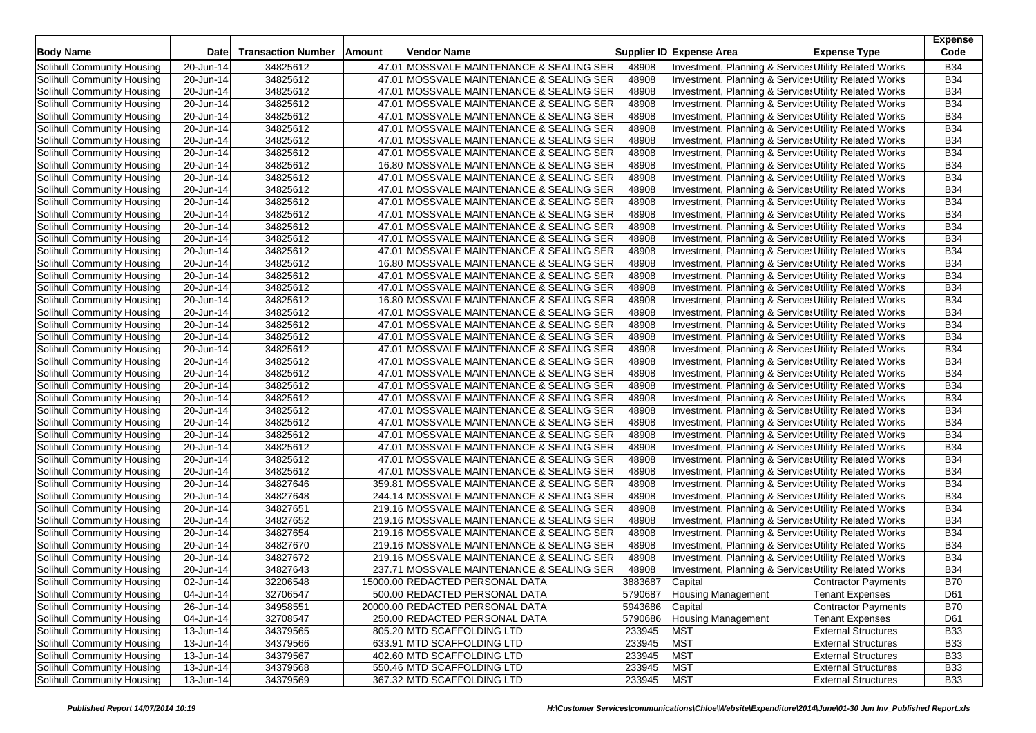| <b>Body Name</b>           | <b>Date</b>             | <b>Transaction Number</b> | Amount | Vendor Name                               |         | Supplier ID Expense Area                              | <b>Expense Type</b>        | <b>Expense</b><br>Code |
|----------------------------|-------------------------|---------------------------|--------|-------------------------------------------|---------|-------------------------------------------------------|----------------------------|------------------------|
| Solihull Community Housing | 20-Jun-14               | 34825612                  |        | 47.01 MOSSVALE MAINTENANCE & SEALING SER  | 48908   | Investment, Planning & Service: Utility Related Works |                            | <b>B34</b>             |
| Solihull Community Housing | 20-Jun-14               | 34825612                  |        | 47.01 MOSSVALE MAINTENANCE & SEALING SER  | 48908   | Investment, Planning & Service, Utility Related Works |                            | <b>B34</b>             |
| Solihull Community Housing | 20-Jun-14               | 34825612                  |        | 47.01 MOSSVALE MAINTENANCE & SEALING SER  | 48908   | Investment, Planning & Services Utility Related Works |                            | <b>B34</b>             |
| Solihull Community Housing | 20-Jun-14               | 34825612                  |        | 47.01 MOSSVALE MAINTENANCE & SEALING SER  | 48908   | Investment, Planning & Service: Utility Related Works |                            | <b>B34</b>             |
| Solihull Community Housing | 20-Jun-14               | 34825612                  |        | 47.01 MOSSVALE MAINTENANCE & SEALING SER  | 48908   | Investment, Planning & Service: Utility Related Works |                            | <b>B34</b>             |
| Solihull Community Housing | 20-Jun-14               | 34825612                  |        | 47.01 MOSSVALE MAINTENANCE & SEALING SER  | 48908   | Investment, Planning & Services Utility Related Works |                            | <b>B34</b>             |
| Solihull Community Housing | 20-Jun-14               | 34825612                  |        | 47.01 MOSSVALE MAINTENANCE & SEALING SER  | 48908   | Investment, Planning & Service: Utility Related Works |                            | <b>B34</b>             |
| Solihull Community Housing | 20-Jun-14               | 34825612                  |        | 47.01 MOSSVALE MAINTENANCE & SEALING SER  | 48908   | Investment, Planning & Service: Utility Related Works |                            | <b>B34</b>             |
| Solihull Community Housing | 20-Jun-14               | 34825612                  |        | 16.80 MOSSVALE MAINTENANCE & SEALING SER  | 48908   | Investment, Planning & Services Utility Related Works |                            | <b>B34</b>             |
| Solihull Community Housing | 20-Jun-14               | 34825612                  |        | 47.01 MOSSVALE MAINTENANCE & SEALING SER  | 48908   | Investment, Planning & Services Utility Related Works |                            | <b>B34</b>             |
| Solihull Community Housing | 20-Jun-14               | 34825612                  |        | 47.01 MOSSVALE MAINTENANCE & SEALING SER  | 48908   | Investment, Planning & Service: Utility Related Works |                            | <b>B34</b>             |
| Solihull Community Housing | 20-Jun-14               | 34825612                  |        | 47.01 MOSSVALE MAINTENANCE & SEALING SER  | 48908   | Investment, Planning & Services Utility Related Works |                            | <b>B34</b>             |
| Solihull Community Housing | 20-Jun-14               | 34825612                  |        | 47.01 MOSSVALE MAINTENANCE & SEALING SER  | 48908   | Investment, Planning & Service: Utility Related Works |                            | <b>B34</b>             |
| Solihull Community Housing | 20-Jun-14               | 34825612                  |        | 47.01 MOSSVALE MAINTENANCE & SEALING SER  | 48908   | Investment, Planning & Service, Utility Related Works |                            | <b>B34</b>             |
| Solihull Community Housing | 20-Jun-14               | 34825612                  |        | 47.01 MOSSVALE MAINTENANCE & SEALING SER  | 48908   | Investment, Planning & Service, Utility Related Works |                            | <b>B34</b>             |
| Solihull Community Housing | 20-Jun-14               | 34825612                  |        | 47.01 MOSSVALE MAINTENANCE & SEALING SER  | 48908   | Investment, Planning & Service: Utility Related Works |                            | <b>B34</b>             |
| Solihull Community Housing | 20-Jun-14               | 34825612                  |        | 16.80 MOSSVALE MAINTENANCE & SEALING SER  | 48908   | Investment, Planning & Services Utility Related Works |                            | <b>B34</b>             |
| Solihull Community Housing | 20-Jun-14               | 34825612                  |        | 47.01 MOSSVALE MAINTENANCE & SEALING SER  | 48908   | Investment, Planning & Service, Utility Related Works |                            | <b>B34</b>             |
| Solihull Community Housing | 20-Jun-14               | 34825612                  |        | 47.01 MOSSVALE MAINTENANCE & SEALING SER  | 48908   | Investment, Planning & Service: Utility Related Works |                            | <b>B34</b>             |
| Solihull Community Housing | 20-Jun-14               | 34825612                  |        | 16.80 MOSSVALE MAINTENANCE & SEALING SER  | 48908   | Investment, Planning & Service: Utility Related Works |                            | <b>B34</b>             |
| Solihull Community Housing | 20-Jun-14               | 34825612                  |        | 47.01 MOSSVALE MAINTENANCE & SEALING SER  | 48908   | Investment, Planning & Service, Utility Related Works |                            | <b>B34</b>             |
| Solihull Community Housing | $\overline{2}0$ -Jun-14 | 34825612                  |        | 47.01 MOSSVALE MAINTENANCE & SEALING SER  | 48908   | Investment, Planning & Service: Utility Related Works |                            | <b>B34</b>             |
| Solihull Community Housing | 20-Jun-14               | 34825612                  |        | 47.01 MOSSVALE MAINTENANCE & SEALING SER  | 48908   | Investment, Planning & Services Utility Related Works |                            | <b>B34</b>             |
| Solihull Community Housing | 20-Jun-14               | 34825612                  |        | 47.01 MOSSVALE MAINTENANCE & SEALING SER  | 48908   | Investment, Planning & Service: Utility Related Works |                            | <b>B34</b>             |
| Solihull Community Housing | 20-Jun-14               | 34825612                  |        | 47.01 MOSSVALE MAINTENANCE & SEALING SER  | 48908   | Investment, Planning & Service: Utility Related Works |                            | <b>B34</b>             |
| Solihull Community Housing | 20-Jun-14               | 34825612                  |        | 47.01 MOSSVALE MAINTENANCE & SEALING SER  | 48908   | Investment, Planning & Service Utility Related Works  |                            | <b>B34</b>             |
| Solihull Community Housing | 20-Jun-14               | 34825612                  |        | 47.01 MOSSVALE MAINTENANCE & SEALING SER  | 48908   | Investment, Planning & Service, Utility Related Works |                            | <b>B34</b>             |
| Solihull Community Housing | 20-Jun-14               | 34825612                  |        | 47.01 MOSSVALE MAINTENANCE & SEALING SER  | 48908   | Investment, Planning & Service: Utility Related Works |                            | <b>B34</b>             |
| Solihull Community Housing | 20-Jun-14               | 34825612                  |        | 47.01 MOSSVALE MAINTENANCE & SEALING SER  | 48908   | Investment, Planning & Service: Utility Related Works |                            | <b>B34</b>             |
| Solihull Community Housing | 20-Jun-14               | 34825612                  |        | 47.01 MOSSVALE MAINTENANCE & SEALING SER  | 48908   | Investment, Planning & Service, Utility Related Works |                            | <b>B34</b>             |
| Solihull Community Housing | 20-Jun-14               | 34825612                  |        | 47.01 MOSSVALE MAINTENANCE & SEALING SER  | 48908   | Investment, Planning & Services Utility Related Works |                            | <b>B34</b>             |
| Solihull Community Housing | 20-Jun-14               | 34825612                  |        | 47.01 MOSSVALE MAINTENANCE & SEALING SER  | 48908   | Investment, Planning & Service: Utility Related Works |                            | B34                    |
| Solihull Community Housing | 20-Jun-14               | 34825612                  |        | 47.01 MOSSVALE MAINTENANCE & SEALING SER  | 48908   | Investment, Planning & Service, Utility Related Works |                            | <b>B34</b>             |
| Solihull Community Housing | 20-Jun-14               | 34825612                  |        | 47.01 MOSSVALE MAINTENANCE & SEALING SER  | 48908   | Investment, Planning & Service: Utility Related Works |                            | <b>B34</b>             |
| Solihull Community Housing | 20-Jun-14               | 34827646                  |        | 359.81 MOSSVALE MAINTENANCE & SEALING SER | 48908   | Investment, Planning & Services Utility Related Works |                            | <b>B34</b>             |
| Solihull Community Housing | 20-Jun-14               | 34827648                  |        | 244.14 MOSSVALE MAINTENANCE & SEALING SER | 48908   | Investment, Planning & Service, Utility Related Works |                            | <b>B34</b>             |
| Solihull Community Housing | 20-Jun-14               | 34827651                  |        | 219.16 MOSSVALE MAINTENANCE & SEALING SER | 48908   | Investment, Planning & Service Utility Related Works  |                            | <b>B34</b>             |
| Solihull Community Housing | 20-Jun-14               | 34827652                  |        | 219.16 MOSSVALE MAINTENANCE & SEALING SER | 48908   | Investment, Planning & Service: Utility Related Works |                            | B34                    |
| Solihull Community Housing | 20-Jun-14               | 34827654                  |        | 219.16 MOSSVALE MAINTENANCE & SEALING SER | 48908   | Investment, Planning & Service: Utility Related Works |                            | <b>B34</b>             |
| Solihull Community Housing | 20-Jun-14               | 34827670                  |        | 219.16 MOSSVALE MAINTENANCE & SEALING SER | 48908   | Investment, Planning & Service, Utility Related Works |                            | <b>B34</b>             |
| Solihull Community Housing | 20-Jun-14               | 34827672                  |        | 219.16 MOSSVALE MAINTENANCE & SEALING SER | 48908   | Investment, Planning & Service: Utility Related Works |                            | <b>B34</b>             |
| Solihull Community Housing | 20-Jun-14               | 34827643                  |        | 237.71 MOSSVALE MAINTENANCE & SEALING SER | 48908   | Investment, Planning & Service Utility Related Works  |                            | <b>B34</b>             |
| Solihull Community Housing | 02-Jun-14               | 32206548                  |        | 15000.00 REDACTED PERSONAL DATA           | 3883687 | Capital                                               | Contractor Payments        | B70                    |
| Solihull Community Housing | 04-Jun-14               | 32706547                  |        | 500.00 REDACTED PERSONAL DATA             | 5790687 | <b>Housing Management</b>                             | <b>Tenant Expenses</b>     | D61                    |
| Solihull Community Housing | 26-Jun-14               | 34958551                  |        | 20000.00 REDACTED PERSONAL DATA           | 5943686 | Capital                                               | Contractor Payments        | <b>B70</b>             |
| Solihull Community Housing | 04-Jun-14               | 32708547                  |        | 250.00 REDACTED PERSONAL DATA             | 5790686 | <b>Housing Management</b>                             | <b>Tenant Expenses</b>     | D61                    |
| Solihull Community Housing | 13-Jun-14               | 34379565                  |        | 805.20 MTD SCAFFOLDING LTD                | 233945  | <b>MST</b>                                            | <b>External Structures</b> | <b>B33</b>             |
| Solihull Community Housing | 13-Jun-14               | 34379566                  |        | 633.91 MTD SCAFFOLDING LTD                | 233945  | <b>MST</b>                                            | <b>External Structures</b> | <b>B33</b>             |
| Solihull Community Housing | $\overline{1}$ 3-Jun-14 | 34379567                  |        | 402.60 MTD SCAFFOLDING LTD                | 233945  | <b>MST</b>                                            | <b>External Structures</b> | <b>B33</b>             |
| Solihull Community Housing | 13-Jun-14               | 34379568                  |        | 550.46 MTD SCAFFOLDING LTD                | 233945  | <b>MST</b>                                            | <b>External Structures</b> | <b>B33</b>             |
| Solihull Community Housing | $13 - Jun-14$           | 34379569                  |        | 367.32 MTD SCAFFOLDING LTD                | 233945  | <b>MST</b>                                            | <b>External Structures</b> | <b>B33</b>             |
|                            |                         |                           |        |                                           |         |                                                       |                            |                        |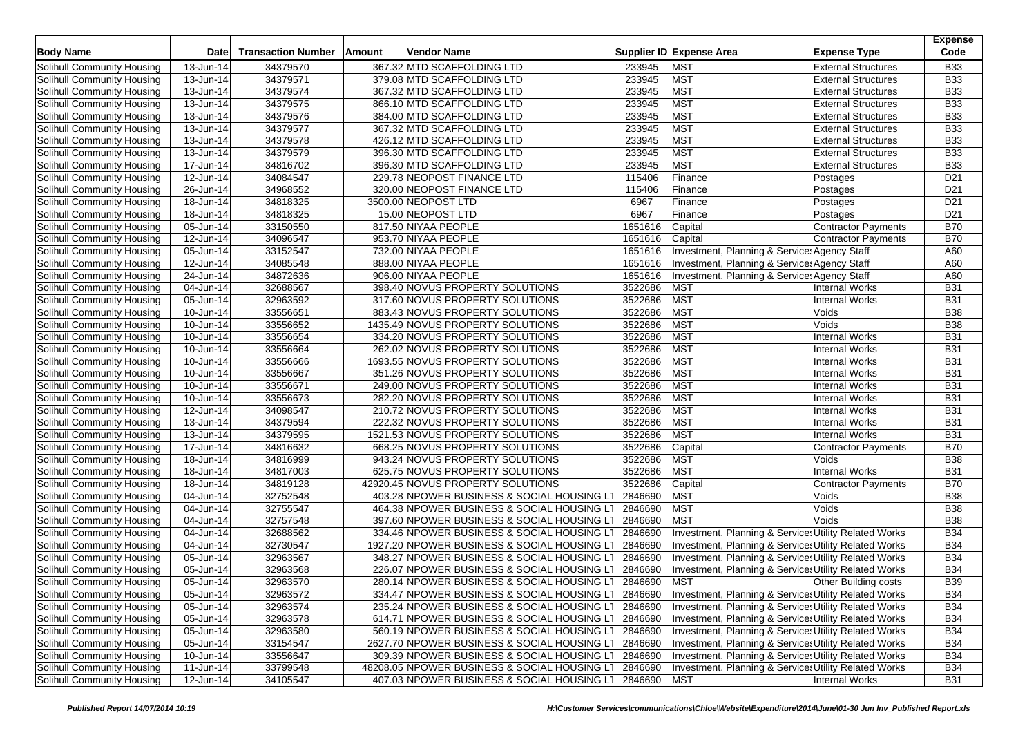| <b>Body Name</b>                  | <b>Date</b>             | <b>Transaction Number</b> | Amount | <b>Vendor Name</b>                           |         | Supplier ID Expense Area                              | <b>Expense Type</b>         | <b>Expense</b><br>Code |
|-----------------------------------|-------------------------|---------------------------|--------|----------------------------------------------|---------|-------------------------------------------------------|-----------------------------|------------------------|
| Solihull Community Housing        | 13-Jun-14               | 34379570                  |        | 367.32 MTD SCAFFOLDING LTD                   | 233945  | <b>MST</b>                                            | <b>External Structures</b>  | <b>B33</b>             |
| Solihull Community Housing        | 13-Jun-14               | 34379571                  |        | 379.08 MTD SCAFFOLDING LTD                   | 233945  | <b>MST</b>                                            | <b>External Structures</b>  | <b>B33</b>             |
| Solihull Community Housing        | 13-Jun-14               | 34379574                  |        | 367.32 MTD SCAFFOLDING LTD                   | 233945  | <b>MST</b>                                            | <b>External Structures</b>  | <b>B33</b>             |
| Solihull Community Housing        | $\overline{1}$ 3-Jun-14 | 34379575                  |        | 866.10 MTD SCAFFOLDING LTD                   | 233945  | <b>MST</b>                                            | <b>External Structures</b>  | <b>B33</b>             |
| Solihull Community Housing        | $\overline{1}3$ -Jun-14 | 34379576                  |        | 384.00 MTD SCAFFOLDING LTD                   | 233945  | <b>MST</b>                                            | <b>External Structures</b>  | <b>B33</b>             |
| Solihull Community Housing        | 13-Jun-14               | 34379577                  |        | 367.32 MTD SCAFFOLDING LTD                   | 233945  | <b>MST</b>                                            | <b>External Structures</b>  | <b>B33</b>             |
| Solihull Community Housing        | $\overline{1}$ 3-Jun-14 | 34379578                  |        | 426.12 MTD SCAFFOLDING LTD                   | 233945  | <b>MST</b>                                            | <b>External Structures</b>  | <b>B33</b>             |
| Solihull Community Housing        | 13-Jun-14               | 34379579                  |        | 396.30 MTD SCAFFOLDING LTD                   | 233945  | <b>MST</b>                                            | <b>External Structures</b>  | <b>B33</b>             |
| Solihull Community Housing        | 17-Jun-14               | 34816702                  |        | 396.30 MTD SCAFFOLDING LTD                   | 233945  | <b>MST</b>                                            | <b>External Structures</b>  | <b>B33</b>             |
| Solihull Community Housing        | 12-Jun-14               | 34084547                  |        | 229.78 NEOPOST FINANCE LTD                   | 115406  | Finance                                               | Postages                    | D <sub>21</sub>        |
| Solihull Community Housing        | 26-Jun-14               | 34968552                  |        | 320.00 NEOPOST FINANCE LTD                   | 115406  | Finance                                               | Postages                    | D <sub>21</sub>        |
| Solihull Community Housing        | 18-Jun-14               | 34818325                  |        | 3500.00 NEOPOST LTD                          | 6967    | Finance                                               | Postages                    | D <sub>21</sub>        |
| Solihull Community Housing        | 18-Jun-14               | 34818325                  |        | 15.00 NEOPOST LTD                            | 6967    | Finance                                               | Postages                    | D <sub>21</sub>        |
| Solihull Community Housing        | 05-Jun-14               | 33150550                  |        | 817.50 NIYAA PEOPLE                          | 1651616 | Capital                                               | <b>Contractor Payments</b>  | <b>B70</b>             |
| Solihull Community Housing        | 12-Jun-14               | 34096547                  |        | 953.70 NIYAA PEOPLE                          | 1651616 | Capital                                               | Contractor Payments         | <b>B70</b>             |
| Solihull Community Housing        | 05-Jun-14               | 33152547                  |        | 732.00 NIYAA PEOPLE                          | 1651616 | Investment, Planning & Service: Agency Staff          |                             | A60                    |
| Solihull Community Housing        | 12-Jun-14               | 34085548                  |        | 888.00 NIYAA PEOPLE                          | 1651616 | Investment, Planning & Service: Agency Staff          |                             | A60                    |
| Solihull Community Housing        | 24-Jun-14               | 34872636                  |        | 906.00 NIYAA PEOPLE                          | 1651616 | Investment, Planning & Service: Agency Staff          |                             | A60                    |
| Solihull Community Housing        | 04-Jun-14               | 32688567                  |        | 398.40 NOVUS PROPERTY SOLUTIONS              | 3522686 | <b>MST</b>                                            | <b>Internal Works</b>       | <b>B31</b>             |
| Solihull Community Housing        | 05-Jun-14               | 32963592                  |        | 317.60 NOVUS PROPERTY SOLUTIONS              | 3522686 | <b>MST</b>                                            | <b>Internal Works</b>       | <b>B31</b>             |
| Solihull Community Housing        | 10-Jun-14               | 33556651                  |        | 883.43 NOVUS PROPERTY SOLUTIONS              | 3522686 | <b>MST</b>                                            | Voids                       | <b>B38</b>             |
| Solihull Community Housing        | $\overline{10}$ -Jun-14 | 33556652                  |        | 1435.49 NOVUS PROPERTY SOLUTIONS             | 3522686 | <b>MST</b>                                            | Voids                       | <b>B38</b>             |
| Solihull Community Housing        | 10-Jun-14               | 33556654                  |        | 334.20 NOVUS PROPERTY SOLUTIONS              | 3522686 | <b>MST</b>                                            | <b>Internal Works</b>       | <b>B31</b>             |
| Solihull Community Housing        | 10-Jun-14               | 33556664                  |        | 262.02 NOVUS PROPERTY SOLUTIONS              | 3522686 | <b>MST</b>                                            | <b>Internal Works</b>       | <b>B31</b>             |
| Solihull Community Housing        | $\overline{10}$ -Jun-14 | 33556666                  |        | 1693.55 NOVUS PROPERTY SOLUTIONS             | 3522686 | <b>MST</b>                                            | <b>Internal Works</b>       | <b>B31</b>             |
| Solihull Community Housing        | 10-Jun-14               | 33556667                  |        | 351.26 NOVUS PROPERTY SOLUTIONS              | 3522686 | <b>MST</b>                                            | <b>Internal Works</b>       | <b>B31</b>             |
| Solihull Community Housing        | $\overline{10}$ -Jun-14 | 33556671                  |        | 249.00 NOVUS PROPERTY SOLUTIONS              | 3522686 | <b>MST</b>                                            | <b>Internal Works</b>       | <b>B31</b>             |
| Solihull Community Housing        | $\overline{10}$ -Jun-14 | 33556673                  |        | 282.20 NOVUS PROPERTY SOLUTIONS              | 3522686 | <b>MST</b>                                            | <b>Internal Works</b>       | <b>B31</b>             |
| Solihull Community Housing        | 12-Jun-14               | 34098547                  |        | 210.72 NOVUS PROPERTY SOLUTIONS              | 3522686 | <b>MST</b>                                            | <b>Internal Works</b>       | <b>B31</b>             |
| Solihull Community Housing        | 13-Jun-14               | 34379594                  |        | 222.32 NOVUS PROPERTY SOLUTIONS              | 3522686 | <b>MST</b>                                            | <b>Internal Works</b>       | <b>B31</b>             |
| Solihull Community Housing        | 13-Jun-14               | 34379595                  |        | 1521.53 NOVUS PROPERTY SOLUTIONS             | 3522686 | <b>MST</b>                                            | <b>Internal Works</b>       | <b>B31</b>             |
| Solihull Community Housing        | 17-Jun-14               | 34816632                  |        | 668.25 NOVUS PROPERTY SOLUTIONS              | 3522686 | Capital                                               | <b>Contractor Payments</b>  | <b>B70</b>             |
| Solihull Community Housing        | $\overline{18}$ -Jun-14 | 34816999                  |        | 943.24 NOVUS PROPERTY SOLUTIONS              | 3522686 | <b>MST</b>                                            | Voids                       | <b>B38</b>             |
| Solihull Community Housing        | 18-Jun-14               | 34817003                  |        | 625.75 NOVUS PROPERTY SOLUTIONS              | 3522686 | <b>MST</b>                                            | <b>Internal Works</b>       | <b>B31</b>             |
| Solihull Community Housing        | 18-Jun-14               | 34819128                  |        | 42920.45 NOVUS PROPERTY SOLUTIONS            | 3522686 | Capital                                               | <b>Contractor Payments</b>  | <b>B70</b>             |
| <b>Solihull Community Housing</b> | 04-Jun-14               | 32752548                  |        | 403.28 NPOWER BUSINESS & SOCIAL HOUSING I    | 2846690 | <b>MST</b>                                            | Voids                       | <b>B38</b>             |
| Solihull Community Housing        | 04-Jun-14               | 32755547                  |        | 464.38 NPOWER BUSINESS & SOCIAL HOUSING L    | 2846690 | <b>MST</b>                                            | Voids                       | <b>B38</b>             |
| Solihull Community Housing        | 04-Jun-14               | 32757548                  |        | 397.60 NPOWER BUSINESS & SOCIAL HOUSING L'   | 2846690 | <b>MST</b>                                            | Voids                       | <b>B38</b>             |
| Solihull Community Housing        | 04-Jun-14               | 32688562                  |        | 334.46 NPOWER BUSINESS & SOCIAL HOUSING L'   | 2846690 | Investment, Planning & Service Utility Related Works  |                             | <b>B34</b>             |
| Solihull Community Housing        | 04-Jun-14               | 32730547                  |        | 1927.20 NPOWER BUSINESS & SOCIAL HOUSING L   | 2846690 | Investment, Planning & Service: Utility Related Works |                             | <b>B34</b>             |
| Solihull Community Housing        | 05-Jun-14               | 32963567                  |        | 348.27 NPOWER BUSINESS & SOCIAL HOUSING L'   | 2846690 | Investment, Planning & Service Utility Related Works  |                             | <b>B34</b>             |
| Solihull Community Housing        | 05-Jun-14               | 32963568                  |        | 226.07 NPOWER BUSINESS & SOCIAL HOUSING L'   | 2846690 | Investment, Planning & Service Utility Related Works  |                             | <b>B34</b>             |
| <b>Solihull Community Housing</b> | 05-Jun-14               | 32963570                  |        | 280.14 NPOWER BUSINESS & SOCIAL HOUSING LT   | 2846690 | <b>MST</b>                                            | <b>Other Building costs</b> | <b>B39</b>             |
| Solihull Community Housing        | 05-Jun-14               | 32963572                  |        | 334.47 NPOWER BUSINESS & SOCIAL HOUSING LT   | 2846690 | Investment, Planning & Service, Utility Related Works |                             | <b>B34</b>             |
| Solihull Community Housing        | 05-Jun-14               | 32963574                  |        | 235.24 NPOWER BUSINESS & SOCIAL HOUSING LT   | 2846690 | Investment, Planning & Service: Utility Related Works |                             | <b>B34</b>             |
| Solihull Community Housing        | 05-Jun-14               | 32963578                  |        | 614.71 NPOWER BUSINESS & SOCIAL HOUSING LT   | 2846690 | Investment, Planning & Service: Utility Related Works |                             | <b>B34</b>             |
| Solihull Community Housing        | $\overline{05}$ -Jun-14 | 32963580                  |        | 560.19 NPOWER BUSINESS & SOCIAL HOUSING LT   | 2846690 | Investment, Planning & Service Utility Related Works  |                             | <b>B34</b>             |
| Solihull Community Housing        | 05-Jun-14               | 33154547                  |        | 2627.70 NPOWER BUSINESS & SOCIAL HOUSING LT  | 2846690 | Investment, Planning & Services Utility Related Works |                             | <b>B34</b>             |
| Solihull Community Housing        | 10-Jun-14               | 33556647                  |        | 309.39 NPOWER BUSINESS & SOCIAL HOUSING LT   | 2846690 | Investment, Planning & Service: Utility Related Works |                             | <b>B34</b>             |
| Solihull Community Housing        | 11-Jun-14               | 33799548                  |        | 48208.05 NPOWER BUSINESS & SOCIAL HOUSING LT | 2846690 | Investment, Planning & Service Utility Related Works  |                             | <b>B34</b>             |
| Solihull Community Housing        | 12-Jun-14               | 34105547                  |        | 407.03 NPOWER BUSINESS & SOCIAL HOUSING L1   | 2846690 | <b>MST</b>                                            | Internal Works              | <b>B31</b>             |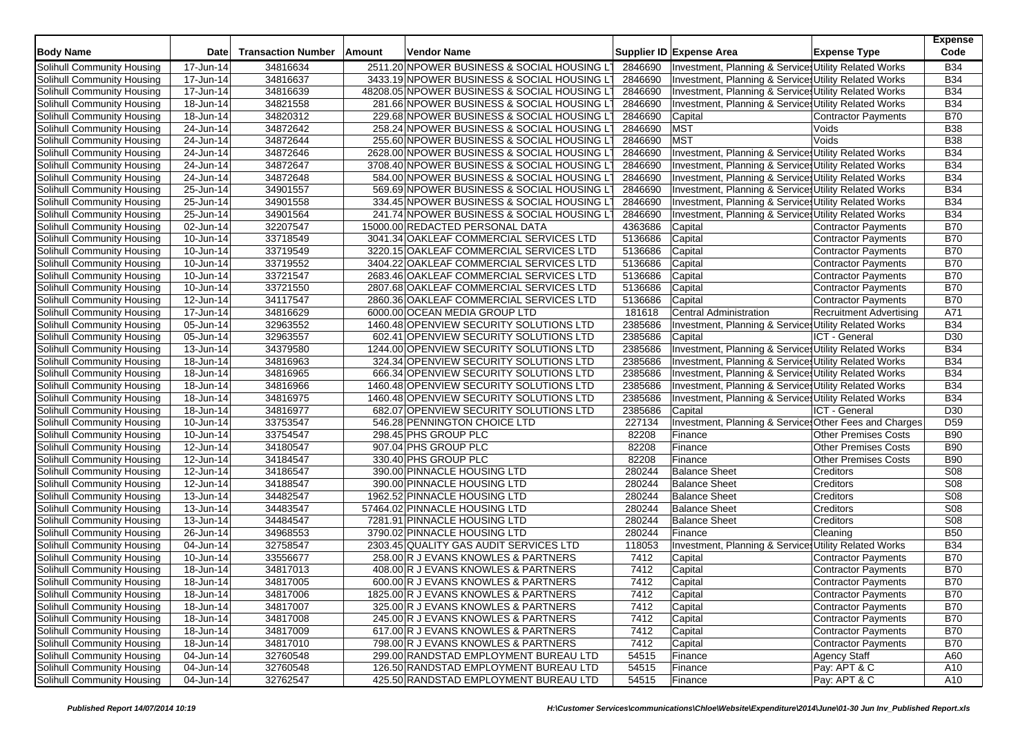| 2511.20 NPOWER BUSINESS & SOCIAL HOUSING LT<br>Investment, Planning & Services Utility Related Works<br>Solihull Community Housing<br>17-Jun-14<br>34816634<br>2846690<br>34816637<br>2846690<br>Solihull Community Housing<br>17-Jun-14<br>3433.19 NPOWER BUSINESS & SOCIAL HOUSING LT<br>Investment, Planning & Service: Utility Related Works<br>34816639<br>2846690<br>Solihull Community Housing<br>17-Jun-14<br>48208.05 NPOWER BUSINESS & SOCIAL HOUSING LT<br>Investment, Planning & Services Utility Related Works<br>281.66 NPOWER BUSINESS & SOCIAL HOUSING LT<br>2846690<br>Investment, Planning & Services Utility Related Works<br>Solihull Community Housing<br>18-Jun-14<br>34821558<br>2846690<br>34820312<br>229.68 NPOWER BUSINESS & SOCIAL HOUSING L'<br>Solihull Community Housing<br>18-Jun-14<br>Capital<br><b>Contractor Payments</b><br>34872642<br>2846690<br><b>MST</b><br>Solihull Community Housing<br>24-Jun-14<br>258.24 NPOWER BUSINESS & SOCIAL HOUSING LT<br>Voids<br><b>MST</b><br>34872644<br>255.60 NPOWER BUSINESS & SOCIAL HOUSING LT<br>2846690<br>Voids<br>Solihull Community Housing<br>24-Jun-14<br>34872646<br>2846690<br>Investment, Planning & Services Utility Related Works<br>Solihull Community Housing<br>24-Jun-14<br>2628.00 NPOWER BUSINESS & SOCIAL HOUSING L'<br>34872647<br>2846690<br>Investment, Planning & Service Utility Related Works<br>Solihull Community Housing<br>24-Jun-14<br>3708.40 NPOWER BUSINESS & SOCIAL HOUSING LT<br>34872648<br>2846690<br>Investment, Planning & Services Utility Related Works<br>Solihull Community Housing<br>24-Jun-14<br>584.00 NPOWER BUSINESS & SOCIAL HOUSING LT<br>34901557<br>569.69 NPOWER BUSINESS & SOCIAL HOUSING L'<br>2846690<br>Solihull Community Housing<br>$\overline{2}5$ -Jun-14<br>Investment, Planning & Services Utility Related Works | <b>B34</b><br><b>B34</b><br><b>B34</b><br><b>B34</b><br><b>B70</b><br><b>B38</b><br><b>B38</b><br><b>B34</b><br><b>B34</b><br><b>B34</b><br><b>B34</b><br><b>B34</b> |
|----------------------------------------------------------------------------------------------------------------------------------------------------------------------------------------------------------------------------------------------------------------------------------------------------------------------------------------------------------------------------------------------------------------------------------------------------------------------------------------------------------------------------------------------------------------------------------------------------------------------------------------------------------------------------------------------------------------------------------------------------------------------------------------------------------------------------------------------------------------------------------------------------------------------------------------------------------------------------------------------------------------------------------------------------------------------------------------------------------------------------------------------------------------------------------------------------------------------------------------------------------------------------------------------------------------------------------------------------------------------------------------------------------------------------------------------------------------------------------------------------------------------------------------------------------------------------------------------------------------------------------------------------------------------------------------------------------------------------------------------------------------------------------------------------------------------------------------------------------------|----------------------------------------------------------------------------------------------------------------------------------------------------------------------|
|                                                                                                                                                                                                                                                                                                                                                                                                                                                                                                                                                                                                                                                                                                                                                                                                                                                                                                                                                                                                                                                                                                                                                                                                                                                                                                                                                                                                                                                                                                                                                                                                                                                                                                                                                                                                                                                                |                                                                                                                                                                      |
|                                                                                                                                                                                                                                                                                                                                                                                                                                                                                                                                                                                                                                                                                                                                                                                                                                                                                                                                                                                                                                                                                                                                                                                                                                                                                                                                                                                                                                                                                                                                                                                                                                                                                                                                                                                                                                                                |                                                                                                                                                                      |
|                                                                                                                                                                                                                                                                                                                                                                                                                                                                                                                                                                                                                                                                                                                                                                                                                                                                                                                                                                                                                                                                                                                                                                                                                                                                                                                                                                                                                                                                                                                                                                                                                                                                                                                                                                                                                                                                |                                                                                                                                                                      |
|                                                                                                                                                                                                                                                                                                                                                                                                                                                                                                                                                                                                                                                                                                                                                                                                                                                                                                                                                                                                                                                                                                                                                                                                                                                                                                                                                                                                                                                                                                                                                                                                                                                                                                                                                                                                                                                                |                                                                                                                                                                      |
|                                                                                                                                                                                                                                                                                                                                                                                                                                                                                                                                                                                                                                                                                                                                                                                                                                                                                                                                                                                                                                                                                                                                                                                                                                                                                                                                                                                                                                                                                                                                                                                                                                                                                                                                                                                                                                                                |                                                                                                                                                                      |
|                                                                                                                                                                                                                                                                                                                                                                                                                                                                                                                                                                                                                                                                                                                                                                                                                                                                                                                                                                                                                                                                                                                                                                                                                                                                                                                                                                                                                                                                                                                                                                                                                                                                                                                                                                                                                                                                |                                                                                                                                                                      |
|                                                                                                                                                                                                                                                                                                                                                                                                                                                                                                                                                                                                                                                                                                                                                                                                                                                                                                                                                                                                                                                                                                                                                                                                                                                                                                                                                                                                                                                                                                                                                                                                                                                                                                                                                                                                                                                                |                                                                                                                                                                      |
|                                                                                                                                                                                                                                                                                                                                                                                                                                                                                                                                                                                                                                                                                                                                                                                                                                                                                                                                                                                                                                                                                                                                                                                                                                                                                                                                                                                                                                                                                                                                                                                                                                                                                                                                                                                                                                                                |                                                                                                                                                                      |
|                                                                                                                                                                                                                                                                                                                                                                                                                                                                                                                                                                                                                                                                                                                                                                                                                                                                                                                                                                                                                                                                                                                                                                                                                                                                                                                                                                                                                                                                                                                                                                                                                                                                                                                                                                                                                                                                |                                                                                                                                                                      |
|                                                                                                                                                                                                                                                                                                                                                                                                                                                                                                                                                                                                                                                                                                                                                                                                                                                                                                                                                                                                                                                                                                                                                                                                                                                                                                                                                                                                                                                                                                                                                                                                                                                                                                                                                                                                                                                                |                                                                                                                                                                      |
|                                                                                                                                                                                                                                                                                                                                                                                                                                                                                                                                                                                                                                                                                                                                                                                                                                                                                                                                                                                                                                                                                                                                                                                                                                                                                                                                                                                                                                                                                                                                                                                                                                                                                                                                                                                                                                                                |                                                                                                                                                                      |
| 34901558<br>334.45 NPOWER BUSINESS & SOCIAL HOUSING LT<br>2846690<br>Solihull Community Housing<br>25-Jun-14<br>Investment, Planning & Services Utility Related Works                                                                                                                                                                                                                                                                                                                                                                                                                                                                                                                                                                                                                                                                                                                                                                                                                                                                                                                                                                                                                                                                                                                                                                                                                                                                                                                                                                                                                                                                                                                                                                                                                                                                                          |                                                                                                                                                                      |
| 34901564<br>241.74 NPOWER BUSINESS & SOCIAL HOUSING LT<br>2846690<br>Solihull Community Housing<br>25-Jun-14<br>Investment, Planning & Services Utility Related Works                                                                                                                                                                                                                                                                                                                                                                                                                                                                                                                                                                                                                                                                                                                                                                                                                                                                                                                                                                                                                                                                                                                                                                                                                                                                                                                                                                                                                                                                                                                                                                                                                                                                                          | <b>B34</b>                                                                                                                                                           |
| 32207547<br>15000.00 REDACTED PERSONAL DATA<br>4363686<br>Solihull Community Housing<br>02-Jun-14<br>Capital<br>Contractor Payments                                                                                                                                                                                                                                                                                                                                                                                                                                                                                                                                                                                                                                                                                                                                                                                                                                                                                                                                                                                                                                                                                                                                                                                                                                                                                                                                                                                                                                                                                                                                                                                                                                                                                                                            | <b>B70</b>                                                                                                                                                           |
| 33718549<br>5136686<br>Capital<br>Solihull Community Housing<br>10-Jun-14<br>3041.34 OAKLEAF COMMERCIAL SERVICES LTD<br><b>Contractor Payments</b>                                                                                                                                                                                                                                                                                                                                                                                                                                                                                                                                                                                                                                                                                                                                                                                                                                                                                                                                                                                                                                                                                                                                                                                                                                                                                                                                                                                                                                                                                                                                                                                                                                                                                                             | <b>B70</b>                                                                                                                                                           |
| 33719549<br>3220.15 OAKLEAF COMMERCIAL SERVICES LTD<br>5136686<br>Solihull Community Housing<br>10-Jun-14<br>Capital<br><b>Contractor Payments</b>                                                                                                                                                                                                                                                                                                                                                                                                                                                                                                                                                                                                                                                                                                                                                                                                                                                                                                                                                                                                                                                                                                                                                                                                                                                                                                                                                                                                                                                                                                                                                                                                                                                                                                             | <b>B70</b>                                                                                                                                                           |
| 33719552<br>3404.22 OAKLEAF COMMERCIAL SERVICES LTD<br>5136686<br>Solihull Community Housing<br>10-Jun-14<br>Capital<br>Contractor Payments                                                                                                                                                                                                                                                                                                                                                                                                                                                                                                                                                                                                                                                                                                                                                                                                                                                                                                                                                                                                                                                                                                                                                                                                                                                                                                                                                                                                                                                                                                                                                                                                                                                                                                                    | <b>B70</b>                                                                                                                                                           |
| 33721547<br>Solihull Community Housing<br>10-Jun-14<br>2683.46 OAKLEAF COMMERCIAL SERVICES LTD<br>5136686<br>Capital<br><b>Contractor Payments</b>                                                                                                                                                                                                                                                                                                                                                                                                                                                                                                                                                                                                                                                                                                                                                                                                                                                                                                                                                                                                                                                                                                                                                                                                                                                                                                                                                                                                                                                                                                                                                                                                                                                                                                             | <b>B70</b>                                                                                                                                                           |
| 33721550<br>2807.68 OAKLEAF COMMERCIAL SERVICES LTD<br>5136686<br>Solihull Community Housing<br>$\overline{10}$ -Jun-14<br>Capital<br>Contractor Payments                                                                                                                                                                                                                                                                                                                                                                                                                                                                                                                                                                                                                                                                                                                                                                                                                                                                                                                                                                                                                                                                                                                                                                                                                                                                                                                                                                                                                                                                                                                                                                                                                                                                                                      | <b>B70</b>                                                                                                                                                           |
| 34117547<br>5136686<br>Solihull Community Housing<br>12-Jun-14<br>2860.36 OAKLEAF COMMERCIAL SERVICES LTD<br>Capital<br>Contractor Payments                                                                                                                                                                                                                                                                                                                                                                                                                                                                                                                                                                                                                                                                                                                                                                                                                                                                                                                                                                                                                                                                                                                                                                                                                                                                                                                                                                                                                                                                                                                                                                                                                                                                                                                    | <b>B70</b>                                                                                                                                                           |
| Solihull Community Housing<br>17-Jun-14<br>34816629<br>6000.00 OCEAN MEDIA GROUP LTD<br>181618<br><b>Central Administration</b><br><b>Recruitment Advertising</b>                                                                                                                                                                                                                                                                                                                                                                                                                                                                                                                                                                                                                                                                                                                                                                                                                                                                                                                                                                                                                                                                                                                                                                                                                                                                                                                                                                                                                                                                                                                                                                                                                                                                                              | A71                                                                                                                                                                  |
| 2385686<br>Solihull Community Housing<br>32963552<br>1460.48 OPENVIEW SECURITY SOLUTIONS LTD<br>Investment, Planning & Services Utility Related Works<br>$\overline{0}$ 5-Jun-14                                                                                                                                                                                                                                                                                                                                                                                                                                                                                                                                                                                                                                                                                                                                                                                                                                                                                                                                                                                                                                                                                                                                                                                                                                                                                                                                                                                                                                                                                                                                                                                                                                                                               | <b>B34</b>                                                                                                                                                           |
| 32963557<br>2385686<br>ICT - General<br>Solihull Community Housing<br>05-Jun-14<br>602.41 OPENVIEW SECURITY SOLUTIONS LTD<br>Capital                                                                                                                                                                                                                                                                                                                                                                                                                                                                                                                                                                                                                                                                                                                                                                                                                                                                                                                                                                                                                                                                                                                                                                                                                                                                                                                                                                                                                                                                                                                                                                                                                                                                                                                           | D30                                                                                                                                                                  |
| 34379580<br>1244.00 OPENVIEW SECURITY SOLUTIONS LTD<br>2385686<br>Investment, Planning & Services Utility Related Works<br>Solihull Community Housing<br>13-Jun-14                                                                                                                                                                                                                                                                                                                                                                                                                                                                                                                                                                                                                                                                                                                                                                                                                                                                                                                                                                                                                                                                                                                                                                                                                                                                                                                                                                                                                                                                                                                                                                                                                                                                                             | <b>B34</b>                                                                                                                                                           |
| 34816963<br>324.34 OPENVIEW SECURITY SOLUTIONS LTD<br>2385686<br>Solihull Community Housing<br>$\overline{18}$ -Jun-14<br>Investment, Planning & Services Utility Related Works                                                                                                                                                                                                                                                                                                                                                                                                                                                                                                                                                                                                                                                                                                                                                                                                                                                                                                                                                                                                                                                                                                                                                                                                                                                                                                                                                                                                                                                                                                                                                                                                                                                                                | <b>B34</b>                                                                                                                                                           |
| 34816965<br>2385686<br>Solihull Community Housing<br>18-Jun-14<br>666.34 OPENVIEW SECURITY SOLUTIONS LTD<br>Investment, Planning & Services Utility Related Works                                                                                                                                                                                                                                                                                                                                                                                                                                                                                                                                                                                                                                                                                                                                                                                                                                                                                                                                                                                                                                                                                                                                                                                                                                                                                                                                                                                                                                                                                                                                                                                                                                                                                              | <b>B34</b>                                                                                                                                                           |
| 34816966<br>2385686<br>Solihull Community Housing<br>18-Jun-14<br>1460.48 OPENVIEW SECURITY SOLUTIONS LTD<br>Investment, Planning & Services Utility Related Works                                                                                                                                                                                                                                                                                                                                                                                                                                                                                                                                                                                                                                                                                                                                                                                                                                                                                                                                                                                                                                                                                                                                                                                                                                                                                                                                                                                                                                                                                                                                                                                                                                                                                             | <b>B34</b>                                                                                                                                                           |
| 34816975<br>1460.48 OPENVIEW SECURITY SOLUTIONS LTD<br>2385686<br>Investment, Planning & Services Utility Related Works<br>Solihull Community Housing<br>$18 - Jun-14$                                                                                                                                                                                                                                                                                                                                                                                                                                                                                                                                                                                                                                                                                                                                                                                                                                                                                                                                                                                                                                                                                                                                                                                                                                                                                                                                                                                                                                                                                                                                                                                                                                                                                         | <b>B34</b>                                                                                                                                                           |
| 34816977<br>2385686<br>18-Jun-14<br>682.07 OPENVIEW SECURITY SOLUTIONS LTD<br>Capital<br>ICT - General<br>Solihull Community Housing                                                                                                                                                                                                                                                                                                                                                                                                                                                                                                                                                                                                                                                                                                                                                                                                                                                                                                                                                                                                                                                                                                                                                                                                                                                                                                                                                                                                                                                                                                                                                                                                                                                                                                                           | D30                                                                                                                                                                  |
| 33753547<br>546.28 PENNINGTON CHOICE LTD<br>227134<br>Solihull Community Housing<br>10-Jun-14<br>Investment, Planning & Service: Other Fees and Charges                                                                                                                                                                                                                                                                                                                                                                                                                                                                                                                                                                                                                                                                                                                                                                                                                                                                                                                                                                                                                                                                                                                                                                                                                                                                                                                                                                                                                                                                                                                                                                                                                                                                                                        | D <sub>59</sub>                                                                                                                                                      |
| 33754547<br>298.45 PHS GROUP PLC<br>82208<br>Other Premises Costs<br>Solihull Community Housing<br>$\overline{10}$ -Jun-14<br>Finance                                                                                                                                                                                                                                                                                                                                                                                                                                                                                                                                                                                                                                                                                                                                                                                                                                                                                                                                                                                                                                                                                                                                                                                                                                                                                                                                                                                                                                                                                                                                                                                                                                                                                                                          | <b>B90</b>                                                                                                                                                           |
| 34180547<br>Solihull Community Housing<br>12-Jun-14<br>907.04 PHS GROUP PLC<br>82208<br>Finance<br><b>Other Premises Costs</b>                                                                                                                                                                                                                                                                                                                                                                                                                                                                                                                                                                                                                                                                                                                                                                                                                                                                                                                                                                                                                                                                                                                                                                                                                                                                                                                                                                                                                                                                                                                                                                                                                                                                                                                                 | <b>B90</b>                                                                                                                                                           |
| 82208<br>34184547<br>330.40 PHS GROUP PLC<br>Solihull Community Housing<br>12-Jun-14<br>Finance<br><b>Other Premises Costs</b>                                                                                                                                                                                                                                                                                                                                                                                                                                                                                                                                                                                                                                                                                                                                                                                                                                                                                                                                                                                                                                                                                                                                                                                                                                                                                                                                                                                                                                                                                                                                                                                                                                                                                                                                 | <b>B90</b>                                                                                                                                                           |
| 280244<br>Solihull Community Housing<br>12-Jun-14<br>34186547<br>390.00 PINNACLE HOUSING LTD<br><b>Balance Sheet</b><br>Creditors                                                                                                                                                                                                                                                                                                                                                                                                                                                                                                                                                                                                                                                                                                                                                                                                                                                                                                                                                                                                                                                                                                                                                                                                                                                                                                                                                                                                                                                                                                                                                                                                                                                                                                                              | <b>S08</b>                                                                                                                                                           |
| 34188547<br>390.00 PINNACLE HOUSING LTD<br>Solihull Community Housing<br>12-Jun-14<br>280244<br><b>Balance Sheet</b><br>Creditors                                                                                                                                                                                                                                                                                                                                                                                                                                                                                                                                                                                                                                                                                                                                                                                                                                                                                                                                                                                                                                                                                                                                                                                                                                                                                                                                                                                                                                                                                                                                                                                                                                                                                                                              | <b>S08</b>                                                                                                                                                           |
| 34482547<br>1962.52 PINNACLE HOUSING LTD<br>280244<br>Solihull Community Housing<br>13-Jun-14<br><b>Balance Sheet</b><br>Creditors                                                                                                                                                                                                                                                                                                                                                                                                                                                                                                                                                                                                                                                                                                                                                                                                                                                                                                                                                                                                                                                                                                                                                                                                                                                                                                                                                                                                                                                                                                                                                                                                                                                                                                                             | S08                                                                                                                                                                  |
| 280244<br><b>Balance Sheet</b><br>Solihull Community Housing<br>13-Jun-14<br>34483547<br>57464.02 PINNACLE HOUSING LTD<br>Creditors                                                                                                                                                                                                                                                                                                                                                                                                                                                                                                                                                                                                                                                                                                                                                                                                                                                                                                                                                                                                                                                                                                                                                                                                                                                                                                                                                                                                                                                                                                                                                                                                                                                                                                                            | <b>S08</b>                                                                                                                                                           |
| 7281.91 PINNACLE HOUSING LTD<br><b>Balance Sheet</b><br>Solihull Community Housing<br>13-Jun-14<br>34484547<br>280244<br>Creditors                                                                                                                                                                                                                                                                                                                                                                                                                                                                                                                                                                                                                                                                                                                                                                                                                                                                                                                                                                                                                                                                                                                                                                                                                                                                                                                                                                                                                                                                                                                                                                                                                                                                                                                             | <b>S08</b>                                                                                                                                                           |
| 3790.02 PINNACLE HOUSING LTD<br>280244<br>Solihull Community Housing<br>26-Jun-14<br>34968553<br>Finance<br>Cleaning                                                                                                                                                                                                                                                                                                                                                                                                                                                                                                                                                                                                                                                                                                                                                                                                                                                                                                                                                                                                                                                                                                                                                                                                                                                                                                                                                                                                                                                                                                                                                                                                                                                                                                                                           | <b>B50</b>                                                                                                                                                           |
| Investment, Planning & Services Utility Related Works<br>Solihull Community Housing<br>$\overline{0}$ 4-Jun-14<br>32758547<br>2303.45 QUALITY GAS AUDIT SERVICES LTD<br>118053                                                                                                                                                                                                                                                                                                                                                                                                                                                                                                                                                                                                                                                                                                                                                                                                                                                                                                                                                                                                                                                                                                                                                                                                                                                                                                                                                                                                                                                                                                                                                                                                                                                                                 | <b>B34</b>                                                                                                                                                           |
| 33556677<br>7412<br>Solihull Community Housing<br>258.00 R J EVANS KNOWLES & PARTNERS<br>Capital<br><b>Contractor Payments</b><br>10-Jun-14                                                                                                                                                                                                                                                                                                                                                                                                                                                                                                                                                                                                                                                                                                                                                                                                                                                                                                                                                                                                                                                                                                                                                                                                                                                                                                                                                                                                                                                                                                                                                                                                                                                                                                                    | <b>B70</b>                                                                                                                                                           |
| 7412<br>34817013<br>408.00 R J EVANS KNOWLES & PARTNERS<br>Capital<br>Solihull Community Housing<br>18-Jun-14<br><b>Contractor Payments</b>                                                                                                                                                                                                                                                                                                                                                                                                                                                                                                                                                                                                                                                                                                                                                                                                                                                                                                                                                                                                                                                                                                                                                                                                                                                                                                                                                                                                                                                                                                                                                                                                                                                                                                                    | <b>B70</b>                                                                                                                                                           |
| 7412<br>Solihull Community Housing<br>34817005<br>600.00 R J EVANS KNOWLES & PARTNERS<br>Capital<br>Contractor Payments<br>18-Jun-14                                                                                                                                                                                                                                                                                                                                                                                                                                                                                                                                                                                                                                                                                                                                                                                                                                                                                                                                                                                                                                                                                                                                                                                                                                                                                                                                                                                                                                                                                                                                                                                                                                                                                                                           | <b>B70</b>                                                                                                                                                           |
| Solihull Community Housing<br>1825.00 R J EVANS KNOWLES & PARTNERS<br>Capital<br>Contractor Payments<br>18-Jun-14<br>34817006<br>7412                                                                                                                                                                                                                                                                                                                                                                                                                                                                                                                                                                                                                                                                                                                                                                                                                                                                                                                                                                                                                                                                                                                                                                                                                                                                                                                                                                                                                                                                                                                                                                                                                                                                                                                          | <b>B70</b>                                                                                                                                                           |
| Solihull Community Housing<br>18-Jun-14<br>34817007<br>325.00 R J EVANS KNOWLES & PARTNERS<br>Contractor Payments<br>7412<br>Capital                                                                                                                                                                                                                                                                                                                                                                                                                                                                                                                                                                                                                                                                                                                                                                                                                                                                                                                                                                                                                                                                                                                                                                                                                                                                                                                                                                                                                                                                                                                                                                                                                                                                                                                           | <b>B70</b>                                                                                                                                                           |
| Solihull Community Housing<br>18-Jun-14<br>34817008<br>245.00 R J EVANS KNOWLES & PARTNERS<br>Capital<br><b>Contractor Payments</b><br>7412                                                                                                                                                                                                                                                                                                                                                                                                                                                                                                                                                                                                                                                                                                                                                                                                                                                                                                                                                                                                                                                                                                                                                                                                                                                                                                                                                                                                                                                                                                                                                                                                                                                                                                                    | <b>B70</b>                                                                                                                                                           |
| Solihull Community Housing<br>18-Jun-14<br>34817009<br>617.00 R J EVANS KNOWLES & PARTNERS<br>7412<br>Capital<br><b>Contractor Payments</b>                                                                                                                                                                                                                                                                                                                                                                                                                                                                                                                                                                                                                                                                                                                                                                                                                                                                                                                                                                                                                                                                                                                                                                                                                                                                                                                                                                                                                                                                                                                                                                                                                                                                                                                    | <b>B70</b>                                                                                                                                                           |
| Solihull Community Housing<br>34817010<br><b>Contractor Payments</b><br>18-Jun-14<br>798.00 R J EVANS KNOWLES & PARTNERS<br>7412<br>Capital                                                                                                                                                                                                                                                                                                                                                                                                                                                                                                                                                                                                                                                                                                                                                                                                                                                                                                                                                                                                                                                                                                                                                                                                                                                                                                                                                                                                                                                                                                                                                                                                                                                                                                                    | <b>B70</b>                                                                                                                                                           |
| Solihull Community Housing<br>04-Jun-14<br>32760548<br>299.00 RANDSTAD EMPLOYMENT BUREAU LTD<br>54515<br>Finance<br><b>Agency Staff</b>                                                                                                                                                                                                                                                                                                                                                                                                                                                                                                                                                                                                                                                                                                                                                                                                                                                                                                                                                                                                                                                                                                                                                                                                                                                                                                                                                                                                                                                                                                                                                                                                                                                                                                                        | A60                                                                                                                                                                  |
| Solihull Community Housing<br>32760548<br>126.50 RANDSTAD EMPLOYMENT BUREAU LTD<br>Pay: APT & C<br>04-Jun-14<br>54515<br>Finance                                                                                                                                                                                                                                                                                                                                                                                                                                                                                                                                                                                                                                                                                                                                                                                                                                                                                                                                                                                                                                                                                                                                                                                                                                                                                                                                                                                                                                                                                                                                                                                                                                                                                                                               | A10                                                                                                                                                                  |
| Pay: APT & C<br>Solihull Community Housing<br>04-Jun-14<br>32762547<br>425.50 RANDSTAD EMPLOYMENT BUREAU LTD<br>54515<br>Finance                                                                                                                                                                                                                                                                                                                                                                                                                                                                                                                                                                                                                                                                                                                                                                                                                                                                                                                                                                                                                                                                                                                                                                                                                                                                                                                                                                                                                                                                                                                                                                                                                                                                                                                               | A10                                                                                                                                                                  |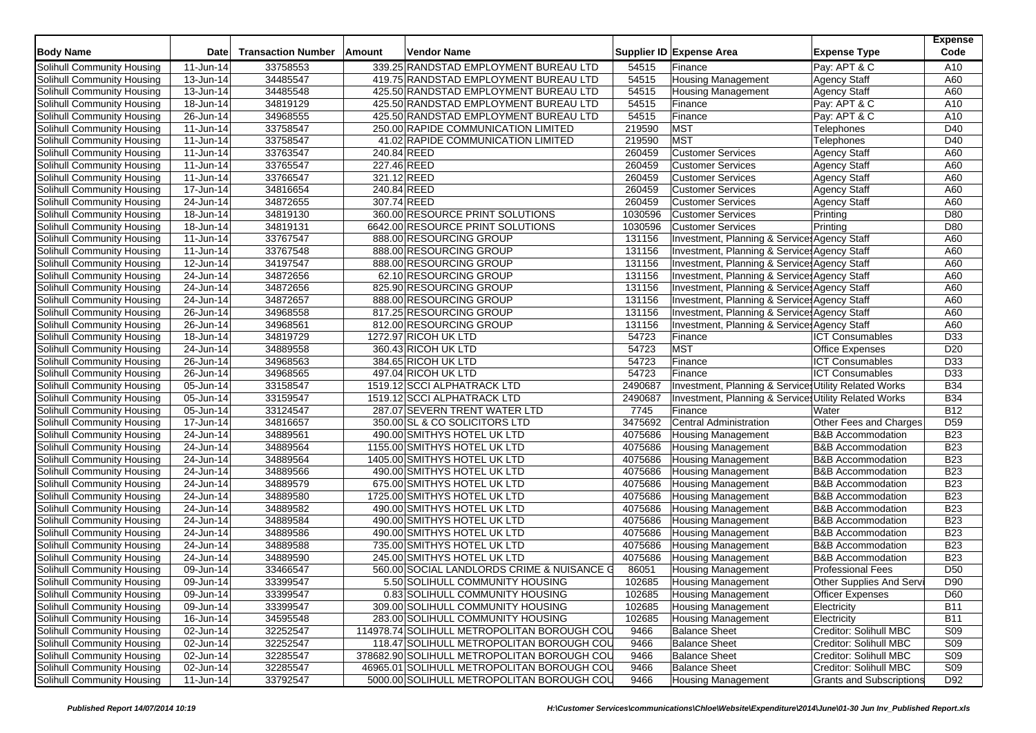| <b>Body Name</b>           | <b>Date</b>             | <b>Transaction Number</b> | Amount      | <b>Vendor Name</b>                          |         | Supplier ID Expense Area                              | <b>Expense Type</b>             | <b>Expense</b><br>Code |
|----------------------------|-------------------------|---------------------------|-------------|---------------------------------------------|---------|-------------------------------------------------------|---------------------------------|------------------------|
| Solihull Community Housing | 11-Jun-14               | 33758553                  |             | 339.25 RANDSTAD EMPLOYMENT BUREAU LTD       | 54515   | Finance                                               | Pay: APT & C                    | A10                    |
| Solihull Community Housing | 13-Jun-14               | 34485547                  |             | 419.75 RANDSTAD EMPLOYMENT BUREAU LTD       | 54515   | <b>Housing Management</b>                             | <b>Agency Staff</b>             | A60                    |
| Solihull Community Housing | 13-Jun-14               | 34485548                  |             | 425.50 RANDSTAD EMPLOYMENT BUREAU LTD       | 54515   | <b>Housing Management</b>                             | <b>Agency Staff</b>             | A60                    |
| Solihull Community Housing | 18-Jun-14               | 34819129                  |             | 425.50 RANDSTAD EMPLOYMENT BUREAU LTD       | 54515   | Finance                                               | Pay: APT & C                    | A10                    |
| Solihull Community Housing | 26-Jun-14               | 34968555                  |             | 425.50 RANDSTAD EMPLOYMENT BUREAU LTD       | 54515   | Finance                                               | Pay: APT & C                    | A10                    |
| Solihull Community Housing | 11-Jun-14               | 33758547                  |             | 250.00 RAPIDE COMMUNICATION LIMITED         | 219590  | <b>MST</b>                                            | Telephones                      | D40                    |
| Solihull Community Housing | 11-Jun-14               | 33758547                  |             | 41.02 RAPIDE COMMUNICATION LIMITED          | 219590  | <b>MST</b>                                            | Telephones                      | D40                    |
| Solihull Community Housing | 11-Jun-14               | 33763547                  | 240.84 REED |                                             | 260459  | <b>Customer Services</b>                              | <b>Agency Staff</b>             | A60                    |
| Solihull Community Housing | 11-Jun-14               | 33765547                  | 227.46 REED |                                             | 260459  | <b>Customer Services</b>                              | <b>Agency Staff</b>             | A60                    |
| Solihull Community Housing | 11-Jun-14               | 33766547                  | 321.12 REED |                                             | 260459  | <b>Customer Services</b>                              | <b>Agency Staff</b>             | A60                    |
| Solihull Community Housing | 17-Jun-14               | 34816654                  | 240.84 REED |                                             | 260459  | <b>Customer Services</b>                              | <b>Agency Staff</b>             | A60                    |
| Solihull Community Housing | 24-Jun-14               | 34872655                  | 307.74 REED |                                             | 260459  | <b>Customer Services</b>                              | <b>Agency Staff</b>             | A60                    |
| Solihull Community Housing | 18-Jun-14               | 34819130                  |             | 360.00 RESOURCE PRINT SOLUTIONS             | 1030596 | <b>Customer Services</b>                              | Printing                        | D80                    |
| Solihull Community Housing | 18-Jun-14               | 34819131                  |             | 6642.00 RESOURCE PRINT SOLUTIONS            | 1030596 | <b>Customer Services</b>                              | Printing                        | D80                    |
| Solihull Community Housing | 11-Jun-14               | 33767547                  |             | 888.00 RESOURCING GROUP                     | 131156  | Investment, Planning & Service: Agency Staff          |                                 | A60                    |
| Solihull Community Housing | 11-Jun-14               | 33767548                  |             | 888.00 RESOURCING GROUP                     | 131156  | Investment, Planning & Service: Agency Staff          |                                 | A60                    |
| Solihull Community Housing | 12-Jun-14               | 34197547                  |             | 888.00 RESOURCING GROUP                     | 131156  | Investment, Planning & Service: Agency Staff          |                                 | A60                    |
| Solihull Community Housing | 24-Jun-14               | 34872656                  |             | 62.10 RESOURCING GROUP                      | 131156  | Investment, Planning & Service: Agency Staff          |                                 | A60                    |
| Solihull Community Housing | 24-Jun-14               | 34872656                  |             | 825.90 RESOURCING GROUP                     | 131156  | Investment, Planning & Service: Agency Staff          |                                 | A60                    |
| Solihull Community Housing | 24-Jun-14               | 34872657                  |             | 888.00 RESOURCING GROUP                     | 131156  | Investment, Planning & Service: Agency Staff          |                                 | A60                    |
| Solihull Community Housing | 26-Jun-14               | 34968558                  |             | 817.25 RESOURCING GROUP                     | 131156  | Investment, Planning & Service: Agency Staff          |                                 | A60                    |
| Solihull Community Housing | 26-Jun-14               | 34968561                  |             | 812.00 RESOURCING GROUP                     | 131156  | Investment, Planning & Services Agency Staff          |                                 | A60                    |
| Solihull Community Housing | 18-Jun-14               | 34819729                  |             | 1272.97 RICOH UK LTD                        | 54723   | Finance                                               | <b>ICT Consumables</b>          | D33                    |
| Solihull Community Housing | 24-Jun-14               | 34889558                  |             | 360.43 RICOH UK LTD                         | 54723   | <b>MST</b>                                            | <b>Office Expenses</b>          | D <sub>20</sub>        |
| Solihull Community Housing | 26-Jun-14               | 34968563                  |             | 384.65 RICOH UK LTD                         | 54723   | Finance                                               | <b>ICT Consumables</b>          | D33                    |
| Solihull Community Housing | 26-Jun-14               | 34968565                  |             | 497.04 RICOH UK LTD                         | 54723   | Finance                                               | <b>ICT Consumables</b>          | D33                    |
| Solihull Community Housing | 05-Jun-14               | 33158547                  |             | 1519.12 SCCI ALPHATRACK LTD                 | 2490687 | Investment, Planning & Services Utility Related Works |                                 | <b>B34</b>             |
| Solihull Community Housing | 05-Jun-14               | 33159547                  |             | 1519.12 SCCI ALPHATRACK LTD                 | 2490687 | Investment, Planning & Services Utility Related Works |                                 | <b>B34</b>             |
| Solihull Community Housing | 05-Jun-14               | 33124547                  |             | 287.07 SEVERN TRENT WATER LTD               | 7745    | Finance                                               | Water                           | <b>B12</b>             |
| Solihull Community Housing | 17-Jun-14               | 34816657                  |             | 350.00 SL & CO SOLICITORS LTD               | 3475692 | Central Administration                                | Other Fees and Charges          | D <sub>59</sub>        |
| Solihull Community Housing | 24-Jun-14               | 34889561                  |             | 490.00 SMITHYS HOTEL UK LTD                 | 4075686 | <b>Housing Management</b>                             | <b>B&amp;B</b> Accommodation    | <b>B23</b>             |
| Solihull Community Housing | 24-Jun-14               | 34889564                  |             | 1155.00 SMITHYS HOTEL UK LTD                | 4075686 | <b>Housing Management</b>                             | <b>B&amp;B Accommodation</b>    | <b>B23</b>             |
| Solihull Community Housing | 24-Jun-14               | 34889564                  |             | 1405.00 SMITHYS HOTEL UK LTD                | 4075686 | <b>Housing Management</b>                             | <b>B&amp;B Accommodation</b>    | <b>B23</b>             |
| Solihull Community Housing | 24-Jun-14               | 34889566                  |             | 490.00 SMITHYS HOTEL UK LTD                 | 4075686 | Housing Management                                    | <b>B&amp;B Accommodation</b>    | <b>B23</b>             |
| Solihull Community Housing | 24-Jun-14               | 34889579                  |             | 675.00 SMITHYS HOTEL UK LTD                 | 4075686 | <b>Housing Management</b>                             | <b>B&amp;B</b> Accommodation    | <b>B23</b>             |
| Solihull Community Housing | 24-Jun-14               | 34889580                  |             | 1725.00 SMITHYS HOTEL UK LTD                | 4075686 | <b>Housing Management</b>                             | <b>B&amp;B</b> Accommodation    | <b>B23</b>             |
| Solihull Community Housing | 24-Jun-14               | 34889582                  |             | 490.00 SMITHYS HOTEL UK LTD                 | 4075686 | <b>Housing Management</b>                             | <b>B&amp;B Accommodation</b>    | <b>B23</b>             |
| Solihull Community Housing | 24-Jun-14               | 34889584                  |             | 490.00 SMITHYS HOTEL UK LTD                 | 4075686 | <b>Housing Management</b>                             | <b>B&amp;B</b> Accommodation    | <b>B23</b>             |
| Solihull Community Housing | 24-Jun-14               | 34889586                  |             | 490.00 SMITHYS HOTEL UK LTD                 | 4075686 | <b>Housing Management</b>                             | <b>B&amp;B Accommodation</b>    | <b>B23</b>             |
| Solihull Community Housing | 24-Jun-14               | 34889588                  |             | 735.00 SMITHYS HOTEL UK LTD                 | 4075686 | <b>Housing Management</b>                             | <b>B&amp;B Accommodation</b>    | <b>B23</b>             |
| Solihull Community Housing | 24-Jun-14               | 34889590                  |             | 245.00 SMITHYS HOTEL UK LTD                 | 4075686 | <b>Housing Management</b>                             | <b>B&amp;B Accommodation</b>    | <b>B23</b>             |
| Solihull Community Housing | 09-Jun-14               | 33466547                  |             | 560.00 SOCIAL LANDLORDS CRIME & NUISANCE G  | 86051   | <b>Housing Management</b>                             | <b>Professional Fees</b>        | D <sub>50</sub>        |
| Solihull Community Housing | 09-Jun-14               | 33399547                  |             | 5.50 SOLIHULL COMMUNITY HOUSING             | 102685  | <b>Housing Management</b>                             | Other Supplies And Servi        | D90                    |
| Solihull Community Housing | 09-Jun-14               | 33399547                  |             | 0.83 SOLIHULL COMMUNITY HOUSING             | 102685  | <b>Housing Management</b>                             | <b>Officer Expenses</b>         | D60                    |
| Solihull Community Housing | $\overline{09}$ -Jun-14 | 33399547                  |             | 309.00 SOLIHULL COMMUNITY HOUSING           | 102685  | Housing Management                                    | Electricity                     | <b>B11</b>             |
| Solihull Community Housing | 16-Jun-14               | 34595548                  |             | 283.00 SOLIHULL COMMUNITY HOUSING           | 102685  | <b>Housing Management</b>                             | Electricity                     | <b>B11</b>             |
| Solihull Community Housing | 02-Jun-14               | 32252547                  |             | 114978.74 SOLIHULL METROPOLITAN BOROUGH COU | 9466    | <b>Balance Sheet</b>                                  | Creditor: Solihull MBC          | <b>S09</b>             |
| Solihull Community Housing | 02-Jun-14               | 32252547                  |             | 118.47 SOLIHULL METROPOLITAN BOROUGH COU    | 9466    | <b>Balance Sheet</b>                                  | Creditor: Solihull MBC          | S09                    |
| Solihull Community Housing | 02-Jun-14               | 32285547                  |             | 378682.90 SOLIHULL METROPOLITAN BOROUGH COU | 9466    | <b>Balance Sheet</b>                                  | Creditor: Solihull MBC          | S <sub>09</sub>        |
| Solihull Community Housing | $\overline{02}$ -Jun-14 | 32285547                  |             | 46965.01 SOLIHULL METROPOLITAN BOROUGH COU  | 9466    | <b>Balance Sheet</b>                                  | Creditor: Solihull MBC          | <b>S09</b>             |
| Solihull Community Housing | 11-Jun-14               | 33792547                  |             | 5000.00 SOLIHULL METROPOLITAN BOROUGH COU   | 9466    | <b>Housing Management</b>                             | <b>Grants and Subscriptions</b> | D92                    |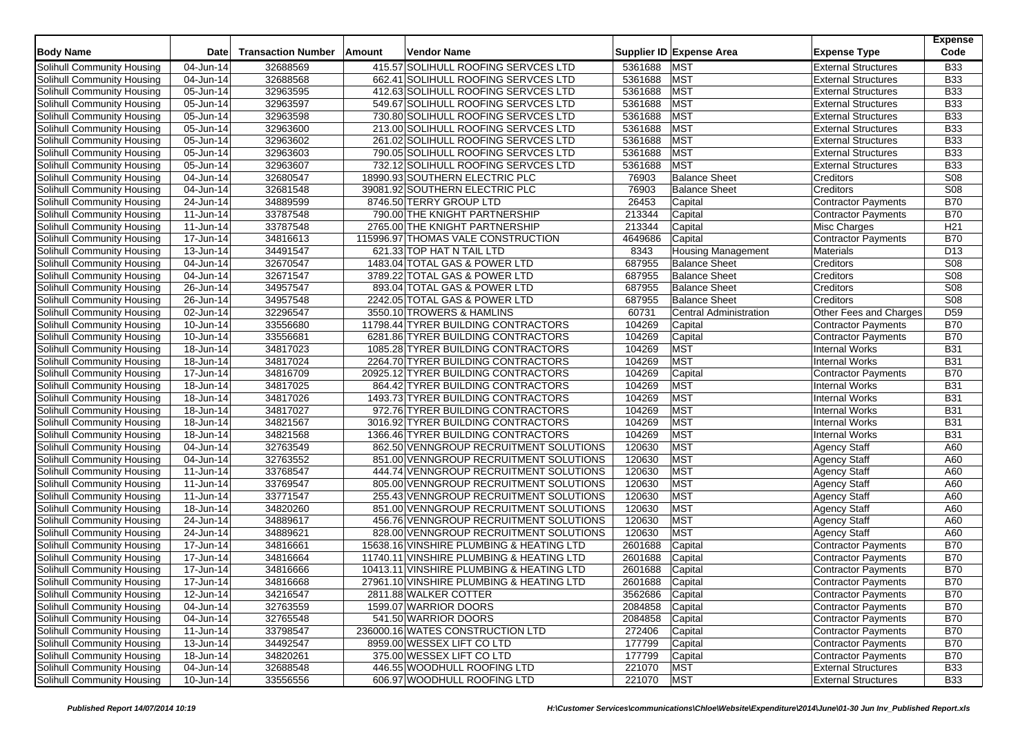|                            | <b>Date</b>             | <b>Transaction Number</b> | Amount | Vendor Name                              |                 |                               |                            | <b>Expense</b><br>Code |
|----------------------------|-------------------------|---------------------------|--------|------------------------------------------|-----------------|-------------------------------|----------------------------|------------------------|
| <b>Body Name</b>           |                         |                           |        |                                          |                 | Supplier ID Expense Area      | <b>Expense Type</b>        |                        |
| Solihull Community Housing | 04-Jun-14               | 32688569                  |        | 415.57 SOLIHULL ROOFING SERVCES LTD      | 5361688         | <b>MST</b>                    | <b>External Structures</b> | <b>B33</b>             |
| Solihull Community Housing | 04-Jun-14               | 32688568                  |        | 662.41 SOLIHULL ROOFING SERVCES LTD      | 5361688         | <b>MST</b>                    | <b>External Structures</b> | <b>B33</b>             |
| Solihull Community Housing | 05-Jun-14               | 32963595                  |        | 412.63 SOLIHULL ROOFING SERVCES LTD      | 5361688         | <b>MST</b>                    | <b>External Structures</b> | <b>B33</b>             |
| Solihull Community Housing | 05-Jun-14               | 32963597                  |        | 549.67 SOLIHULL ROOFING SERVCES LTD      | 5361688         | <b>MST</b>                    | <b>External Structures</b> | <b>B33</b>             |
| Solihull Community Housing | 05-Jun-14               | 32963598                  |        | 730.80 SOLIHULL ROOFING SERVCES LTD      | 5361688         | <b>MST</b>                    | <b>External Structures</b> | <b>B33</b>             |
| Solihull Community Housing | 05-Jun-14               | 32963600                  |        | 213.00 SOLIHULL ROOFING SERVCES LTD      | 5361688         | <b>MST</b>                    | <b>External Structures</b> | <b>B33</b>             |
| Solihull Community Housing | 05-Jun-14               | 32963602                  |        | 261.02 SOLIHULL ROOFING SERVCES LTD      | 5361688         | <b>MST</b>                    | <b>External Structures</b> | <b>B33</b>             |
| Solihull Community Housing | 05-Jun-14               | 32963603                  |        | 790.05 SOLIHULL ROOFING SERVCES LTD      | 5361688         | <b>MST</b>                    | <b>External Structures</b> | <b>B33</b>             |
| Solihull Community Housing | 05-Jun-14               | 32963607                  |        | 732.12 SOLIHULL ROOFING SERVCES LTD      | 5361688         | <b>MST</b>                    | <b>External Structures</b> | <b>B33</b>             |
| Solihull Community Housing | 04-Jun-14               | 32680547                  |        | 18990.93 SOUTHERN ELECTRIC PLC           | 76903           | <b>Balance Sheet</b>          | Creditors                  | S08                    |
| Solihull Community Housing | $\overline{0}$ 4-Jun-14 | 32681548                  |        | 39081.92 SOUTHERN ELECTRIC PLC           | 76903           | <b>Balance Sheet</b>          | Creditors                  | <b>S08</b>             |
| Solihull Community Housing | 24-Jun-14               | 34889599                  |        | 8746.50 TERRY GROUP LTD                  | 26453           | Capital                       | <b>Contractor Payments</b> | <b>B70</b>             |
| Solihull Community Housing | 11-Jun-14               | 33787548                  |        | 790.00 THE KNIGHT PARTNERSHIP            | 213344          | Capital                       | Contractor Payments        | <b>B70</b>             |
| Solihull Community Housing | 11-Jun-14               | 33787548                  |        | 2765.00 THE KNIGHT PARTNERSHIP           | 213344          | Capital                       | Misc Charges               | H <sub>21</sub>        |
| Solihull Community Housing | 17-Jun-14               | 34816613                  |        | 115996.97 THOMAS VALE CONSTRUCTION       | 4649686         | Capital                       | <b>Contractor Payments</b> | <b>B70</b>             |
| Solihull Community Housing | $\overline{1}$ 3-Jun-14 | 34491547                  |        | 621.33 TOP HAT N TAIL LTD                | 8343            | <b>Housing Management</b>     | Materials                  | D13                    |
| Solihull Community Housing | 04-Jun-14               | 32670547                  |        | 1483.04 TOTAL GAS & POWER LTD            | 687955          | <b>Balance Sheet</b>          | Creditors                  | S08                    |
| Solihull Community Housing | 04-Jun-14               | 32671547                  |        | 3789.22 TOTAL GAS & POWER LTD            | 687955          | <b>Balance Sheet</b>          | Creditors                  | S08                    |
| Solihull Community Housing | $\overline{26}$ -Jun-14 | 34957547                  |        | 893.04 TOTAL GAS & POWER LTD             | 687955          | <b>Balance Sheet</b>          | Creditors                  | S08                    |
| Solihull Community Housing | 26-Jun-14               | 34957548                  |        | 2242.05 TOTAL GAS & POWER LTD            | 687955          | <b>Balance Sheet</b>          | Creditors                  | <b>S08</b>             |
| Solihull Community Housing | 02-Jun-14               | 32296547                  |        | 3550.10 TROWERS & HAMLINS                | 60731           | <b>Central Administration</b> | Other Fees and Charges     | D <sub>59</sub>        |
| Solihull Community Housing | $10 - Jun-14$           | 33556680                  |        | 11798.44 TYRER BUILDING CONTRACTORS      | 104269          | Capital                       | Contractor Payments        | <b>B70</b>             |
| Solihull Community Housing | 10-Jun-14               | 33556681                  |        | 6281.86 TYRER BUILDING CONTRACTORS       | 104269          | Capital                       | <b>Contractor Payments</b> | <b>B70</b>             |
| Solihull Community Housing | 18-Jun-14               | 34817023                  |        | 1085.28 TYRER BUILDING CONTRACTORS       | 104269          | <b>MST</b>                    | <b>Internal Works</b>      | <b>B31</b>             |
| Solihull Community Housing | $\overline{18}$ -Jun-14 | 34817024                  |        | 2264.70 TYRER BUILDING CONTRACTORS       | 104269          | <b>MST</b>                    | <b>Internal Works</b>      | <b>B31</b>             |
| Solihull Community Housing | 17-Jun-14               | 34816709                  |        | 20925.12 TYRER BUILDING CONTRACTORS      | 104269          | Capital                       | <b>Contractor Payments</b> | <b>B70</b>             |
| Solihull Community Housing | 18-Jun-14               | 34817025                  |        | 864.42 TYRER BUILDING CONTRACTORS        | 104269          | <b>MST</b>                    | <b>Internal Works</b>      | <b>B31</b>             |
| Solihull Community Housing | $\overline{18}$ -Jun-14 | 34817026                  |        | 1493.73 TYRER BUILDING CONTRACTORS       | 104269          | <b>MST</b>                    | <b>Internal Works</b>      | <b>B31</b>             |
| Solihull Community Housing | 18-Jun-14               | 34817027                  |        | 972.76 TYRER BUILDING CONTRACTORS        | 104269          | <b>MST</b>                    | <b>Internal Works</b>      | <b>B31</b>             |
| Solihull Community Housing | 18-Jun-14               | 34821567                  |        | 3016.92 TYRER BUILDING CONTRACTORS       | 104269          | <b>MST</b>                    | <b>Internal Works</b>      | <b>B31</b>             |
| Solihull Community Housing | $\overline{18}$ -Jun-14 | 34821568                  |        | 1366.46 TYRER BUILDING CONTRACTORS       | 104269          | <b>MST</b>                    | <b>Internal Works</b>      | <b>B31</b>             |
| Solihull Community Housing | 04-Jun-14               | 32763549                  |        | 862.50 VENNGROUP RECRUITMENT SOLUTIONS   | 120630          | <b>MST</b>                    | <b>Agency Staff</b>        | A60                    |
| Solihull Community Housing | 04-Jun-14               | 32763552                  |        | 851.00 VENNGROUP RECRUITMENT SOLUTIONS   | 120630          | <b>MST</b>                    | <b>Agency Staff</b>        | A60                    |
| Solihull Community Housing | 11-Jun-14               | 33768547                  |        | 444.74 VENNGROUP RECRUITMENT SOLUTIONS   | 120630          | <b>MST</b>                    | <b>Agency Staff</b>        | A60                    |
| Solihull Community Housing | 11-Jun-14               | 33769547                  |        | 805.00 VENNGROUP RECRUITMENT SOLUTIONS   | 120630          | <b>MST</b>                    | <b>Agency Staff</b>        | A60                    |
| Solihull Community Housing | 11-Jun-14               | 33771547                  |        | 255.43 VENNGROUP RECRUITMENT SOLUTIONS   | 120630          | <b>MST</b>                    | <b>Agency Staff</b>        | A60                    |
| Solihull Community Housing | 18-Jun-14               | 34820260                  |        | 851.00 VENNGROUP RECRUITMENT SOLUTIONS   | 120630          | <b>MST</b>                    | <b>Agency Staff</b>        | A60                    |
| Solihull Community Housing | 24-Jun-14               | 34889617                  |        | 456.76 VENNGROUP RECRUITMENT SOLUTIONS   | 120630          | <b>MST</b>                    | <b>Agency Staff</b>        | A60                    |
| Solihull Community Housing | 24-Jun-14               | 34889621                  |        | 828.00 VENNGROUP RECRUITMENT SOLUTIONS   | 120630          | <b>MST</b>                    | <b>Agency Staff</b>        | A60                    |
| Solihull Community Housing | 17-Jun-14               | 34816661                  |        | 15638.16 VINSHIRE PLUMBING & HEATING LTD | 2601688         | Capital                       | <b>Contractor Payments</b> | <b>B70</b>             |
| Solihull Community Housing | 17-Jun-14               | 34816664                  |        | 11740.11 VINSHIRE PLUMBING & HEATING LTD | 2601688         | Capital                       | <b>Contractor Payments</b> | <b>B70</b>             |
| Solihull Community Housing | 17-Jun-14               | 34816666                  |        | 10413.11 VINSHIRE PLUMBING & HEATING LTD | 2601688         | Capital                       | <b>Contractor Payments</b> | <b>B70</b>             |
| Solihull Community Housing | 17-Jun-14               | 34816668                  |        | 27961.10 VINSHIRE PLUMBING & HEATING LTD | 2601688         | Capital                       | <b>Contractor Payments</b> | <b>B70</b>             |
| Solihull Community Housing | 12-Jun-14               | 34216547                  |        | 2811.88 WALKER COTTER                    | 3562686 Capital |                               | Contractor Payments        | <b>B70</b>             |
| Solihull Community Housing | 04-Jun-14               | 32763559                  |        | 1599.07 WARRIOR DOORS                    | 2084858         | Capital                       | <b>Contractor Payments</b> | <b>B70</b>             |
| Solihull Community Housing | 04-Jun-14               | 32765548                  |        | 541.50 WARRIOR DOORS                     | 2084858         | Capital                       | <b>Contractor Payments</b> | <b>B70</b>             |
| Solihull Community Housing | 11-Jun-14               | 33798547                  |        | 236000.16 WATES CONSTRUCTION LTD         | 272406          | Capital                       | <b>Contractor Payments</b> | <b>B70</b>             |
| Solihull Community Housing | 13-Jun-14               | 34492547                  |        | 8959.00 WESSEX LIFT CO LTD               | 177799          | Capital                       | Contractor Payments        | <b>B70</b>             |
| Solihull Community Housing | 18-Jun-14               | 34820261                  |        | 375.00 WESSEX LIFT CO LTD                | 177799          | Capital                       | <b>Contractor Payments</b> | <b>B70</b>             |
| Solihull Community Housing | 04-Jun-14               | 32688548                  |        | 446.55 WOODHULL ROOFING LTD              | 221070          | <b>MST</b>                    | <b>External Structures</b> | <b>B33</b>             |
| Solihull Community Housing | $10$ -Jun-14            | 33556556                  |        | 606.97 WOODHULL ROOFING LTD              | 221070          | <b>MST</b>                    | <b>External Structures</b> | <b>B33</b>             |
|                            |                         |                           |        |                                          |                 |                               |                            |                        |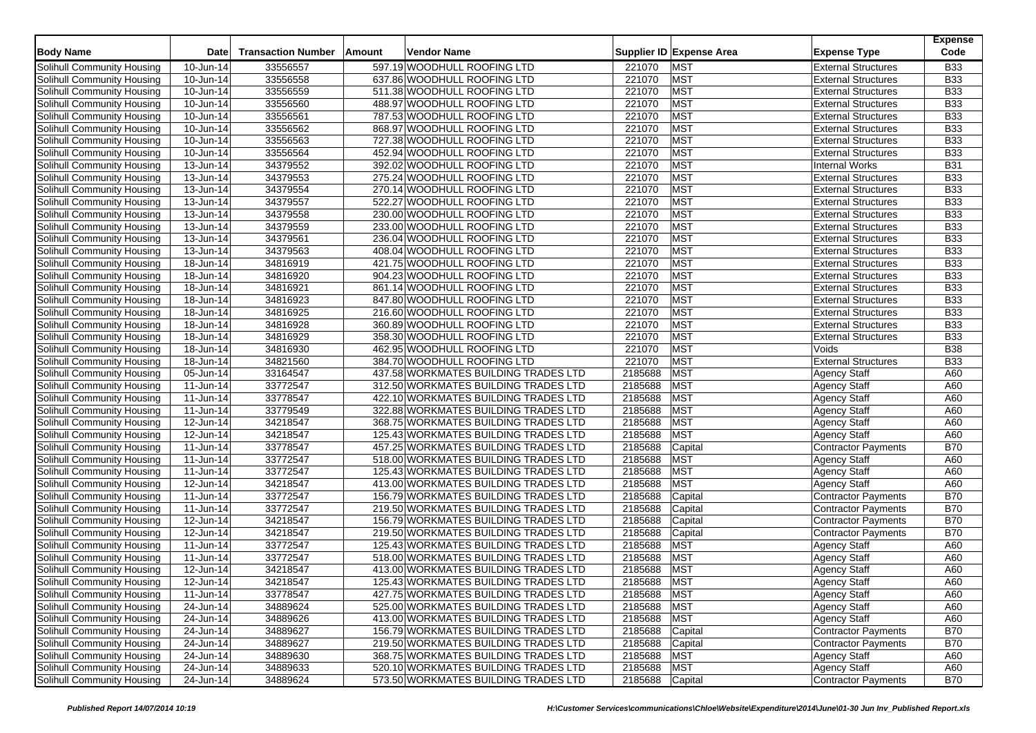| <b>Body Name</b>                                         | <b>Date</b>             | <b>Transaction Number</b> | <b>Amount</b> | <b>Vendor Name</b>                                                           |                    | Supplier ID Expense Area | <b>Expense Type</b>                               | <b>Expense</b><br>Code |
|----------------------------------------------------------|-------------------------|---------------------------|---------------|------------------------------------------------------------------------------|--------------------|--------------------------|---------------------------------------------------|------------------------|
| Solihull Community Housing                               | 10-Jun-14               | 33556557                  |               | 597.19 WOODHULL ROOFING LTD                                                  | 221070             | <b>MST</b>               | <b>External Structures</b>                        | <b>B33</b>             |
| Solihull Community Housing                               | 10-Jun-14               | 33556558                  |               | 637.86 WOODHULL ROOFING LTD                                                  | 221070             | <b>MST</b>               | <b>External Structures</b>                        | <b>B33</b>             |
| Solihull Community Housing                               | 10-Jun-14               | 33556559                  |               | 511.38 WOODHULL ROOFING LTD                                                  | 221070             | <b>MST</b>               | <b>External Structures</b>                        | <b>B33</b>             |
| Solihull Community Housing                               | 10-Jun-14               | 33556560                  |               | 488.97 WOODHULL ROOFING LTD                                                  | 221070             | <b>MST</b>               | <b>External Structures</b>                        | <b>B33</b>             |
| Solihull Community Housing                               | $\overline{10}$ -Jun-14 | 33556561                  |               | 787.53 WOODHULL ROOFING LTD                                                  | 221070             | <b>MST</b>               | <b>External Structures</b>                        | <b>B33</b>             |
| Solihull Community Housing                               | 10-Jun-14               | 33556562                  |               | 868.97 WOODHULL ROOFING LTD                                                  | 221070             | <b>MST</b>               | <b>External Structures</b>                        | <b>B33</b>             |
| Solihull Community Housing                               | 10-Jun-14               | 33556563                  |               | 727.38 WOODHULL ROOFING LTD                                                  | 221070             | <b>MST</b>               | <b>External Structures</b>                        | <b>B33</b>             |
| Solihull Community Housing                               | 10-Jun-14               | 33556564                  |               | 452.94 WOODHULL ROOFING LTD                                                  | 221070             | <b>MST</b>               | <b>External Structures</b>                        | <b>B33</b>             |
| Solihull Community Housing                               | 13-Jun-14               | 34379552                  |               | 392.02 WOODHULL ROOFING LTD                                                  | 221070             | <b>MST</b>               | <b>Internal Works</b>                             | <b>B31</b>             |
| Solihull Community Housing                               | 13-Jun-14               | 34379553                  |               | 275.24 WOODHULL ROOFING LTD                                                  | 221070             | <b>MST</b>               | <b>External Structures</b>                        | <b>B33</b>             |
| Solihull Community Housing                               | 13-Jun-14               | 34379554                  |               | 270.14 WOODHULL ROOFING LTD                                                  | 221070             | <b>MST</b>               | <b>External Structures</b>                        | <b>B33</b>             |
| Solihull Community Housing                               | $\overline{1}$ 3-Jun-14 | 34379557                  |               | 522.27 WOODHULL ROOFING LTD                                                  | 221070             | <b>MST</b>               | <b>External Structures</b>                        | <b>B33</b>             |
| Solihull Community Housing                               | 13-Jun-14               | 34379558                  |               | 230.00 WOODHULL ROOFING LTD                                                  | 221070             | <b>MST</b>               | <b>External Structures</b>                        | <b>B33</b>             |
| Solihull Community Housing                               | 13-Jun-14               | 34379559                  |               | 233.00 WOODHULL ROOFING LTD                                                  | 221070             | <b>MST</b>               | <b>External Structures</b>                        | <b>B33</b>             |
| Solihull Community Housing                               | 13-Jun-14               | 34379561                  |               | 236.04 WOODHULL ROOFING LTD                                                  | 221070             | <b>MST</b>               | <b>External Structures</b>                        | <b>B33</b>             |
| Solihull Community Housing                               | 13-Jun-14               | 34379563                  |               | 408.04 WOODHULL ROOFING LTD                                                  | 221070             | <b>MST</b>               | <b>External Structures</b>                        | <b>B33</b>             |
| Solihull Community Housing                               | 18-Jun-14               | 34816919                  |               | 421.75 WOODHULL ROOFING LTD                                                  | 221070             | <b>MST</b>               | <b>External Structures</b>                        | <b>B33</b>             |
| Solihull Community Housing                               | 18-Jun-14               | 34816920                  |               | 904.23 WOODHULL ROOFING LTD                                                  | 221070             | <b>MST</b>               | <b>External Structures</b>                        | <b>B33</b>             |
| Solihull Community Housing                               | 18-Jun-14               | 34816921                  |               | 861.14 WOODHULL ROOFING LTD                                                  | 221070             | <b>MST</b>               | <b>External Structures</b>                        | <b>B33</b>             |
| Solihull Community Housing                               | 18-Jun-14               | 34816923                  |               | 847.80 WOODHULL ROOFING LTD                                                  | 221070             | <b>MST</b>               | <b>External Structures</b>                        | <b>B33</b>             |
| Solihull Community Housing                               | 18-Jun-14               | 34816925                  |               | 216.60 WOODHULL ROOFING LTD                                                  | 221070             | <b>MST</b>               | <b>External Structures</b>                        | <b>B33</b>             |
| Solihull Community Housing                               | $\overline{18}$ -Jun-14 | 34816928                  |               | 360.89 WOODHULL ROOFING LTD                                                  | 221070             | <b>MST</b>               | <b>External Structures</b>                        | <b>B33</b>             |
| Solihull Community Housing                               | 18-Jun-14               | 34816929                  |               | 358.30 WOODHULL ROOFING LTD                                                  | 221070             | <b>MST</b>               | <b>External Structures</b>                        | <b>B33</b>             |
| Solihull Community Housing                               | 18-Jun-14               | 34816930                  |               | 462.95 WOODHULL ROOFING LTD                                                  | 221070             | <b>MST</b>               | Voids                                             | <b>B38</b>             |
| Solihull Community Housing                               | $18 - Jun-14$           | 34821560                  |               | 384.70 WOODHULL ROOFING LTD                                                  | 221070             | <b>MST</b>               | <b>External Structures</b>                        | <b>B33</b>             |
| Solihull Community Housing                               | 05-Jun-14               | 33164547                  |               | 437.58 WORKMATES BUILDING TRADES LTD                                         | 2185688            | <b>MST</b>               | <b>Agency Staff</b>                               | A60                    |
| Solihull Community Housing                               | 11-Jun-14               | 33772547                  |               | 312.50 WORKMATES BUILDING TRADES LTD                                         | 2185688            | <b>MST</b>               | <b>Agency Staff</b>                               | A60                    |
| Solihull Community Housing                               | 11-Jun-14               | 33778547                  |               | 422.10 WORKMATES BUILDING TRADES LTD                                         | 2185688            | <b>MST</b>               | <b>Agency Staff</b>                               | A60                    |
| Solihull Community Housing                               | 11-Jun-14               | 33779549                  |               | 322.88 WORKMATES BUILDING TRADES LTD                                         | 2185688            | <b>MST</b>               | <b>Agency Staff</b>                               | A60                    |
| Solihull Community Housing                               | 12-Jun-14               | 34218547                  |               | 368.75 WORKMATES BUILDING TRADES LTD                                         | 2185688            | <b>MST</b>               | <b>Agency Staff</b>                               | A60                    |
| Solihull Community Housing                               | 12-Jun-14               | 34218547                  |               | 125.43 WORKMATES BUILDING TRADES LTD                                         | 2185688            | <b>MST</b>               | <b>Agency Staff</b>                               | A60                    |
| Solihull Community Housing                               | 11-Jun-14               | 33778547                  |               | 457.25 WORKMATES BUILDING TRADES LTD                                         | 2185688            | Capital                  | <b>Contractor Payments</b>                        | <b>B70</b>             |
| Solihull Community Housing                               | $\overline{11}$ -Jun-14 | 33772547                  |               | 518.00 WORKMATES BUILDING TRADES LTD                                         | 2185688            | <b>MST</b>               | <b>Agency Staff</b>                               | A60                    |
| Solihull Community Housing                               | 11-Jun-14               | 33772547                  |               | 125.43 WORKMATES BUILDING TRADES LTD                                         | 2185688            | <b>MST</b>               | <b>Agency Staff</b>                               | A60                    |
|                                                          | 12-Jun-14               | 34218547                  |               | 413.00 WORKMATES BUILDING TRADES LTD                                         | 2185688            | <b>MST</b>               | <b>Agency Staff</b>                               | A60                    |
| Solihull Community Housing<br>Solihull Community Housing | 11-Jun-14               | 33772547                  |               | 156.79 WORKMATES BUILDING TRADES LTD                                         | 2185688            | Capital                  | <b>Contractor Payments</b>                        | <b>B70</b>             |
| Solihull Community Housing                               | 11-Jun-14               | 33772547                  |               | 219.50 WORKMATES BUILDING TRADES LTD                                         | 2185688            | Capital                  | <b>Contractor Payments</b>                        | <b>B70</b>             |
| Solihull Community Housing                               | 12-Jun-14               | 34218547                  |               | 156.79 WORKMATES BUILDING TRADES LTD                                         | 2185688            | Capital                  | Contractor Payments                               | <b>B70</b>             |
| Solihull Community Housing                               | 12-Jun-14               | 34218547                  |               | 219.50 WORKMATES BUILDING TRADES LTD                                         | 2185688            | Capital                  |                                                   | <b>B70</b>             |
| Solihull Community Housing                               |                         | 33772547                  |               | 125.43 WORKMATES BUILDING TRADES LTD                                         | 2185688            | <b>MST</b>               | <b>Contractor Payments</b><br><b>Agency Staff</b> | A60                    |
|                                                          | 11-Jun-14<br>11-Jun-14  | 33772547                  |               | 518.00 WORKMATES BUILDING TRADES LTD                                         | 2185688            | <b>MST</b>               |                                                   | A60                    |
| Solihull Community Housing<br>Solihull Community Housing | 12-Jun-14               | 34218547                  |               | 413.00 WORKMATES BUILDING TRADES LTD                                         | 2185688            | <b>MST</b>               | <b>Agency Staff</b>                               | A60                    |
| <b>Solihull Community Housing</b>                        | 12-Jun-14               | 34218547                  |               | 125.43 WORKMATES BUILDING TRADES LTD                                         | 2185688            | <b>MST</b>               | <b>Agency Staff</b><br><b>Agency Staff</b>        | A60                    |
| Solihull Community Housing                               |                         |                           |               |                                                                              | 2185688 MST        |                          | <b>Agency Staff</b>                               |                        |
|                                                          | 11-Jun-14               | 33778547<br>34889624      |               | 427.75 WORKMATES BUILDING TRADES LTD<br>525.00 WORKMATES BUILDING TRADES LTD | 2185688            |                          |                                                   | A60<br>A60             |
| Solihull Community Housing                               | 24-Jun-14               |                           |               |                                                                              |                    | <b>MST</b>               | <b>Agency Staff</b>                               |                        |
| Solihull Community Housing                               | 24-Jun-14               | 34889626                  |               | 413.00 WORKMATES BUILDING TRADES LTD                                         | 2185688            | <b>MST</b>               | <b>Agency Staff</b>                               | A60                    |
| Solihull Community Housing                               | 24-Jun-14               | 34889627                  |               | 156.79 WORKMATES BUILDING TRADES LTD                                         | 2185688<br>2185688 | Capital                  | <b>Contractor Payments</b>                        | <b>B70</b>             |
| Solihull Community Housing                               | 24-Jun-14               | 34889627                  |               | 219.50 WORKMATES BUILDING TRADES LTD                                         |                    | Capital                  | <b>Contractor Payments</b>                        | <b>B70</b>             |
| Solihull Community Housing                               | 24-Jun-14               | 34889630                  |               | 368.75 WORKMATES BUILDING TRADES LTD                                         | 2185688            | <b>MST</b>               | <b>Agency Staff</b>                               | A60                    |
| Solihull Community Housing                               | 24-Jun-14               | 34889633                  |               | 520.10 WORKMATES BUILDING TRADES LTD                                         | 2185688            | <b>MST</b>               | <b>Agency Staff</b>                               | A60                    |
| Solihull Community Housing                               | 24-Jun-14               | 34889624                  |               | 573.50 WORKMATES BUILDING TRADES LTD                                         | 2185688            | Capital                  | <b>Contractor Payments</b>                        | <b>B70</b>             |